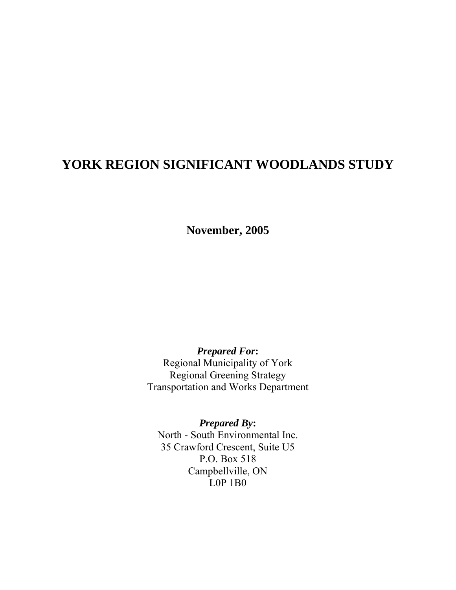# **YORK REGION SIGNIFICANT WOODLANDS STUDY**

**November, 2005** 

*Prepared For***:**  Regional Municipality of York Regional Greening Strategy Transportation and Works Department

*Prepared By***:**  North - South Environmental Inc. 35 Crawford Crescent, Suite U5 P.O. Box 518 Campbellville, ON L0P 1B0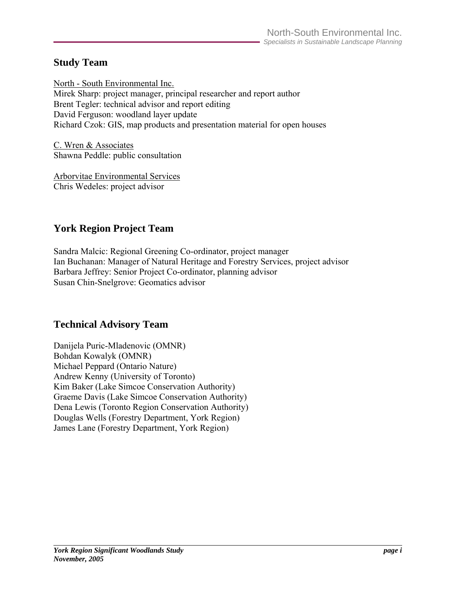## **Study Team**

North - South Environmental Inc. Mirek Sharp: project manager, principal researcher and report author Brent Tegler: technical advisor and report editing David Ferguson: woodland layer update Richard Czok: GIS, map products and presentation material for open houses

C. Wren & Associates Shawna Peddle: public consultation

Arborvitae Environmental Services Chris Wedeles: project advisor

## **York Region Project Team**

Sandra Malcic: Regional Greening Co-ordinator, project manager Ian Buchanan: Manager of Natural Heritage and Forestry Services, project advisor Barbara Jeffrey: Senior Project Co-ordinator, planning advisor Susan Chin-Snelgrove: Geomatics advisor

## **Technical Advisory Team**

Danijela Puric-Mladenovic (OMNR) Bohdan Kowalyk (OMNR) Michael Peppard (Ontario Nature) Andrew Kenny (University of Toronto) Kim Baker (Lake Simcoe Conservation Authority) Graeme Davis (Lake Simcoe Conservation Authority) Dena Lewis (Toronto Region Conservation Authority) Douglas Wells (Forestry Department, York Region) James Lane (Forestry Department, York Region)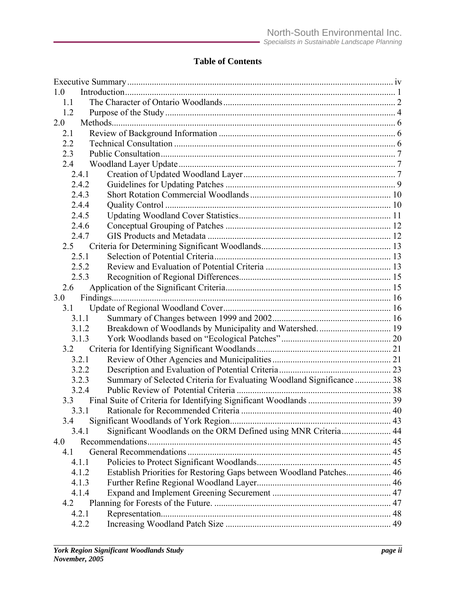## **Table of Contents**

| 1.0 |       |                                                                       |  |
|-----|-------|-----------------------------------------------------------------------|--|
| 1.1 |       |                                                                       |  |
| 1.2 |       |                                                                       |  |
| 2.0 |       |                                                                       |  |
| 2.1 |       |                                                                       |  |
| 2.2 |       |                                                                       |  |
| 2.3 |       |                                                                       |  |
| 2.4 |       |                                                                       |  |
|     | 2.4.1 |                                                                       |  |
|     | 2.4.2 |                                                                       |  |
|     | 2.4.3 |                                                                       |  |
|     | 2.4.4 |                                                                       |  |
|     | 2.4.5 |                                                                       |  |
|     | 2.4.6 |                                                                       |  |
|     | 2.4.7 |                                                                       |  |
| 2.5 |       |                                                                       |  |
|     | 2.5.1 |                                                                       |  |
|     | 2.5.2 |                                                                       |  |
|     | 2.5.3 |                                                                       |  |
| 2.6 |       |                                                                       |  |
| 3.0 |       |                                                                       |  |
| 3.1 |       |                                                                       |  |
|     | 3.1.1 |                                                                       |  |
|     | 3.1.2 | Breakdown of Woodlands by Municipality and Watershed 19               |  |
|     | 3.1.3 |                                                                       |  |
| 3.2 |       |                                                                       |  |
|     | 3.2.1 |                                                                       |  |
|     | 3.2.2 |                                                                       |  |
|     | 3.2.3 | Summary of Selected Criteria for Evaluating Woodland Significance  38 |  |
|     | 3.2.4 |                                                                       |  |
| 3.3 |       |                                                                       |  |
|     |       |                                                                       |  |
| 3.4 |       |                                                                       |  |
|     | 3.4.1 | Significant Woodlands on the ORM Defined using MNR Criteria 44        |  |
| 4.0 |       |                                                                       |  |
| 41  |       |                                                                       |  |
|     | 4.1.1 |                                                                       |  |
|     | 4.1.2 | Establish Priorities for Restoring Gaps between Woodland Patches 46   |  |
|     | 4.1.3 |                                                                       |  |
|     | 4.1.4 |                                                                       |  |
| 4.2 |       |                                                                       |  |
|     | 4.2.1 |                                                                       |  |
|     | 4.2.2 |                                                                       |  |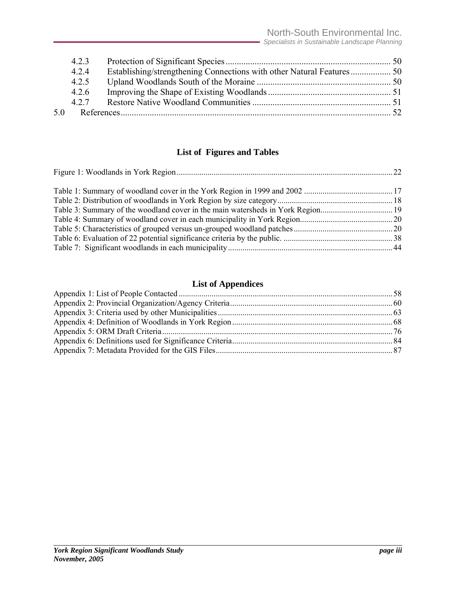|    | 423   |  |
|----|-------|--|
|    | 4.2.4 |  |
|    | 4.2.5 |  |
|    | 4.2.6 |  |
|    | 427   |  |
| 50 |       |  |

## **List of Figures and Tables**

## **List of Appendices**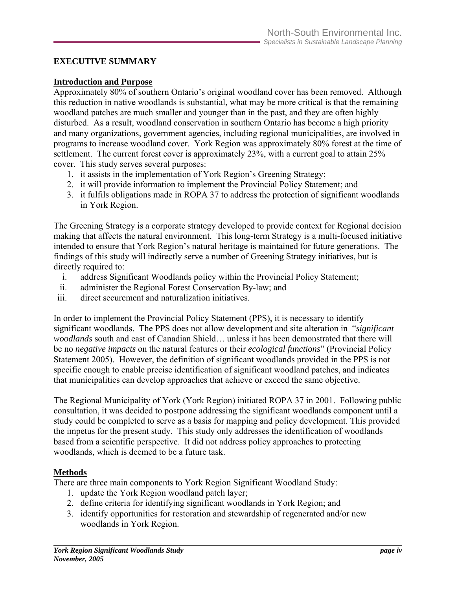## <span id="page-4-0"></span>**EXECUTIVE SUMMARY**

#### **Introduction and Purpose**

Approximately 80% of southern Ontario's original woodland cover has been removed. Although this reduction in native woodlands is substantial, what may be more critical is that the remaining woodland patches are much smaller and younger than in the past, and they are often highly disturbed. As a result, woodland conservation in southern Ontario has become a high priority and many organizations, government agencies, including regional municipalities, are involved in programs to increase woodland cover. York Region was approximately 80% forest at the time of settlement. The current forest cover is approximately 23%, with a current goal to attain 25% cover. This study serves several purposes:

- 1. it assists in the implementation of York Region's Greening Strategy;
- 2. it will provide information to implement the Provincial Policy Statement; and
- 3. it fulfils obligations made in ROPA 37 to address the protection of significant woodlands in York Region.

The Greening Strategy is a corporate strategy developed to provide context for Regional decision making that affects the natural environment. This long-term Strategy is a multi-focused initiative intended to ensure that York Region's natural heritage is maintained for future generations. The findings of this study will indirectly serve a number of Greening Strategy initiatives, but is directly required to:

- i. address Significant Woodlands policy within the Provincial Policy Statement;
- ii. administer the Regional Forest Conservation By-law; and
- iii. direct securement and naturalization initiatives.

In order to implement the Provincial Policy Statement (PPS), it is necessary to identify significant woodlands. The PPS does not allow development and site alteration in "*significant woodlands* south and east of Canadian Shield… unless it has been demonstrated that there will be no *negative impacts* on the natural features or their *ecological functions*" (Provincial Policy Statement 2005). However, the definition of significant woodlands provided in the PPS is not specific enough to enable precise identification of significant woodland patches, and indicates that municipalities can develop approaches that achieve or exceed the same objective.

The Regional Municipality of York (York Region) initiated ROPA 37 in 2001. Following public consultation, it was decided to postpone addressing the significant woodlands component until a study could be completed to serve as a basis for mapping and policy development. This provided the impetus for the present study. This study only addresses the identification of woodlands based from a scientific perspective. It did not address policy approaches to protecting woodlands, which is deemed to be a future task.

#### **Methods**

There are three main components to York Region Significant Woodland Study:

- 1. update the York Region woodland patch layer;
- 2. define criteria for identifying significant woodlands in York Region; and
- 3. identify opportunities for restoration and stewardship of regenerated and/or new woodlands in York Region.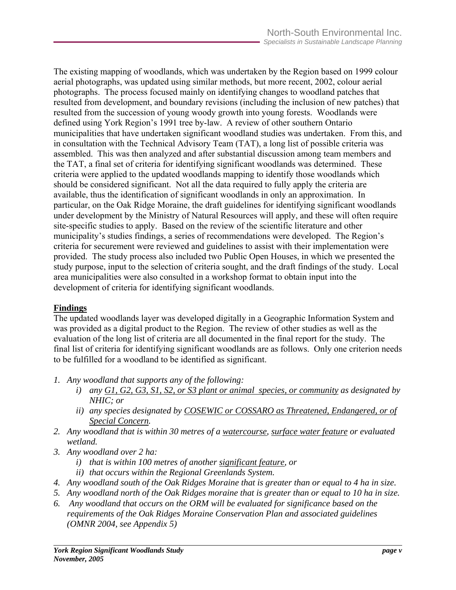The existing mapping of woodlands, which was undertaken by the Region based on 1999 colour aerial photographs, was updated using similar methods, but more recent, 2002, colour aerial photographs. The process focused mainly on identifying changes to woodland patches that resulted from development, and boundary revisions (including the inclusion of new patches) that resulted from the succession of young woody growth into young forests. Woodlands were defined using York Region's 1991 tree by-law. A review of other southern Ontario municipalities that have undertaken significant woodland studies was undertaken. From this, and in consultation with the Technical Advisory Team (TAT), a long list of possible criteria was assembled. This was then analyzed and after substantial discussion among team members and the TAT, a final set of criteria for identifying significant woodlands was determined. These criteria were applied to the updated woodlands mapping to identify those woodlands which should be considered significant. Not all the data required to fully apply the criteria are available, thus the identification of significant woodlands in only an approximation. In particular, on the Oak Ridge Moraine, the draft guidelines for identifying significant woodlands under development by the Ministry of Natural Resources will apply, and these will often require site-specific studies to apply. Based on the review of the scientific literature and other municipality's studies findings, a series of recommendations were developed. The Region's criteria for securement were reviewed and guidelines to assist with their implementation were provided. The study process also included two Public Open Houses, in which we presented the study purpose, input to the selection of criteria sought, and the draft findings of the study. Local area municipalities were also consulted in a workshop format to obtain input into the development of criteria for identifying significant woodlands.

## **Findings**

The updated woodlands layer was developed digitally in a Geographic Information System and was provided as a digital product to the Region. The review of other studies as well as the evaluation of the long list of criteria are all documented in the final report for the study. The final list of criteria for identifying significant woodlands are as follows. Only one criterion needs to be fulfilled for a woodland to be identified as significant.

- *1. Any woodland that supports any of the following:* 
	- *i) any G1, G2, G3, S1, S2, or S3 plant or animal species, or community as designated by NHIC; or*
	- *ii) any species designated by COSEWIC or COSSARO as Threatened, Endangered, or of Special Concern.*
- *2. Any woodland that is within 30 metres of a watercourse, surface water feature or evaluated wetland.*
- *3. Any woodland over 2 ha:* 
	- *i) that is within 100 metres of another significant feature, or*
	- *ii) that occurs within the Regional Greenlands System.*
- *4. Any woodland south of the Oak Ridges Moraine that is greater than or equal to 4 ha in size.*
- *5. Any woodland north of the Oak Ridges moraine that is greater than or equal to 10 ha in size.*
- *6. Any woodland that occurs on the ORM will be evaluated for significance based on the requirements of the Oak Ridges Moraine Conservation Plan and associated guidelines (OMNR 2004, see Appendix 5)*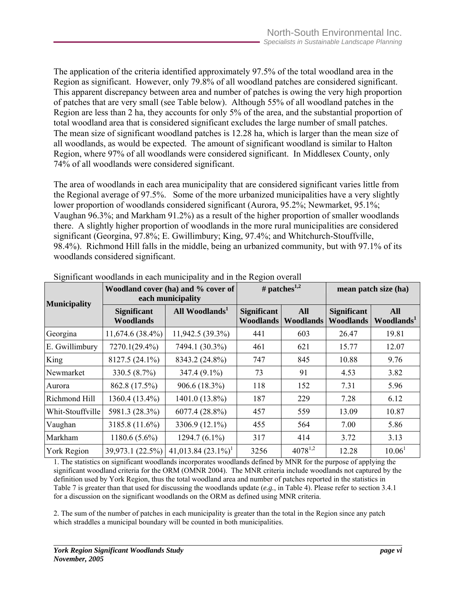The application of the criteria identified approximately 97.5% of the total woodland area in the Region as significant. However, only 79.8% of all woodland patches are considered significant. This apparent discrepancy between area and number of patches is owing the very high proportion of patches that are very small (see Table below). Although 55% of all woodland patches in the Region are less than 2 ha, they accounts for only 5% of the area, and the substantial proportion of total woodland area that is considered significant excludes the large number of small patches. The mean size of significant woodland patches is 12.28 ha, which is larger than the mean size of all woodlands, as would be expected. The amount of significant woodland is similar to Halton Region, where 97% of all woodlands were considered significant. In Middlesex County, only 74% of all woodlands were considered significant.

The area of woodlands in each area municipality that are considered significant varies little from the Regional average of 97.5%. Some of the more urbanized municipalities have a very slightly lower proportion of woodlands considered significant (Aurora, 95.2%; Newmarket, 95.1%; Vaughan 96.3%; and Markham 91.2%) as a result of the higher proportion of smaller woodlands there. A slightly higher proportion of woodlands in the more rural municipalities are considered significant (Georgina, 97.8%; E. Gwillimbury; King, 97.4%; and Whitchurch-Stouffville, 98.4%). Richmond Hill falls in the middle, being an urbanized community, but with 97.1% of its woodlands considered significant.

| <b>Municipality</b> |                                        | Woodland cover (ha) and % cover of<br>each municipality | # patches <sup>1,2</sup>        |                                |                                        | mean patch size (ha)                 |
|---------------------|----------------------------------------|---------------------------------------------------------|---------------------------------|--------------------------------|----------------------------------------|--------------------------------------|
|                     | <b>Significant</b><br><b>Woodlands</b> | All Woodlands <sup>1</sup>                              | <b>Significant</b><br>Woodlands | <b>All</b><br><b>Woodlands</b> | <b>Significant</b><br><b>Woodlands</b> | <b>All</b><br>Woodlands <sup>1</sup> |
| Georgina            | $11,674.6(38.4\%)$                     | 11,942.5 (39.3%)                                        | 441                             | 603                            | 26.47                                  | 19.81                                |
| E. Gwillimbury      | 7270.1(29.4%)                          | 7494.1 (30.3%)                                          | 461                             | 621                            | 15.77                                  | 12.07                                |
| King                | 8127.5 (24.1%)                         | 8343.2 (24.8%)                                          | 747                             | 845                            | 10.88                                  | 9.76                                 |
| Newmarket           | 330.5 (8.7%)                           | 347.4 (9.1%)                                            | 73                              | 91                             | 4.53                                   | 3.82                                 |
| Aurora              | 862.8 (17.5%)                          | 906.6 (18.3%)                                           | 118                             | 152                            | 7.31                                   | 5.96                                 |
| Richmond Hill       | 1360.4 (13.4%)                         | 1401.0 (13.8%)                                          | 187                             | 229                            | 7.28                                   | 6.12                                 |
| Whit-Stouffville    | 5981.3 (28.3%)                         | 6077.4 (28.8%)                                          | 457                             | 559                            | 13.09                                  | 10.87                                |
| Vaughan             | 3185.8 (11.6%)                         | 3306.9 (12.1%)                                          | 455                             | 564                            | 7.00                                   | 5.86                                 |
| Markham             | $1180.6(5.6\%)$                        | $1294.7(6.1\%)$                                         | 317                             | 414                            | 3.72                                   | 3.13                                 |
| <b>York Region</b>  | 39,973.1 (22.5%)                       | $41,013.84$ $(23.1\%)$ <sup>1</sup>                     | 3256                            | $4078^{1,2}$                   | 12.28                                  | 10.06 <sup>1</sup>                   |

Significant woodlands in each municipality and in the Region overall

1. The statistics on significant woodlands incorporates woodlands defined by MNR for the purpose of applying the significant woodland criteria for the ORM (OMNR 2004). The MNR criteria include woodlands not captured by the definition used by York Region, thus the total woodland area and number of patches reported in the statistics in Table 7 is greater than that used for discussing the woodlands update (*e.g.*, in Table 4). Please refer to section 3.4.1 for a discussion on the significant woodlands on the ORM as defined using MNR criteria.

2. The sum of the number of patches in each municipality is greater than the total in the Region since any patch which straddles a municipal boundary will be counted in both municipalities.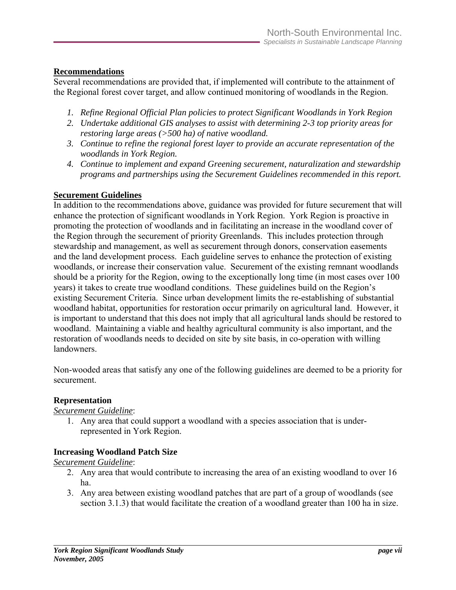#### **Recommendations**

Several recommendations are provided that, if implemented will contribute to the attainment of the Regional forest cover target, and allow continued monitoring of woodlands in the Region.

- *1. Refine Regional Official Plan policies to protect Significant Woodlands in York Region*
- *2. Undertake additional GIS analyses to assist with determining 2-3 top priority areas for restoring large areas (>500 ha) of native woodland.*
- *3. Continue to refine the regional forest layer to provide an accurate representation of the woodlands in York Region.*
- *4. Continue to implement and expand Greening securement, naturalization and stewardship programs and partnerships using the Securement Guidelines recommended in this report.*

#### **Securement Guidelines**

In addition to the recommendations above, guidance was provided for future securement that will enhance the protection of significant woodlands in York Region. York Region is proactive in promoting the protection of woodlands and in facilitating an increase in the woodland cover of the Region through the securement of priority Greenlands. This includes protection through stewardship and management, as well as securement through donors, conservation easements and the land development process. Each guideline serves to enhance the protection of existing woodlands, or increase their conservation value. Securement of the existing remnant woodlands should be a priority for the Region, owing to the exceptionally long time (in most cases over 100 years) it takes to create true woodland conditions. These guidelines build on the Region's existing Securement Criteria. Since urban development limits the re-establishing of substantial woodland habitat, opportunities for restoration occur primarily on agricultural land. However, it is important to understand that this does not imply that all agricultural lands should be restored to woodland. Maintaining a viable and healthy agricultural community is also important, and the restoration of woodlands needs to decided on site by site basis, in co-operation with willing landowners.

Non-wooded areas that satisfy any one of the following guidelines are deemed to be a priority for securement.

#### **Representation**

#### *Securement Guideline*:

1. Any area that could support a woodland with a species association that is underrepresented in York Region.

#### **Increasing Woodland Patch Size**

*Securement Guideline*:

- 2. Any area that would contribute to increasing the area of an existing woodland to over 16 ha.
- 3. Any area between existing woodland patches that are part of a group of woodlands (see section 3.1.3) that would facilitate the creation of a woodland greater than 100 ha in size.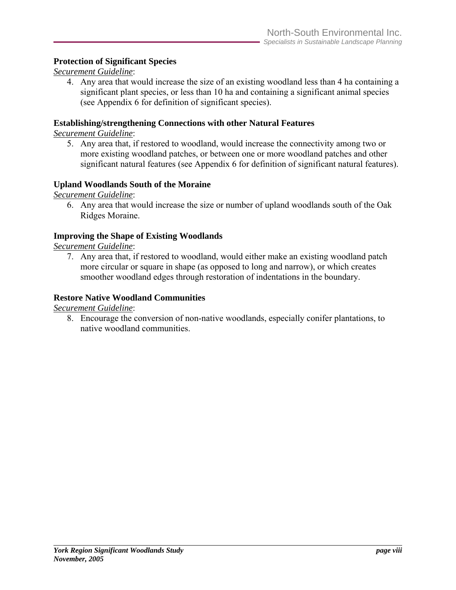#### **Protection of Significant Species**

#### *Securement Guideline*:

4. Any area that would increase the size of an existing woodland less than 4 ha containing a significant plant species, or less than 10 ha and containing a significant animal species (see Appendix 6 for definition of significant species).

#### **Establishing/strengthening Connections with other Natural Features**

*Securement Guideline*:

5. Any area that, if restored to woodland, would increase the connectivity among two or more existing woodland patches, or between one or more woodland patches and other significant natural features (see Appendix 6 for definition of significant natural features).

#### **Upland Woodlands South of the Moraine**

*Securement Guideline*:

6. Any area that would increase the size or number of upland woodlands south of the Oak Ridges Moraine.

#### **Improving the Shape of Existing Woodlands**

*Securement Guideline*:

7. Any area that, if restored to woodland, would either make an existing woodland patch more circular or square in shape (as opposed to long and narrow), or which creates smoother woodland edges through restoration of indentations in the boundary.

#### **Restore Native Woodland Communities**

*Securement Guideline*:

8. Encourage the conversion of non-native woodlands, especially conifer plantations, to native woodland communities.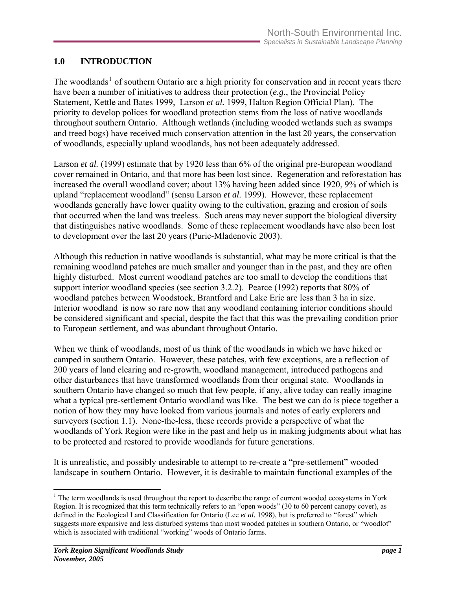## <span id="page-9-0"></span>**1.0 INTRODUCTION**

The woodlands<sup>[1](#page-9-1)</sup> of southern Ontario are a high priority for conservation and in recent years there have been a number of initiatives to address their protection (*e.g.*, the Provincial Policy Statement, Kettle and Bates 1999, Larson *et al.* 1999, Halton Region Official Plan). The priority to develop polices for woodland protection stems from the loss of native woodlands throughout southern Ontario. Although wetlands (including wooded wetlands such as swamps and treed bogs) have received much conservation attention in the last 20 years, the conservation of woodlands, especially upland woodlands, has not been adequately addressed.

Larson *et al.* (1999) estimate that by 1920 less than 6% of the original pre-European woodland cover remained in Ontario, and that more has been lost since. Regeneration and reforestation has increased the overall woodland cover; about 13% having been added since 1920, 9% of which is upland "replacement woodland" (sensu Larson *et al.* 1999). However, these replacement woodlands generally have lower quality owing to the cultivation, grazing and erosion of soils that occurred when the land was treeless. Such areas may never support the biological diversity that distinguishes native woodlands. Some of these replacement woodlands have also been lost to development over the last 20 years (Puric-Mladenovic 2003).

Although this reduction in native woodlands is substantial, what may be more critical is that the remaining woodland patches are much smaller and younger than in the past, and they are often highly disturbed. Most current woodland patches are too small to develop the conditions that support interior woodland species (see section 3.2.2). Pearce (1992) reports that 80% of woodland patches between Woodstock, Brantford and Lake Erie are less than 3 ha in size. Interior woodland is now so rare now that any woodland containing interior conditions should be considered significant and special, despite the fact that this was the prevailing condition prior to European settlement, and was abundant throughout Ontario.

When we think of woodlands, most of us think of the woodlands in which we have hiked or camped in southern Ontario. However, these patches, with few exceptions, are a reflection of 200 years of land clearing and re-growth, woodland management, introduced pathogens and other disturbances that have transformed woodlands from their original state. Woodlands in southern Ontario have changed so much that few people, if any, alive today can really imagine what a typical pre-settlement Ontario woodland was like. The best we can do is piece together a notion of how they may have looked from various journals and notes of early explorers and surveyors (section 1.1). None-the-less, these records provide a perspective of what the woodlands of York Region were like in the past and help us in making judgments about what has to be protected and restored to provide woodlands for future generations.

It is unrealistic, and possibly undesirable to attempt to re-create a "pre-settlement" wooded landscape in southern Ontario. However, it is desirable to maintain functional examples of the

 $\overline{a}$ 

<span id="page-9-1"></span> $1$ <sup>1</sup> The term woodlands is used throughout the report to describe the range of current wooded ecosystems in York Region. It is recognized that this term technically refers to an "open woods" (30 to 60 percent canopy cover), as defined in the Ecological Land Classification for Ontario (Lee *et al.* 1998), but is preferred to "forest" which suggests more expansive and less disturbed systems than most wooded patches in southern Ontario, or "woodlot" which is associated with traditional "working" woods of Ontario farms.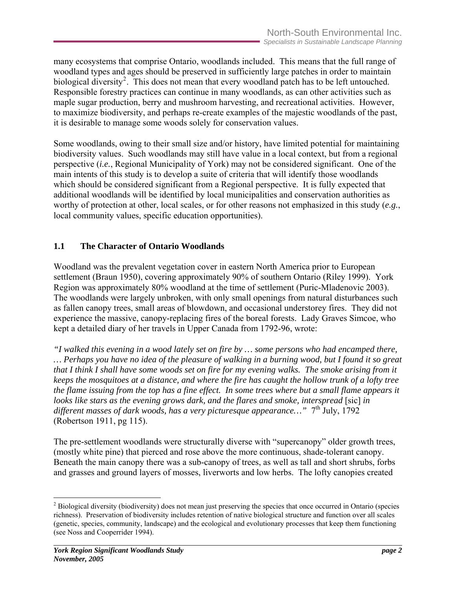<span id="page-10-0"></span>many ecosystems that comprise Ontario, woodlands included. This means that the full range of woodland types and ages should be preserved in sufficiently large patches in order to maintain biological diversity<sup>[2](#page-10-1)</sup>. This does not mean that every woodland patch has to be left untouched. Responsible forestry practices can continue in many woodlands, as can other activities such as maple sugar production, berry and mushroom harvesting, and recreational activities. However, to maximize biodiversity, and perhaps re-create examples of the majestic woodlands of the past, it is desirable to manage some woods solely for conservation values.

Some woodlands, owing to their small size and/or history, have limited potential for maintaining biodiversity values. Such woodlands may still have value in a local context, but from a regional perspective (*i.e.*, Regional Municipality of York) may not be considered significant. One of the main intents of this study is to develop a suite of criteria that will identify those woodlands which should be considered significant from a Regional perspective. It is fully expected that additional woodlands will be identified by local municipalities and conservation authorities as worthy of protection at other, local scales, or for other reasons not emphasized in this study (*e.g.*, local community values, specific education opportunities).

## **1.1 The Character of Ontario Woodlands**

Woodland was the prevalent vegetation cover in eastern North America prior to European settlement (Braun 1950), covering approximately 90% of southern Ontario (Riley 1999). York Region was approximately 80% woodland at the time of settlement (Puric-Mladenovic 2003). The woodlands were largely unbroken, with only small openings from natural disturbances such as fallen canopy trees, small areas of blowdown, and occasional understorey fires. They did not experience the massive, canopy-replacing fires of the boreal forests. Lady Graves Simcoe, who kept a detailed diary of her travels in Upper Canada from 1792-96, wrote:

*"I walked this evening in a wood lately set on fire by … some persons who had encamped there, … Perhaps you have no idea of the pleasure of walking in a burning wood, but I found it so great that I think I shall have some woods set on fire for my evening walks. The smoke arising from it keeps the mosquitoes at a distance, and where the fire has caught the hollow trunk of a lofty tree the flame issuing from the top has a fine effect. In some trees where but a small flame appears it looks like stars as the evening grows dark, and the flares and smoke, interspread* [sic] *in* different masses of dark woods, has a very picturesque appearance..." 7<sup>th</sup> July, 1792 (Robertson 1911, pg 115).

The pre-settlement woodlands were structurally diverse with "supercanopy" older growth trees, (mostly white pine) that pierced and rose above the more continuous, shade-tolerant canopy. Beneath the main canopy there was a sub-canopy of trees, as well as tall and short shrubs, forbs and grasses and ground layers of mosses, liverworts and low herbs. The lofty canopies created

 $\overline{a}$ 

<span id="page-10-1"></span> $2^2$  Biological diversity (biodiversity) does not mean just preserving the species that once occurred in Ontario (species richness). Preservation of biodiversity includes retention of native biological structure and function over all scales (genetic, species, community, landscape) and the ecological and evolutionary processes that keep them functioning (see Noss and Cooperrider 1994).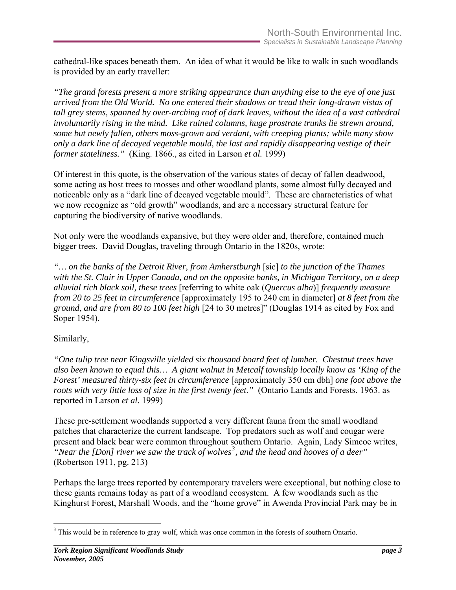cathedral-like spaces beneath them. An idea of what it would be like to walk in such woodlands is provided by an early traveller:

*"The grand forests present a more striking appearance than anything else to the eye of one just arrived from the Old World. No one entered their shadows or tread their long-drawn vistas of tall grey stems, spanned by over-arching roof of dark leaves, without the idea of a vast cathedral involuntarily rising in the mind. Like ruined columns, huge prostrate trunks lie strewn around, some but newly fallen, others moss-grown and verdant, with creeping plants; while many show only a dark line of decayed vegetable mould, the last and rapidly disappearing vestige of their former stateliness."* (King. 1866., as cited in Larson *et al.* 1999)

Of interest in this quote, is the observation of the various states of decay of fallen deadwood, some acting as host trees to mosses and other woodland plants, some almost fully decayed and noticeable only as a "dark line of decayed vegetable mould". These are characteristics of what we now recognize as "old growth" woodlands, and are a necessary structural feature for capturing the biodiversity of native woodlands.

Not only were the woodlands expansive, but they were older and, therefore, contained much bigger trees. David Douglas, traveling through Ontario in the 1820s, wrote:

*"… on the banks of the Detroit River, from Amherstburgh* [sic] *to the junction of the Thames with the St. Clair in Upper Canada, and on the opposite banks, in Michigan Territory, on a deep alluvial rich black soil, these trees* [referring to white oak (*Quercus alba*)] *frequently measure from 20 to 25 feet in circumference* [approximately 195 to 240 cm in diameter] *at 8 feet from the ground*, *and are from 80 to 100 feet high* [24 to 30 metres]" (Douglas 1914 as cited by Fox and Soper 1954).

#### Similarly,

*"One tulip tree near Kingsville yielded six thousand board feet of lumber. Chestnut trees have also been known to equal this… A giant walnut in Metcalf township locally know as 'King of the Forest' measured thirty-six feet in circumference* [approximately 350 cm dbh] *one foot above the roots with very little loss of size in the first twenty feet."* (Ontario Lands and Forests. 1963. as reported in Larson *et al.* 1999)

These pre-settlement woodlands supported a very different fauna from the small woodland patches that characterize the current landscape. Top predators such as wolf and cougar were present and black bear were common throughout southern Ontario. Again, Lady Simcoe writes, *"Near the [Don] river we saw the track of wolves[3](#page-11-0) , and the head and hooves of a deer"*  (Robertson 1911, pg. 213)

Perhaps the large trees reported by contemporary travelers were exceptional, but nothing close to these giants remains today as part of a woodland ecosystem. A few woodlands such as the Kinghurst Forest, Marshall Woods, and the "home grove" in Awenda Provincial Park may be in

<span id="page-11-0"></span> $\overline{a}$  $3$  This would be in reference to gray wolf, which was once common in the forests of southern Ontario.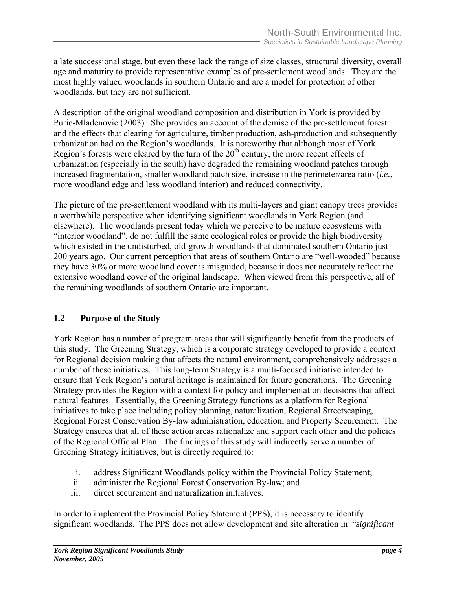<span id="page-12-0"></span>a late successional stage, but even these lack the range of size classes, structural diversity, overall age and maturity to provide representative examples of pre-settlement woodlands. They are the most highly valued woodlands in southern Ontario and are a model for protection of other woodlands, but they are not sufficient.

A description of the original woodland composition and distribution in York is provided by Puric-Mladenovic (2003). She provides an account of the demise of the pre-settlement forest and the effects that clearing for agriculture, timber production, ash-production and subsequently urbanization had on the Region's woodlands. It is noteworthy that although most of York Region's forests were cleared by the turn of the  $20<sup>th</sup>$  century, the more recent effects of urbanization (especially in the south) have degraded the remaining woodland patches through increased fragmentation, smaller woodland patch size, increase in the perimeter/area ratio (*i.e.*, more woodland edge and less woodland interior) and reduced connectivity.

The picture of the pre-settlement woodland with its multi-layers and giant canopy trees provides a worthwhile perspective when identifying significant woodlands in York Region (and elsewhere). The woodlands present today which we perceive to be mature ecosystems with "interior woodland", do not fulfill the same ecological roles or provide the high biodiversity which existed in the undisturbed, old-growth woodlands that dominated southern Ontario just 200 years ago. Our current perception that areas of southern Ontario are "well-wooded" because they have 30% or more woodland cover is misguided, because it does not accurately reflect the extensive woodland cover of the original landscape. When viewed from this perspective, all of the remaining woodlands of southern Ontario are important.

## **1.2 Purpose of the Study**

York Region has a number of program areas that will significantly benefit from the products of this study. The Greening Strategy, which is a corporate strategy developed to provide a context for Regional decision making that affects the natural environment, comprehensively addresses a number of these initiatives. This long-term Strategy is a multi-focused initiative intended to ensure that York Region's natural heritage is maintained for future generations. The Greening Strategy provides the Region with a context for policy and implementation decisions that affect natural features. Essentially, the Greening Strategy functions as a platform for Regional initiatives to take place including policy planning, naturalization, Regional Streetscaping, Regional Forest Conservation By-law administration, education, and Property Securement. The Strategy ensures that all of these action areas rationalize and support each other and the policies of the Regional Official Plan. The findings of this study will indirectly serve a number of Greening Strategy initiatives, but is directly required to:

- i. address Significant Woodlands policy within the Provincial Policy Statement;
- ii. administer the Regional Forest Conservation By-law; and
- iii. direct securement and naturalization initiatives.

In order to implement the Provincial Policy Statement (PPS), it is necessary to identify significant woodlands. The PPS does not allow development and site alteration in "*significant*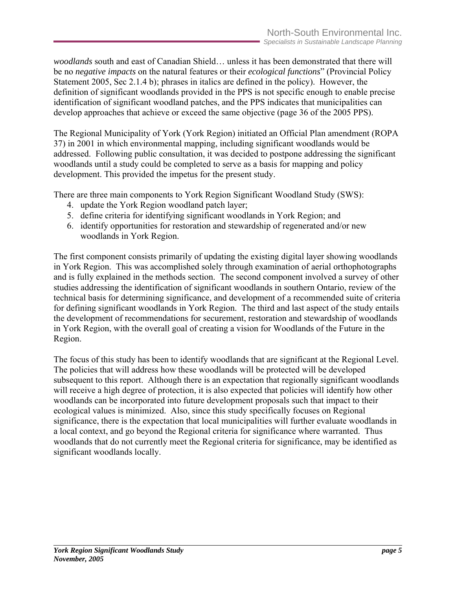*woodlands* south and east of Canadian Shield… unless it has been demonstrated that there will be no *negative impacts* on the natural features or their *ecological functions*" (Provincial Policy Statement 2005, Sec 2.1.4 b); phrases in italics are defined in the policy). However, the definition of significant woodlands provided in the PPS is not specific enough to enable precise identification of significant woodland patches, and the PPS indicates that municipalities can develop approaches that achieve or exceed the same objective (page 36 of the 2005 PPS).

The Regional Municipality of York (York Region) initiated an Official Plan amendment (ROPA 37) in 2001 in which environmental mapping, including significant woodlands would be addressed. Following public consultation, it was decided to postpone addressing the significant woodlands until a study could be completed to serve as a basis for mapping and policy development. This provided the impetus for the present study.

There are three main components to York Region Significant Woodland Study (SWS):

- 4. update the York Region woodland patch layer;
- 5. define criteria for identifying significant woodlands in York Region; and
- 6. identify opportunities for restoration and stewardship of regenerated and/or new woodlands in York Region.

The first component consists primarily of updating the existing digital layer showing woodlands in York Region. This was accomplished solely through examination of aerial orthophotographs and is fully explained in the methods section. The second component involved a survey of other studies addressing the identification of significant woodlands in southern Ontario, review of the technical basis for determining significance, and development of a recommended suite of criteria for defining significant woodlands in York Region. The third and last aspect of the study entails the development of recommendations for securement, restoration and stewardship of woodlands in York Region, with the overall goal of creating a vision for Woodlands of the Future in the Region.

The focus of this study has been to identify woodlands that are significant at the Regional Level. The policies that will address how these woodlands will be protected will be developed subsequent to this report. Although there is an expectation that regionally significant woodlands will receive a high degree of protection, it is also expected that policies will identify how other woodlands can be incorporated into future development proposals such that impact to their ecological values is minimized. Also, since this study specifically focuses on Regional significance, there is the expectation that local municipalities will further evaluate woodlands in a local context, and go beyond the Regional criteria for significance where warranted. Thus woodlands that do not currently meet the Regional criteria for significance, may be identified as significant woodlands locally.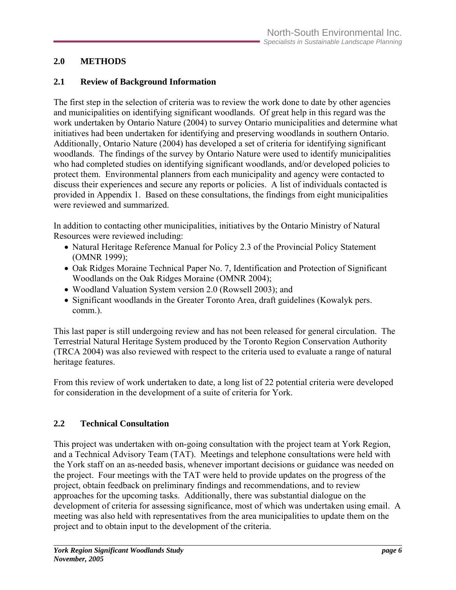## <span id="page-14-0"></span>**2.0 METHODS**

## **2.1 Review of Background Information**

The first step in the selection of criteria was to review the work done to date by other agencies and municipalities on identifying significant woodlands. Of great help in this regard was the work undertaken by Ontario Nature (2004) to survey Ontario municipalities and determine what initiatives had been undertaken for identifying and preserving woodlands in southern Ontario. Additionally, Ontario Nature (2004) has developed a set of criteria for identifying significant woodlands. The findings of the survey by Ontario Nature were used to identify municipalities who had completed studies on identifying significant woodlands, and/or developed policies to protect them. Environmental planners from each municipality and agency were contacted to discuss their experiences and secure any reports or policies. A list of individuals contacted is provided in Appendix 1. Based on these consultations, the findings from eight municipalities were reviewed and summarized.

In addition to contacting other municipalities, initiatives by the Ontario Ministry of Natural Resources were reviewed including:

- Natural Heritage Reference Manual for Policy 2.3 of the Provincial Policy Statement (OMNR 1999);
- Oak Ridges Moraine Technical Paper No. 7, Identification and Protection of Significant Woodlands on the Oak Ridges Moraine (OMNR 2004);
- Woodland Valuation System version 2.0 (Rowsell 2003); and
- Significant woodlands in the Greater Toronto Area, draft guidelines (Kowalyk pers. comm.).

This last paper is still undergoing review and has not been released for general circulation. The Terrestrial Natural Heritage System produced by the Toronto Region Conservation Authority (TRCA 2004) was also reviewed with respect to the criteria used to evaluate a range of natural heritage features.

From this review of work undertaken to date, a long list of 22 potential criteria were developed for consideration in the development of a suite of criteria for York.

## **2.2 Technical Consultation**

This project was undertaken with on-going consultation with the project team at York Region, and a Technical Advisory Team (TAT). Meetings and telephone consultations were held with the York staff on an as-needed basis, whenever important decisions or guidance was needed on the project. Four meetings with the TAT were held to provide updates on the progress of the project, obtain feedback on preliminary findings and recommendations, and to review approaches for the upcoming tasks. Additionally, there was substantial dialogue on the development of criteria for assessing significance, most of which was undertaken using email. A meeting was also held with representatives from the area municipalities to update them on the project and to obtain input to the development of the criteria.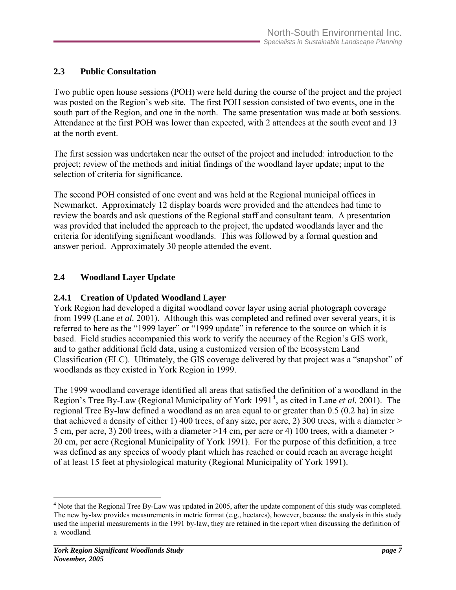## <span id="page-15-0"></span>**2.3 Public Consultation**

Two public open house sessions (POH) were held during the course of the project and the project was posted on the Region's web site. The first POH session consisted of two events, one in the south part of the Region, and one in the north. The same presentation was made at both sessions. Attendance at the first POH was lower than expected, with 2 attendees at the south event and 13 at the north event.

The first session was undertaken near the outset of the project and included: introduction to the project; review of the methods and initial findings of the woodland layer update; input to the selection of criteria for significance.

The second POH consisted of one event and was held at the Regional municipal offices in Newmarket. Approximately 12 display boards were provided and the attendees had time to review the boards and ask questions of the Regional staff and consultant team. A presentation was provided that included the approach to the project, the updated woodlands layer and the criteria for identifying significant woodlands. This was followed by a formal question and answer period. Approximately 30 people attended the event.

## **2.4 Woodland Layer Update**

## **2.4.1 Creation of Updated Woodland Layer**

York Region had developed a digital woodland cover layer using aerial photograph coverage from 1999 (Lane *et al.* 2001). Although this was completed and refined over several years, it is referred to here as the "1999 layer" or "1999 update" in reference to the source on which it is based. Field studies accompanied this work to verify the accuracy of the Region's GIS work, and to gather additional field data, using a customized version of the Ecosystem Land Classification (ELC). Ultimately, the GIS coverage delivered by that project was a "snapshot" of woodlands as they existed in York Region in 1999.

The 1999 woodland coverage identified all areas that satisfied the definition of a woodland in the Region's Tree By-Law (Regional Municipality of York 1991<sup>[4](#page-15-0)</sup>, as cited in Lane *et al.* 2001). The regional Tree By-law defined a woodland as an area equal to or greater than 0.5 (0.2 ha) in size that achieved a density of either 1) 400 trees, of any size, per acre, 2) 300 trees, with a diameter > 5 cm, per acre, 3) 200 trees, with a diameter >14 cm, per acre or 4) 100 trees, with a diameter > 20 cm, per acre (Regional Municipality of York 1991). For the purpose of this definition, a tree was defined as any species of woody plant which has reached or could reach an average height of at least 15 feet at physiological maturity (Regional Municipality of York 1991).

 $\overline{a}$ 

<sup>&</sup>lt;sup>4</sup> Note that the Regional Tree By-Law was updated in 2005, after the update component of this study was completed. The new by-law provides measurements in metric format (e.g., hectares), however, because the analysis in this study used the imperial measurements in the 1991 by-law, they are retained in the report when discussing the definition of a woodland.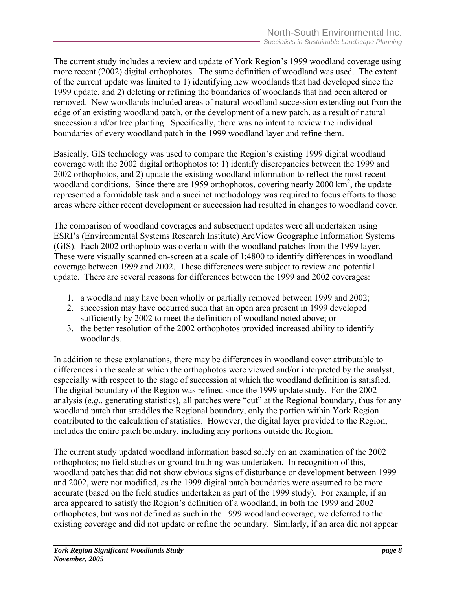The current study includes a review and update of York Region's 1999 woodland coverage using more recent (2002) digital orthophotos. The same definition of woodland was used. The extent of the current update was limited to 1) identifying new woodlands that had developed since the 1999 update, and 2) deleting or refining the boundaries of woodlands that had been altered or removed. New woodlands included areas of natural woodland succession extending out from the edge of an existing woodland patch, or the development of a new patch, as a result of natural succession and/or tree planting. Specifically, there was no intent to review the individual boundaries of every woodland patch in the 1999 woodland layer and refine them.

Basically, GIS technology was used to compare the Region's existing 1999 digital woodland coverage with the 2002 digital orthophotos to: 1) identify discrepancies between the 1999 and 2002 orthophotos, and 2) update the existing woodland information to reflect the most recent woodland conditions. Since there are 1959 orthophotos, covering nearly 2000  $\text{km}^2$ , the update represented a formidable task and a succinct methodology was required to focus efforts to those areas where either recent development or succession had resulted in changes to woodland cover.

The comparison of woodland coverages and subsequent updates were all undertaken using ESRI's (Environmental Systems Research Institute) ArcView Geographic Information Systems (GIS). Each 2002 orthophoto was overlain with the woodland patches from the 1999 layer. These were visually scanned on-screen at a scale of 1:4800 to identify differences in woodland coverage between 1999 and 2002. These differences were subject to review and potential update. There are several reasons for differences between the 1999 and 2002 coverages:

- 1. a woodland may have been wholly or partially removed between 1999 and 2002;
- 2. succession may have occurred such that an open area present in 1999 developed sufficiently by 2002 to meet the definition of woodland noted above; or
- 3. the better resolution of the 2002 orthophotos provided increased ability to identify woodlands.

In addition to these explanations, there may be differences in woodland cover attributable to differences in the scale at which the orthophotos were viewed and/or interpreted by the analyst, especially with respect to the stage of succession at which the woodland definition is satisfied. The digital boundary of the Region was refined since the 1999 update study. For the 2002 analysis (*e.g*., generating statistics), all patches were "cut" at the Regional boundary, thus for any woodland patch that straddles the Regional boundary, only the portion within York Region contributed to the calculation of statistics. However, the digital layer provided to the Region, includes the entire patch boundary, including any portions outside the Region.

The current study updated woodland information based solely on an examination of the 2002 orthophotos; no field studies or ground truthing was undertaken. In recognition of this, woodland patches that did not show obvious signs of disturbance or development between 1999 and 2002, were not modified, as the 1999 digital patch boundaries were assumed to be more accurate (based on the field studies undertaken as part of the 1999 study). For example, if an area appeared to satisfy the Region's definition of a woodland, in both the 1999 and 2002 orthophotos, but was not defined as such in the 1999 woodland coverage, we deferred to the existing coverage and did not update or refine the boundary. Similarly, if an area did not appear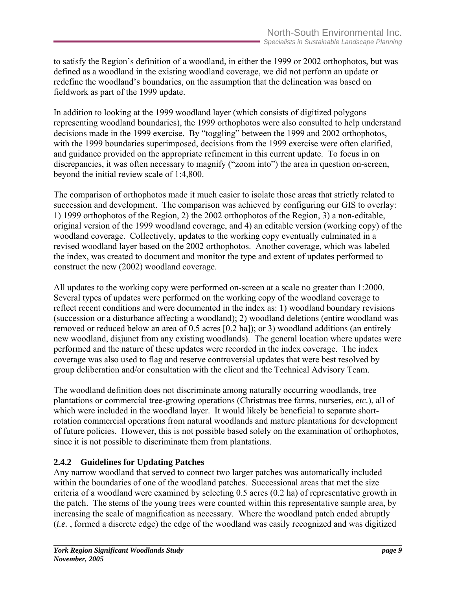<span id="page-17-0"></span>to satisfy the Region's definition of a woodland, in either the 1999 or 2002 orthophotos, but was defined as a woodland in the existing woodland coverage, we did not perform an update or redefine the woodland's boundaries, on the assumption that the delineation was based on fieldwork as part of the 1999 update.

In addition to looking at the 1999 woodland layer (which consists of digitized polygons representing woodland boundaries), the 1999 orthophotos were also consulted to help understand decisions made in the 1999 exercise. By "toggling" between the 1999 and 2002 orthophotos, with the 1999 boundaries superimposed, decisions from the 1999 exercise were often clarified, and guidance provided on the appropriate refinement in this current update. To focus in on discrepancies, it was often necessary to magnify ("zoom into") the area in question on-screen, beyond the initial review scale of 1:4,800.

The comparison of orthophotos made it much easier to isolate those areas that strictly related to succession and development. The comparison was achieved by configuring our GIS to overlay: 1) 1999 orthophotos of the Region, 2) the 2002 orthophotos of the Region, 3) a non-editable, original version of the 1999 woodland coverage, and 4) an editable version (working copy) of the woodland coverage. Collectively, updates to the working copy eventually culminated in a revised woodland layer based on the 2002 orthophotos. Another coverage, which was labeled the index, was created to document and monitor the type and extent of updates performed to construct the new (2002) woodland coverage.

All updates to the working copy were performed on-screen at a scale no greater than 1:2000. Several types of updates were performed on the working copy of the woodland coverage to reflect recent conditions and were documented in the index as: 1) woodland boundary revisions (succession or a disturbance affecting a woodland); 2) woodland deletions (entire woodland was removed or reduced below an area of 0.5 acres [0.2 ha]); or 3) woodland additions (an entirely new woodland, disjunct from any existing woodlands). The general location where updates were performed and the nature of these updates were recorded in the index coverage. The index coverage was also used to flag and reserve controversial updates that were best resolved by group deliberation and/or consultation with the client and the Technical Advisory Team.

The woodland definition does not discriminate among naturally occurring woodlands, tree plantations or commercial tree-growing operations (Christmas tree farms, nurseries, *etc.*), all of which were included in the woodland layer. It would likely be beneficial to separate shortrotation commercial operations from natural woodlands and mature plantations for development of future policies. However, this is not possible based solely on the examination of orthophotos, since it is not possible to discriminate them from plantations.

## **2.4.2 Guidelines for Updating Patches**

Any narrow woodland that served to connect two larger patches was automatically included within the boundaries of one of the woodland patches. Successional areas that met the size criteria of a woodland were examined by selecting 0.5 acres (0.2 ha) of representative growth in the patch. The stems of the young trees were counted within this representative sample area, by increasing the scale of magnification as necessary. Where the woodland patch ended abruptly (*i.e.* , formed a discrete edge) the edge of the woodland was easily recognized and was digitized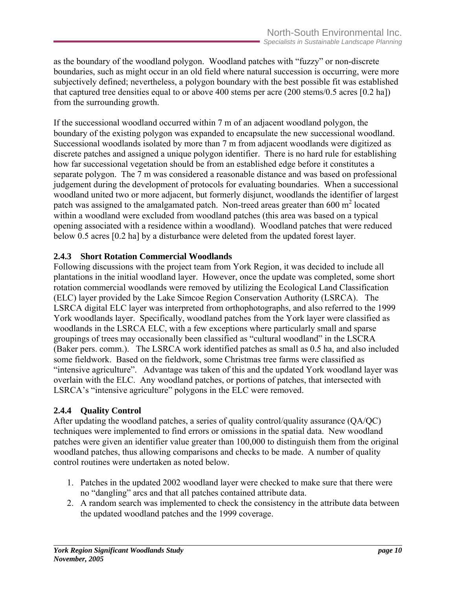<span id="page-18-0"></span>as the boundary of the woodland polygon. Woodland patches with "fuzzy" or non-discrete boundaries, such as might occur in an old field where natural succession is occurring, were more subjectively defined; nevertheless, a polygon boundary with the best possible fit was established that captured tree densities equal to or above 400 stems per acre (200 stems/0.5 acres [0.2 ha]) from the surrounding growth.

If the successional woodland occurred within 7 m of an adjacent woodland polygon, the boundary of the existing polygon was expanded to encapsulate the new successional woodland. Successional woodlands isolated by more than 7 m from adjacent woodlands were digitized as discrete patches and assigned a unique polygon identifier. There is no hard rule for establishing how far successional vegetation should be from an established edge before it constitutes a separate polygon. The 7 m was considered a reasonable distance and was based on professional judgement during the development of protocols for evaluating boundaries. When a successional woodland united two or more adjacent, but formerly disjunct, woodlands the identifier of largest patch was assigned to the amalgamated patch. Non-treed areas greater than  $600 \text{ m}^2$  located within a woodland were excluded from woodland patches (this area was based on a typical opening associated with a residence within a woodland). Woodland patches that were reduced below 0.5 acres [0.2 ha] by a disturbance were deleted from the updated forest layer.

#### **2.4.3 Short Rotation Commercial Woodlands**

Following discussions with the project team from York Region, it was decided to include all plantations in the initial woodland layer. However, once the update was completed, some short rotation commercial woodlands were removed by utilizing the Ecological Land Classification (ELC) layer provided by the Lake Simcoe Region Conservation Authority (LSRCA). The LSRCA digital ELC layer was interpreted from orthophotographs, and also referred to the 1999 York woodlands layer. Specifically, woodland patches from the York layer were classified as woodlands in the LSRCA ELC, with a few exceptions where particularly small and sparse groupings of trees may occasionally been classified as "cultural woodland" in the LSCRA (Baker pers. comm.). The LSRCA work identified patches as small as 0.5 ha, and also included some fieldwork. Based on the fieldwork, some Christmas tree farms were classified as "intensive agriculture". Advantage was taken of this and the updated York woodland layer was overlain with the ELC. Any woodland patches, or portions of patches, that intersected with LSRCA's "intensive agriculture" polygons in the ELC were removed.

#### **2.4.4 Quality Control**

After updating the woodland patches, a series of quality control/quality assurance (QA/QC) techniques were implemented to find errors or omissions in the spatial data. New woodland patches were given an identifier value greater than 100,000 to distinguish them from the original woodland patches, thus allowing comparisons and checks to be made. A number of quality control routines were undertaken as noted below.

- 1. Patches in the updated 2002 woodland layer were checked to make sure that there were no "dangling" arcs and that all patches contained attribute data.
- 2. A random search was implemented to check the consistency in the attribute data between the updated woodland patches and the 1999 coverage.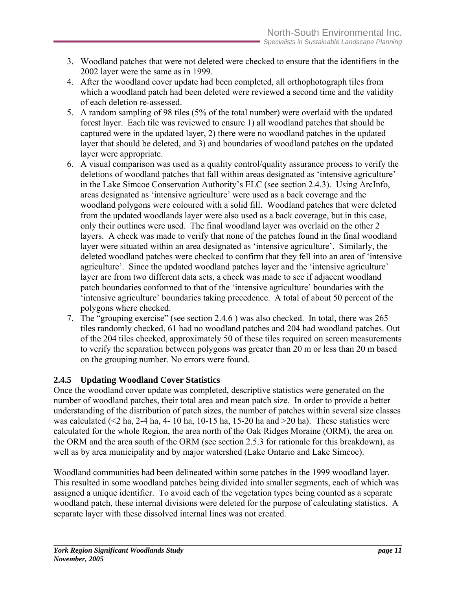- <span id="page-19-0"></span>3. Woodland patches that were not deleted were checked to ensure that the identifiers in the 2002 layer were the same as in 1999.
- 4. After the woodland cover update had been completed, all orthophotograph tiles from which a woodland patch had been deleted were reviewed a second time and the validity of each deletion re-assessed.
- 5. A random sampling of 98 tiles (5% of the total number) were overlaid with the updated forest layer. Each tile was reviewed to ensure 1) all woodland patches that should be captured were in the updated layer, 2) there were no woodland patches in the updated layer that should be deleted, and 3) and boundaries of woodland patches on the updated layer were appropriate.
- 6. A visual comparison was used as a quality control/quality assurance process to verify the deletions of woodland patches that fall within areas designated as 'intensive agriculture' in the Lake Simcoe Conservation Authority's ELC (see section 2.4.3). Using ArcInfo, areas designated as 'intensive agriculture' were used as a back coverage and the woodland polygons were coloured with a solid fill. Woodland patches that were deleted from the updated woodlands layer were also used as a back coverage, but in this case, only their outlines were used. The final woodland layer was overlaid on the other 2 layers. A check was made to verify that none of the patches found in the final woodland layer were situated within an area designated as 'intensive agriculture'. Similarly, the deleted woodland patches were checked to confirm that they fell into an area of 'intensive agriculture'. Since the updated woodland patches layer and the 'intensive agriculture' layer are from two different data sets, a check was made to see if adjacent woodland patch boundaries conformed to that of the 'intensive agriculture' boundaries with the 'intensive agriculture' boundaries taking precedence. A total of about 50 percent of the polygons where checked.
- 7. The "grouping exercise" (see section 2.4.6 ) was also checked. In total, there was 265 tiles randomly checked, 61 had no woodland patches and 204 had woodland patches. Out of the 204 tiles checked, approximately 50 of these tiles required on screen measurements to verify the separation between polygons was greater than 20 m or less than 20 m based on the grouping number. No errors were found.

## **2.4.5 Updating Woodland Cover Statistics**

Once the woodland cover update was completed, descriptive statistics were generated on the number of woodland patches, their total area and mean patch size. In order to provide a better understanding of the distribution of patch sizes, the number of patches within several size classes was calculated ( $\leq$ 2 ha, 2-4 ha, 4- 10 ha, 10-15 ha, 15-20 ha and  $\geq$ 20 ha). These statistics were calculated for the whole Region, the area north of the Oak Ridges Moraine (ORM), the area on the ORM and the area south of the ORM (see section 2.5.3 for rationale for this breakdown), as well as by area municipality and by major watershed (Lake Ontario and Lake Simcoe).

Woodland communities had been delineated within some patches in the 1999 woodland layer. This resulted in some woodland patches being divided into smaller segments, each of which was assigned a unique identifier. To avoid each of the vegetation types being counted as a separate woodland patch, these internal divisions were deleted for the purpose of calculating statistics. A separate layer with these dissolved internal lines was not created.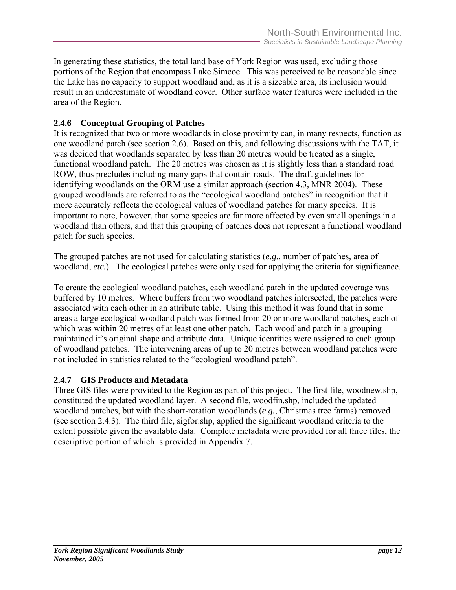<span id="page-20-0"></span>In generating these statistics, the total land base of York Region was used, excluding those portions of the Region that encompass Lake Simcoe. This was perceived to be reasonable since the Lake has no capacity to support woodland and, as it is a sizeable area, its inclusion would result in an underestimate of woodland cover. Other surface water features were included in the area of the Region.

## **2.4.6 Conceptual Grouping of Patches**

It is recognized that two or more woodlands in close proximity can, in many respects, function as one woodland patch (see section 2.6). Based on this, and following discussions with the TAT, it was decided that woodlands separated by less than 20 metres would be treated as a single, functional woodland patch. The 20 metres was chosen as it is slightly less than a standard road ROW, thus precludes including many gaps that contain roads. The draft guidelines for identifying woodlands on the ORM use a similar approach (section 4.3, MNR 2004). These grouped woodlands are referred to as the "ecological woodland patches" in recognition that it more accurately reflects the ecological values of woodland patches for many species. It is important to note, however, that some species are far more affected by even small openings in a woodland than others, and that this grouping of patches does not represent a functional woodland patch for such species.

The grouped patches are not used for calculating statistics (*e.g.*, number of patches, area of woodland, *etc.*). The ecological patches were only used for applying the criteria for significance.

To create the ecological woodland patches, each woodland patch in the updated coverage was buffered by 10 metres. Where buffers from two woodland patches intersected, the patches were associated with each other in an attribute table. Using this method it was found that in some areas a large ecological woodland patch was formed from 20 or more woodland patches, each of which was within 20 metres of at least one other patch. Each woodland patch in a grouping maintained it's original shape and attribute data. Unique identities were assigned to each group of woodland patches. The intervening areas of up to 20 metres between woodland patches were not included in statistics related to the "ecological woodland patch".

## **2.4.7 GIS Products and Metadata**

Three GIS files were provided to the Region as part of this project. The first file, woodnew.shp, constituted the updated woodland layer. A second file, woodfin.shp, included the updated woodland patches, but with the short-rotation woodlands (*e.g.*, Christmas tree farms) removed (see section 2.4.3). The third file, sigfor.shp, applied the significant woodland criteria to the extent possible given the available data. Complete metadata were provided for all three files, the descriptive portion of which is provided in Appendix 7.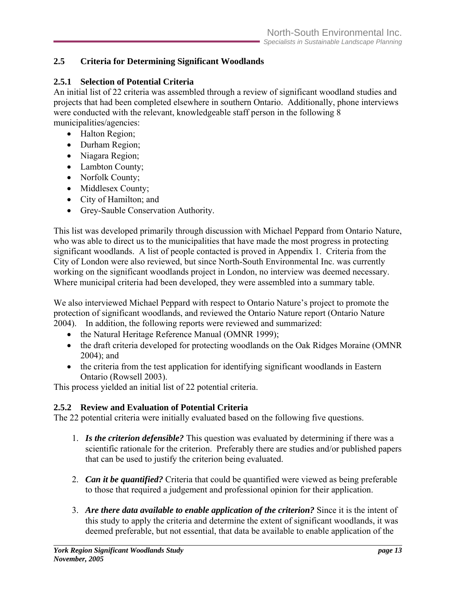## <span id="page-21-0"></span>**2.5 Criteria for Determining Significant Woodlands**

## **2.5.1 Selection of Potential Criteria**

An initial list of 22 criteria was assembled through a review of significant woodland studies and projects that had been completed elsewhere in southern Ontario. Additionally, phone interviews were conducted with the relevant, knowledgeable staff person in the following 8 municipalities/agencies:

- Halton Region;
- Durham Region;
- Niagara Region;
- Lambton County;
- Norfolk County;
- Middlesex County;
- City of Hamilton; and
- Grey-Sauble Conservation Authority.

This list was developed primarily through discussion with Michael Peppard from Ontario Nature, who was able to direct us to the municipalities that have made the most progress in protecting significant woodlands. A list of people contacted is proved in Appendix 1. Criteria from the City of London were also reviewed, but since North-South Environmental Inc. was currently working on the significant woodlands project in London, no interview was deemed necessary. Where municipal criteria had been developed, they were assembled into a summary table.

We also interviewed Michael Peppard with respect to Ontario Nature's project to promote the protection of significant woodlands, and reviewed the Ontario Nature report (Ontario Nature 2004). In addition, the following reports were reviewed and summarized:

- the Natural Heritage Reference Manual (OMNR 1999);
- the draft criteria developed for protecting woodlands on the Oak Ridges Moraine (OMNR) 2004); and
- the criteria from the test application for identifying significant woodlands in Eastern Ontario (Rowsell 2003).

This process yielded an initial list of 22 potential criteria.

## **2.5.2 Review and Evaluation of Potential Criteria**

The 22 potential criteria were initially evaluated based on the following five questions.

- 1. *Is the criterion defensible?* This question was evaluated by determining if there was a scientific rationale for the criterion. Preferably there are studies and/or published papers that can be used to justify the criterion being evaluated.
- 2. *Can it be quantified?* Criteria that could be quantified were viewed as being preferable to those that required a judgement and professional opinion for their application.
- 3. *Are there data available to enable application of the criterion?* Since it is the intent of this study to apply the criteria and determine the extent of significant woodlands, it was deemed preferable, but not essential, that data be available to enable application of the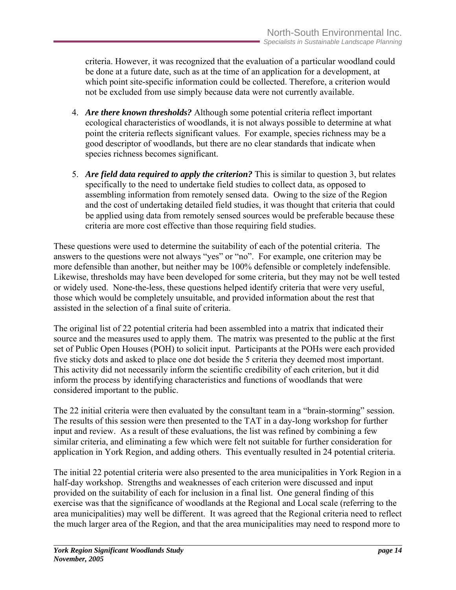criteria. However, it was recognized that the evaluation of a particular woodland could be done at a future date, such as at the time of an application for a development, at which point site-specific information could be collected. Therefore, a criterion would not be excluded from use simply because data were not currently available.

- 4. *Are there known thresholds?* Although some potential criteria reflect important ecological characteristics of woodlands, it is not always possible to determine at what point the criteria reflects significant values. For example, species richness may be a good descriptor of woodlands, but there are no clear standards that indicate when species richness becomes significant.
- 5. *Are field data required to apply the criterion?* This is similar to question 3, but relates specifically to the need to undertake field studies to collect data, as opposed to assembling information from remotely sensed data. Owing to the size of the Region and the cost of undertaking detailed field studies, it was thought that criteria that could be applied using data from remotely sensed sources would be preferable because these criteria are more cost effective than those requiring field studies.

These questions were used to determine the suitability of each of the potential criteria. The answers to the questions were not always "yes" or "no". For example, one criterion may be more defensible than another, but neither may be 100% defensible or completely indefensible. Likewise, thresholds may have been developed for some criteria, but they may not be well tested or widely used. None-the-less, these questions helped identify criteria that were very useful, those which would be completely unsuitable, and provided information about the rest that assisted in the selection of a final suite of criteria.

The original list of 22 potential criteria had been assembled into a matrix that indicated their source and the measures used to apply them. The matrix was presented to the public at the first set of Public Open Houses (POH) to solicit input. Participants at the POHs were each provided five sticky dots and asked to place one dot beside the 5 criteria they deemed most important. This activity did not necessarily inform the scientific credibility of each criterion, but it did inform the process by identifying characteristics and functions of woodlands that were considered important to the public.

The 22 initial criteria were then evaluated by the consultant team in a "brain-storming" session. The results of this session were then presented to the TAT in a day-long workshop for further input and review. As a result of these evaluations, the list was refined by combining a few similar criteria, and eliminating a few which were felt not suitable for further consideration for application in York Region, and adding others. This eventually resulted in 24 potential criteria.

The initial 22 potential criteria were also presented to the area municipalities in York Region in a half-day workshop. Strengths and weaknesses of each criterion were discussed and input provided on the suitability of each for inclusion in a final list. One general finding of this exercise was that the significance of woodlands at the Regional and Local scale (referring to the area municipalities) may well be different. It was agreed that the Regional criteria need to reflect the much larger area of the Region, and that the area municipalities may need to respond more to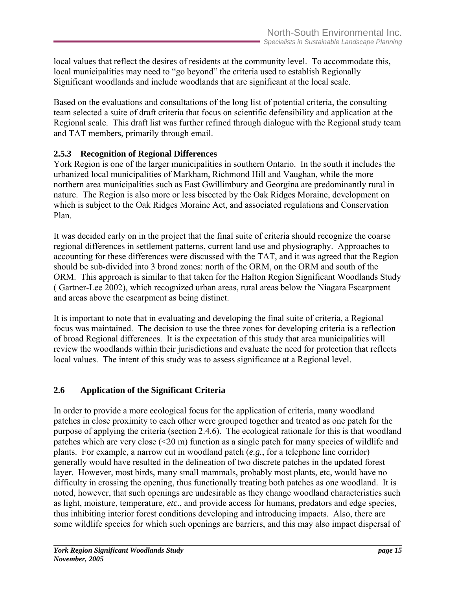<span id="page-23-0"></span>local values that reflect the desires of residents at the community level. To accommodate this, local municipalities may need to "go beyond" the criteria used to establish Regionally Significant woodlands and include woodlands that are significant at the local scale.

Based on the evaluations and consultations of the long list of potential criteria, the consulting team selected a suite of draft criteria that focus on scientific defensibility and application at the Regional scale. This draft list was further refined through dialogue with the Regional study team and TAT members, primarily through email.

## **2.5.3 Recognition of Regional Differences**

York Region is one of the larger municipalities in southern Ontario. In the south it includes the urbanized local municipalities of Markham, Richmond Hill and Vaughan, while the more northern area municipalities such as East Gwillimbury and Georgina are predominantly rural in nature. The Region is also more or less bisected by the Oak Ridges Moraine, development on which is subject to the Oak Ridges Moraine Act, and associated regulations and Conservation Plan.

It was decided early on in the project that the final suite of criteria should recognize the coarse regional differences in settlement patterns, current land use and physiography. Approaches to accounting for these differences were discussed with the TAT, and it was agreed that the Region should be sub-divided into 3 broad zones: north of the ORM, on the ORM and south of the ORM. This approach is similar to that taken for the Halton Region Significant Woodlands Study ( Gartner-Lee 2002), which recognized urban areas, rural areas below the Niagara Escarpment and areas above the escarpment as being distinct.

It is important to note that in evaluating and developing the final suite of criteria, a Regional focus was maintained. The decision to use the three zones for developing criteria is a reflection of broad Regional differences. It is the expectation of this study that area municipalities will review the woodlands within their jurisdictions and evaluate the need for protection that reflects local values. The intent of this study was to assess significance at a Regional level.

#### **2.6 Application of the Significant Criteria**

In order to provide a more ecological focus for the application of criteria, many woodland patches in close proximity to each other were grouped together and treated as one patch for the purpose of applying the criteria (section 2.4.6). The ecological rationale for this is that woodland patches which are very close  $(\leq 20 \text{ m})$  function as a single patch for many species of wildlife and plants. For example, a narrow cut in woodland patch (*e.g.*, for a telephone line corridor) generally would have resulted in the delineation of two discrete patches in the updated forest layer. However, most birds, many small mammals, probably most plants, etc, would have no difficulty in crossing the opening, thus functionally treating both patches as one woodland. It is noted, however, that such openings are undesirable as they change woodland characteristics such as light, moisture, temperature, *etc.*, and provide access for humans, predators and edge species, thus inhibiting interior forest conditions developing and introducing impacts. Also, there are some wildlife species for which such openings are barriers, and this may also impact dispersal of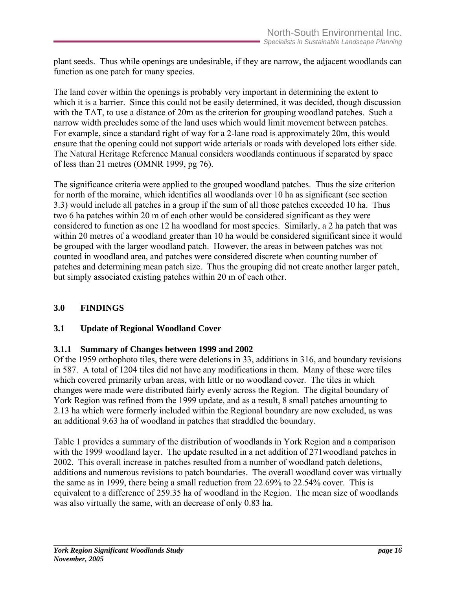<span id="page-24-0"></span>plant seeds. Thus while openings are undesirable, if they are narrow, the adjacent woodlands can function as one patch for many species.

The land cover within the openings is probably very important in determining the extent to which it is a barrier. Since this could not be easily determined, it was decided, though discussion with the TAT, to use a distance of 20m as the criterion for grouping woodland patches. Such a narrow width precludes some of the land uses which would limit movement between patches. For example, since a standard right of way for a 2-lane road is approximately 20m, this would ensure that the opening could not support wide arterials or roads with developed lots either side. The Natural Heritage Reference Manual considers woodlands continuous if separated by space of less than 21 metres (OMNR 1999, pg 76).

The significance criteria were applied to the grouped woodland patches. Thus the size criterion for north of the moraine, which identifies all woodlands over 10 ha as significant (see section 3.3) would include all patches in a group if the sum of all those patches exceeded 10 ha. Thus two 6 ha patches within 20 m of each other would be considered significant as they were considered to function as one 12 ha woodland for most species. Similarly, a 2 ha patch that was within 20 metres of a woodland greater than 10 ha would be considered significant since it would be grouped with the larger woodland patch. However, the areas in between patches was not counted in woodland area, and patches were considered discrete when counting number of patches and determining mean patch size. Thus the grouping did not create another larger patch, but simply associated existing patches within 20 m of each other.

## **3.0 FINDINGS**

#### **3.1 Update of Regional Woodland Cover**

#### **3.1.1 Summary of Changes between 1999 and 2002**

Of the 1959 orthophoto tiles, there were deletions in 33, additions in 316, and boundary revisions in 587. A total of 1204 tiles did not have any modifications in them. Many of these were tiles which covered primarily urban areas, with little or no woodland cover. The tiles in which changes were made were distributed fairly evenly across the Region. The digital boundary of York Region was refined from the 1999 update, and as a result, 8 small patches amounting to 2.13 ha which were formerly included within the Regional boundary are now excluded, as was an additional 9.63 ha of woodland in patches that straddled the boundary.

Table 1 provides a summary of the distribution of woodlands in York Region and a comparison with the 1999 woodland layer. The update resulted in a net addition of 271woodland patches in 2002. This overall increase in patches resulted from a number of woodland patch deletions, additions and numerous revisions to patch boundaries. The overall woodland cover was virtually the same as in 1999, there being a small reduction from 22.69% to 22.54% cover. This is equivalent to a difference of 259.35 ha of woodland in the Region. The mean size of woodlands was also virtually the same, with an decrease of only 0.83 ha.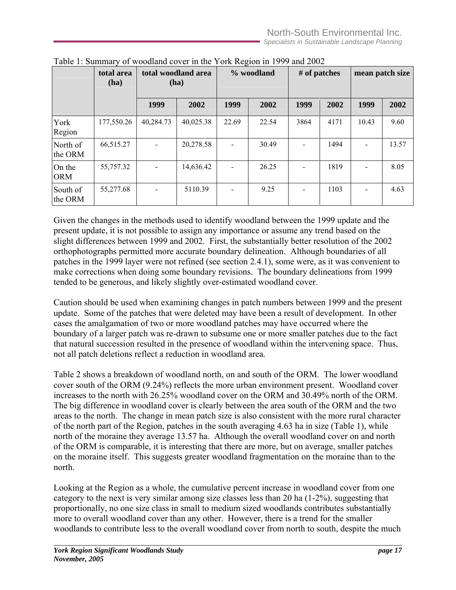|                      | total area<br>(ha) | total woodland area<br>(ha) |           |       | % woodland | # of patches |      | mean patch size |       |
|----------------------|--------------------|-----------------------------|-----------|-------|------------|--------------|------|-----------------|-------|
|                      |                    | 1999                        | 2002      | 1999  | 2002       | 1999         | 2002 | 1999            | 2002  |
| York<br>Region       | 177,550.26         | 40,284.73                   | 40,025.38 | 22.69 | 22.54      | 3864         | 4171 | 10.43           | 9.60  |
| North of<br>the ORM  | 66,515.27          |                             | 20,278.58 |       | 30.49      |              | 1494 |                 | 13.57 |
| On the<br><b>ORM</b> | 55,757.32          |                             | 14,636.42 |       | 26.25      |              | 1819 |                 | 8.05  |
| South of<br>the ORM  | 55,277.68          |                             | 5110.39   |       | 9.25       |              | 1103 |                 | 4.63  |

<span id="page-25-0"></span>Table 1: Summary of woodland cover in the York Region in 1999 and 2002

Given the changes in the methods used to identify woodland between the 1999 update and the present update, it is not possible to assign any importance or assume any trend based on the slight differences between 1999 and 2002. First, the substantially better resolution of the 2002 orthophotographs permitted more accurate boundary delineation. Although boundaries of all patches in the 1999 layer were not refined (see section 2.4.1), some were, as it was convenient to make corrections when doing some boundary revisions. The boundary delineations from 1999 tended to be generous, and likely slightly over-estimated woodland cover.

Caution should be used when examining changes in patch numbers between 1999 and the present update. Some of the patches that were deleted may have been a result of development. In other cases the amalgamation of two or more woodland patches may have occurred where the boundary of a larger patch was re-drawn to subsume one or more smaller patches due to the fact that natural succession resulted in the presence of woodland within the intervening space. Thus, not all patch deletions reflect a reduction in woodland area.

Table 2 shows a breakdown of woodland north, on and south of the ORM. The lower woodland cover south of the ORM (9.24%) reflects the more urban environment present. Woodland cover increases to the north with 26.25% woodland cover on the ORM and 30.49% north of the ORM. The big difference in woodland cover is clearly between the area south of the ORM and the two areas to the north. The change in mean patch size is also consistent with the more rural character of the north part of the Region, patches in the south averaging 4.63 ha in size (Table 1), while north of the moraine they average 13.57 ha. Although the overall woodland cover on and north of the ORM is comparable, it is interesting that there are more, but on average, smaller patches on the moraine itself. This suggests greater woodland fragmentation on the moraine than to the north.

Looking at the Region as a whole, the cumulative percent increase in woodland cover from one category to the next is very similar among size classes less than 20 ha (1-2%), suggesting that proportionally, no one size class in small to medium sized woodlands contributes substantially more to overall woodland cover than any other. However, there is a trend for the smaller woodlands to contribute less to the overall woodland cover from north to south, despite the much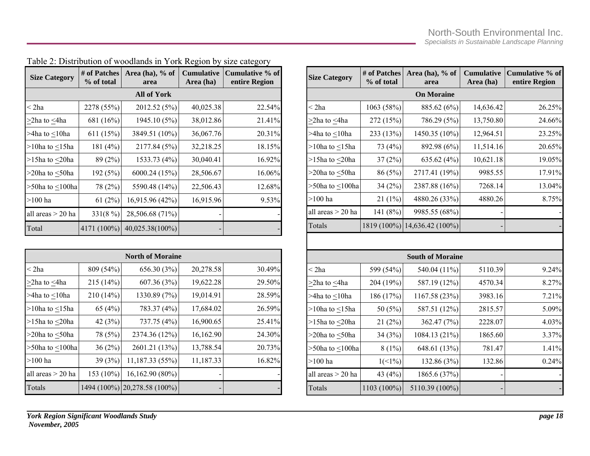| <b>Size Category</b>     | # of Patches<br>% of total | Area (ha), $%$ of<br>area | <b>Cumulative</b><br>Area (ha) | Cumulative % of<br>entire Region |
|--------------------------|----------------------------|---------------------------|--------------------------------|----------------------------------|
|                          |                            | <b>All of York</b>        |                                |                                  |
| $<$ 2ha                  | 2278 (55%)                 | 2012.52 (5%)              | 40,025.38                      | 22.54%                           |
| $\geq$ 2ha to $\leq$ 4ha | 681 (16%)                  | 1945.10 (5%)              | 38,012.86                      | 21.41%                           |
| $>4$ ha to $<$ 10ha      | 611 (15%)                  | 3849.51 (10%)             | 36,067.76                      | 20.31%                           |
| $>10$ ha to $<15$ ha     | 181 (4%)                   | 2177.84 (5%)              | 32,218.25                      | 18.15%                           |
| >15ha to $\leq$ 20ha     | 89 (2%)                    | 1533.73 (4%)              | 30,040.41                      | 16.92%                           |
| >20ha to $\leq$ 50ha     | 192 (5%)                   | 6000.24 (15%)             | 28,506.67                      | 16.06%                           |
| >50ha to $\leq$ 100ha    | 78 (2%)                    | 5590.48 (14%)             | 22,506.43                      | 12.68%                           |
| $>100$ ha                | 61(2%)                     | 16,915.96 (42%)           | 16,915.96                      | 9.53%                            |
| all areas $>$ 20 ha      | 331(8%)                    | 28,506.68 (71%)           |                                |                                  |
| Total                    | 4171 (100%)                | 40,025.38(100%)           |                                |                                  |

Table 2: Distribution of woodlands in York Region by size category

<span id="page-26-0"></span>

| <b>North of Moraine</b> |           |                              |           |        |  |  |  |
|-------------------------|-----------|------------------------------|-----------|--------|--|--|--|
| $<$ 2ha                 | 809 (54%) | 656.30 (3%)                  | 20,278.58 | 30.49% |  |  |  |
| $>$ 2ha to $<$ 4ha      | 215 (14%) | 607.36 (3%)                  | 19,622.28 | 29.50% |  |  |  |
| $>4$ ha to $<$ 10ha     | 210(14%)  | 1330.89 (7%)                 | 19,014.91 | 28.59% |  |  |  |
| $>10$ ha to $<15$ ha    | 65 $(4%)$ | 783.37 (4%)                  | 17,684.02 | 26.59% |  |  |  |
| >15ha to $\leq$ 20ha    | 42 $(3%)$ | 737.75 (4%)                  | 16,900.65 | 25.41% |  |  |  |
| $>$ 20ha to $<$ 50ha    | 78 (5%)   | 2374.36 (12%)                | 16,162.90 | 24.30% |  |  |  |
| $>50$ ha to $<$ 100ha   | 36(2%)    | 2601.21 (13%)                | 13,788.54 | 20.73% |  |  |  |
| $>100$ ha               | 39 (3%)   | 11,187.33 (55%)              | 11,187.33 | 16.82% |  |  |  |
| all areas > 20 ha       | 153 (10%) | 16,162.90 (80%)              |           |        |  |  |  |
| Totals                  |           | 1494 (100%) 20,278.58 (100%) |           |        |  |  |  |

| <b>Size Category</b>     | # of Patches<br>% of total | Area (ha), % of<br>area | <b>Cumulative</b><br>Area (ha) | Cumulative % of<br>entire Region |  |  |  |  |
|--------------------------|----------------------------|-------------------------|--------------------------------|----------------------------------|--|--|--|--|
| <b>On Moraine</b>        |                            |                         |                                |                                  |  |  |  |  |
| $<$ 2ha                  | 1063 (58%)                 | 885.62 (6%)             | 14,636.42                      | 26.25%                           |  |  |  |  |
| $\geq$ 2ha to $\leq$ 4ha | 272 (15%)                  | 786.29 (5%)             | 13,750.80                      | 24.66%                           |  |  |  |  |
| >4ha to <10ha            | 233 (13%)                  | 1450.35 (10%)           | 12,964.51                      | 23.25%                           |  |  |  |  |
| >10ha to $\leq$ 15ha     | 73 (4%)                    | 892.98 (6%)             | 11,514.16                      | 20.65%                           |  |  |  |  |
| >15ha to $\leq$ 20ha     | 37(2%)                     | 635.62 $(4%)$           | 10,621.18                      | 19.05%                           |  |  |  |  |
| >20ha to $\leq$ 50ha     | 86 (5%)                    | 2717.41 (19%)           | 9985.55                        | 17.91%                           |  |  |  |  |
| >50ha to $\leq$ 100ha    | 34(2%)                     | 2387.88 (16%)           | 7268.14                        | 13.04%                           |  |  |  |  |
| $>100$ ha                | 21(1%)                     | 4880.26 (33%)           | 4880.26                        | 8.75%                            |  |  |  |  |
| all areas > 20 ha        | 141 (8%)                   | 9985.55 (68%)           |                                |                                  |  |  |  |  |
| Totals                   | 1819 (100%)                | 14,636.42 (100%)        |                                |                                  |  |  |  |  |
|                          |                            |                         |                                |                                  |  |  |  |  |
|                          |                            | <b>South of Moraine</b> |                                |                                  |  |  |  |  |
| $<$ 2ha                  | 599 (54%)                  | 540.04 (11%)            | 5110.39                        | 9.24%                            |  |  |  |  |
| $\geq$ 2ha to $\leq$ 4ha | 204 (19%)                  | 587.19 (12%)            | 4570.34                        | 8.27%                            |  |  |  |  |
| >4ha to $\leq$ 10ha      | 186 (17%)                  | 1167.58 (23%)           | 3983.16                        | 7.21%                            |  |  |  |  |
| >10ha to $\leq$ 15ha     | 50(5%)                     | 587.51 (12%)            | 2815.57                        | 5.09%                            |  |  |  |  |
| >15ha to $\leq$ 20ha     | 21(2%)                     | 362.47 (7%)             | 2228.07                        | 4.03%                            |  |  |  |  |
| >20ha to $\leq$ 50ha     | 34(3%)                     | 1084.13 (21%)           | 1865.60                        | 3.37%                            |  |  |  |  |
| >50ha to $\leq$ 100ha    | $8(1\%)$                   | 648.61 (13%)            | 781.47                         | 1.41%                            |  |  |  |  |
| $>100$ ha                | $1($ < 1%)                 | 132.86 (3%)             | 132.86                         | 0.24%                            |  |  |  |  |
| all areas > 20 ha        | 43 (4%)                    | 1865.6 (37%)            |                                |                                  |  |  |  |  |
| Totals                   | 1103 (100%)                | 5110.39 (100%)          |                                |                                  |  |  |  |  |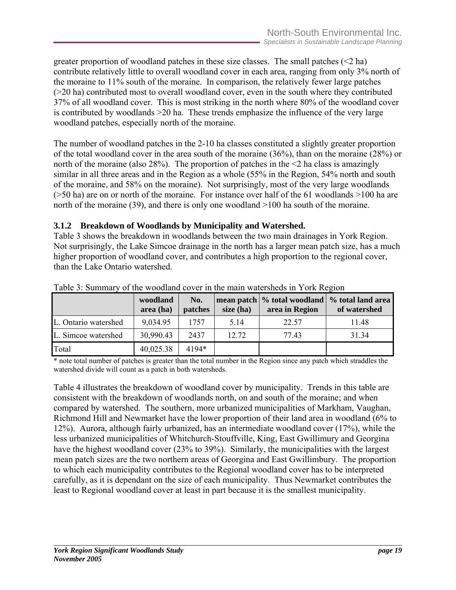<span id="page-27-0"></span>greater proportion of woodland patches in these size classes. The small patches  $(\leq 2$  ha) contribute relatively little to overall woodland cover in each area, ranging from only 3% north of the moraine to 11% south of the moraine. In comparison, the relatively fewer large patches (>20 ha) contributed most to overall woodland cover, even in the south where they contributed 37% of all woodland cover. This is most striking in the north where 80% of the woodland cover is contributed by woodlands >20 ha. These trends emphasize the influence of the very large woodland patches, especially north of the moraine.

The number of woodland patches in the 2-10 ha classes constituted a slightly greater proportion of the total woodland cover in the area south of the moraine (36%), than on the moraine (28%) or north of the moraine (also 28%). The proportion of patches in the  $\leq 2$  ha class is amazingly similar in all three areas and in the Region as a whole (55% in the Region, 54% north and south of the moraine, and 58% on the moraine). Not surprisingly, most of the very large woodlands (>50 ha) are on or north of the moraine. For instance over half of the 61 woodlands >100 ha are north of the moraine (39), and there is only one woodland >100 ha south of the moraine.

#### **3.1.2 Breakdown of Woodlands by Municipality and Watershed.**

Table 3 shows the breakdown in woodlands between the two main drainages in York Region. Not surprisingly, the Lake Simcoe drainage in the north has a larger mean patch size, has a much higher proportion of woodland cover, and contributes a high proportion to the regional cover, than the Lake Ontario watershed.

|                      | woodland<br>area (ha) | No.<br>patches | size (ha) | mean patch   % total woodland  <br>area in Region | % total land area<br>of watershed |
|----------------------|-----------------------|----------------|-----------|---------------------------------------------------|-----------------------------------|
| L. Ontario watershed | 9,034.95              | 1757           | 5.14      | 22.57                                             | 11.48                             |
| L. Simcoe watershed  | 30,990.43             | 2437           | 12.72     | 77.43                                             | 31.34                             |
| Total                | 40,025.38             | 4194*          |           |                                                   |                                   |

Table 3: Summary of the woodland cover in the main watersheds in York Region

\* note total number of patches is greater than the total number in the Region since any patch which straddles the watershed divide will count as a patch in both watersheds.

Table 4 illustrates the breakdown of woodland cover by municipality. Trends in this table are consistent with the breakdown of woodlands north, on and south of the moraine; and when compared by watershed. The southern, more urbanized municipalities of Markham, Vaughan, Richmond Hill and Newmarket have the lower proportion of their land area in woodland (6% to 12%). Aurora, although fairly urbanized, has an intermediate woodland cover (17%), while the less urbanized municipalities of Whitchurch-Stouffville, King, East Gwillimury and Georgina have the highest woodland cover (23% to 39%). Similarly, the municipalities with the largest mean patch sizes are the two northern areas of Georgina and East Gwillimbury. The proportion to which each municipality contributes to the Regional woodland cover has to be interpreted carefully, as it is dependant on the size of each municipality. Thus Newmarket contributes the least to Regional woodland cover at least in part because it is the smallest municipality.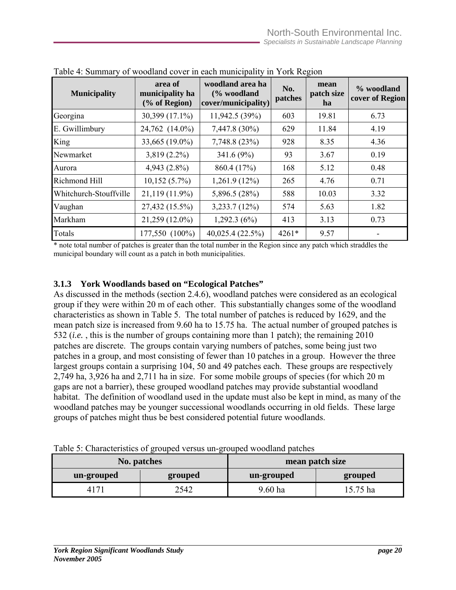| <b>Municipality</b>    | area of<br>municipality ha<br>(% of Region) | woodland area ha<br>(% woodland<br>cover/municipality) | No.<br>patches | mean<br>patch size<br>ha | % woodland<br>cover of Region |
|------------------------|---------------------------------------------|--------------------------------------------------------|----------------|--------------------------|-------------------------------|
| Georgina               | 30,399 (17.1%)                              | 11,942.5 (39%)                                         | 603            | 19.81                    | 6.73                          |
| E. Gwillimbury         | 24,762 (14.0%)                              | 7,447.8 (30%)                                          | 629            | 11.84                    | 4.19                          |
| King                   | 33,665 (19.0%)                              | 7,748.8 (23%)                                          | 928            | 8.35                     | 4.36                          |
| Newmarket              | $3,819(2.2\%)$                              | 341.6 (9%)                                             | 93             | 3.67                     | 0.19                          |
| Aurora                 | $4,943(2.8\%)$                              | 860.4 (17%)                                            | 168            | 5.12                     | 0.48                          |
| Richmond Hill          | $10,152(5.7\%)$                             | $1,261.9(12\%)$                                        | 265            | 4.76                     | 0.71                          |
| Whitchurch-Stouffville | 21,119 (11.9%)                              | 5,896.5 $(28\%)$                                       | 588            | 10.03                    | 3.32                          |
| Vaughan                | 27,432 (15.5%)                              | 3,233.7(12%)                                           | 574            | 5.63                     | 1.82                          |
| Markham                | 21,259 (12.0%)                              | 1,292.3(6%)                                            | 413            | 3.13                     | 0.73                          |
| Totals                 | 177,550 (100%)                              | 40,025.4 (22.5%)                                       | 4261*          | 9.57                     |                               |

<span id="page-28-0"></span>Table 4: Summary of woodland cover in each municipality in York Region

\* note total number of patches is greater than the total number in the Region since any patch which straddles the municipal boundary will count as a patch in both municipalities.

#### **3.1.3 York Woodlands based on "Ecological Patches"**

As discussed in the methods (section 2.4.6), woodland patches were considered as an ecological group if they were within 20 m of each other. This substantially changes some of the woodland characteristics as shown in Table 5. The total number of patches is reduced by 1629, and the mean patch size is increased from 9.60 ha to 15.75 ha. The actual number of grouped patches is 532 (*i.e.* , this is the number of groups containing more than 1 patch); the remaining 2010 patches are discrete. The groups contain varying numbers of patches, some being just two patches in a group, and most consisting of fewer than 10 patches in a group. However the three largest groups contain a surprising 104, 50 and 49 patches each. These groups are respectively 2,749 ha, 3,926 ha and 2,711 ha in size. For some mobile groups of species (for which 20 m gaps are not a barrier), these grouped woodland patches may provide substantial woodland habitat. The definition of woodland used in the update must also be kept in mind, as many of the woodland patches may be younger successional woodlands occurring in old fields. These large groups of patches might thus be best considered potential future woodlands.

| Table 5: Characteristics of grouped versus un-grouped woodland patches |  |  |
|------------------------------------------------------------------------|--|--|
|                                                                        |  |  |

| No. patches |         | mean patch size |         |
|-------------|---------|-----------------|---------|
| un-grouped  | grouped | un-grouped      | grouped |
| 41          | 2542    | $9.60$ ha       | 5.75 ha |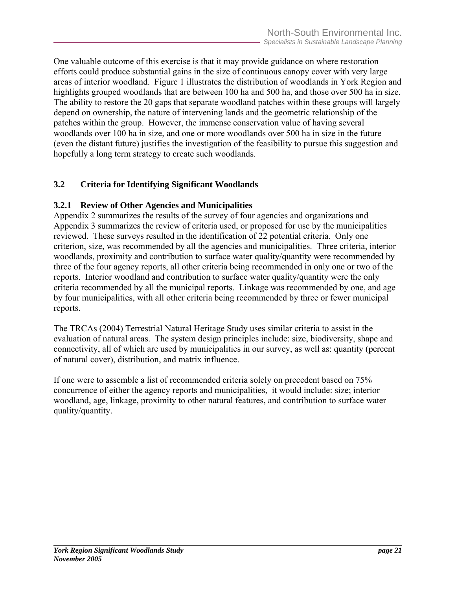<span id="page-29-0"></span>One valuable outcome of this exercise is that it may provide guidance on where restoration efforts could produce substantial gains in the size of continuous canopy cover with very large areas of interior woodland. Figure 1 illustrates the distribution of woodlands in York Region and highlights grouped woodlands that are between 100 ha and 500 ha, and those over 500 ha in size. The ability to restore the 20 gaps that separate woodland patches within these groups will largely depend on ownership, the nature of intervening lands and the geometric relationship of the patches within the group. However, the immense conservation value of having several woodlands over 100 ha in size, and one or more woodlands over 500 ha in size in the future (even the distant future) justifies the investigation of the feasibility to pursue this suggestion and hopefully a long term strategy to create such woodlands.

## **3.2 Criteria for Identifying Significant Woodlands**

#### **3.2.1 Review of Other Agencies and Municipalities**

Appendix 2 summarizes the results of the survey of four agencies and organizations and Appendix 3 summarizes the review of criteria used, or proposed for use by the municipalities reviewed. These surveys resulted in the identification of 22 potential criteria. Only one criterion, size, was recommended by all the agencies and municipalities. Three criteria, interior woodlands, proximity and contribution to surface water quality/quantity were recommended by three of the four agency reports, all other criteria being recommended in only one or two of the reports. Interior woodland and contribution to surface water quality/quantity were the only criteria recommended by all the municipal reports. Linkage was recommended by one, and age by four municipalities, with all other criteria being recommended by three or fewer municipal reports.

The TRCAs (2004) Terrestrial Natural Heritage Study uses similar criteria to assist in the evaluation of natural areas. The system design principles include: size, biodiversity, shape and connectivity, all of which are used by municipalities in our survey, as well as: quantity (percent of natural cover), distribution, and matrix influence.

If one were to assemble a list of recommended criteria solely on precedent based on 75% concurrence of either the agency reports and municipalities, it would include: size; interior woodland, age, linkage, proximity to other natural features, and contribution to surface water quality/quantity.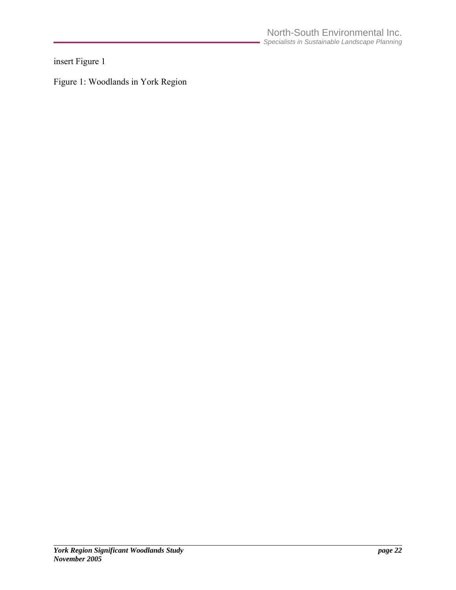<span id="page-30-0"></span>insert Figure 1

Figure 1: Woodlands in York Region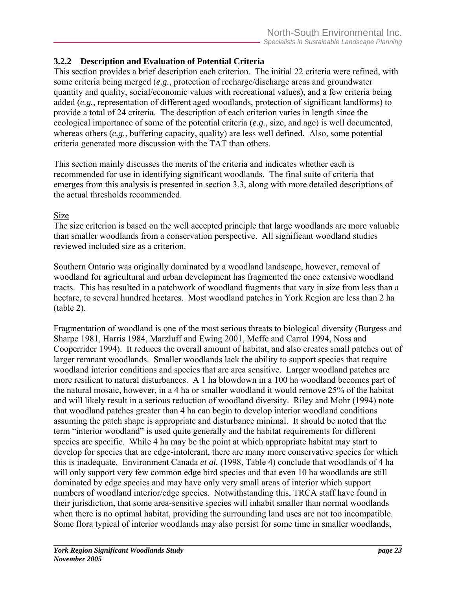## <span id="page-31-0"></span>**3.2.2 Description and Evaluation of Potential Criteria**

This section provides a brief description each criterion. The initial 22 criteria were refined, with some criteria being merged (*e.g.*, protection of recharge/discharge areas and groundwater quantity and quality, social/economic values with recreational values), and a few criteria being added (*e.g.*, representation of different aged woodlands, protection of significant landforms) to provide a total of 24 criteria. The description of each criterion varies in length since the ecological importance of some of the potential criteria (*e.g.*, size, and age) is well documented, whereas others (*e.g.*, buffering capacity, quality) are less well defined. Also, some potential criteria generated more discussion with the TAT than others.

This section mainly discusses the merits of the criteria and indicates whether each is recommended for use in identifying significant woodlands. The final suite of criteria that emerges from this analysis is presented in section 3.3, along with more detailed descriptions of the actual thresholds recommended.

#### Size

The size criterion is based on the well accepted principle that large woodlands are more valuable than smaller woodlands from a conservation perspective. All significant woodland studies reviewed included size as a criterion.

Southern Ontario was originally dominated by a woodland landscape, however, removal of woodland for agricultural and urban development has fragmented the once extensive woodland tracts. This has resulted in a patchwork of woodland fragments that vary in size from less than a hectare, to several hundred hectares. Most woodland patches in York Region are less than 2 ha (table 2).

Fragmentation of woodland is one of the most serious threats to biological diversity (Burgess and Sharpe 1981, Harris 1984, Marzluff and Ewing 2001, Meffe and Carrol 1994, Noss and Cooperrider 1994). It reduces the overall amount of habitat, and also creates small patches out of larger remnant woodlands. Smaller woodlands lack the ability to support species that require woodland interior conditions and species that are area sensitive. Larger woodland patches are more resilient to natural disturbances. A 1 ha blowdown in a 100 ha woodland becomes part of the natural mosaic, however, in a 4 ha or smaller woodland it would remove 25% of the habitat and will likely result in a serious reduction of woodland diversity. Riley and Mohr (1994) note that woodland patches greater than 4 ha can begin to develop interior woodland conditions assuming the patch shape is appropriate and disturbance minimal. It should be noted that the term "interior woodland" is used quite generally and the habitat requirements for different species are specific. While 4 ha may be the point at which appropriate habitat may start to develop for species that are edge-intolerant, there are many more conservative species for which this is inadequate. Environment Canada *et al.* (1998, Table 4) conclude that woodlands of 4 ha will only support very few common edge bird species and that even 10 ha woodlands are still dominated by edge species and may have only very small areas of interior which support numbers of woodland interior/edge species. Notwithstanding this, TRCA staff have found in their jurisdiction, that some area-sensitive species will inhabit smaller than normal woodlands when there is no optimal habitat, providing the surrounding land uses are not too incompatible. Some flora typical of interior woodlands may also persist for some time in smaller woodlands,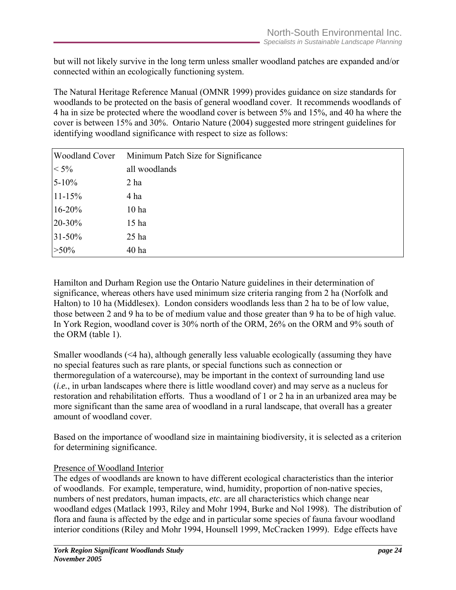but will not likely survive in the long term unless smaller woodland patches are expanded and/or connected within an ecologically functioning system.

The Natural Heritage Reference Manual (OMNR 1999) provides guidance on size standards for woodlands to be protected on the basis of general woodland cover. It recommends woodlands of 4 ha in size be protected where the woodland cover is between 5% and 15%, and 40 ha where the cover is between 15% and 30%. Ontario Nature (2004) suggested more stringent guidelines for identifying woodland significance with respect to size as follows:

| <b>Woodland Cover</b> | Minimum Patch Size for Significance |
|-----------------------|-------------------------------------|
| $< 5\%$               | all woodlands                       |
| $5 - 10\%$            | 2 <sub>ha</sub>                     |
| $11 - 15%$            | 4 ha                                |
| $16 - 20%$            | 10 <sub>ha</sub>                    |
| 20-30%                | 15 <sub>ha</sub>                    |
| $31 - 50\%$           | $25$ ha                             |
| $>50\%$               | 40 <sub>ha</sub>                    |

Hamilton and Durham Region use the Ontario Nature guidelines in their determination of significance, whereas others have used minimum size criteria ranging from 2 ha (Norfolk and Halton) to 10 ha (Middlesex). London considers woodlands less than 2 ha to be of low value, those between 2 and 9 ha to be of medium value and those greater than 9 ha to be of high value. In York Region, woodland cover is 30% north of the ORM, 26% on the ORM and 9% south of the ORM (table 1).

Smaller woodlands (<4 ha), although generally less valuable ecologically (assuming they have no special features such as rare plants, or special functions such as connection or thermoregulation of a watercourse), may be important in the context of surrounding land use (*i.e.*, in urban landscapes where there is little woodland cover) and may serve as a nucleus for restoration and rehabilitation efforts. Thus a woodland of 1 or 2 ha in an urbanized area may be more significant than the same area of woodland in a rural landscape, that overall has a greater amount of woodland cover.

Based on the importance of woodland size in maintaining biodiversity, it is selected as a criterion for determining significance.

#### Presence of Woodland Interior

The edges of woodlands are known to have different ecological characteristics than the interior of woodlands. For example, temperature, wind, humidity, proportion of non-native species, numbers of nest predators, human impacts, *etc.* are all characteristics which change near woodland edges (Matlack 1993, Riley and Mohr 1994, Burke and Nol 1998). The distribution of flora and fauna is affected by the edge and in particular some species of fauna favour woodland interior conditions (Riley and Mohr 1994, Hounsell 1999, McCracken 1999). Edge effects have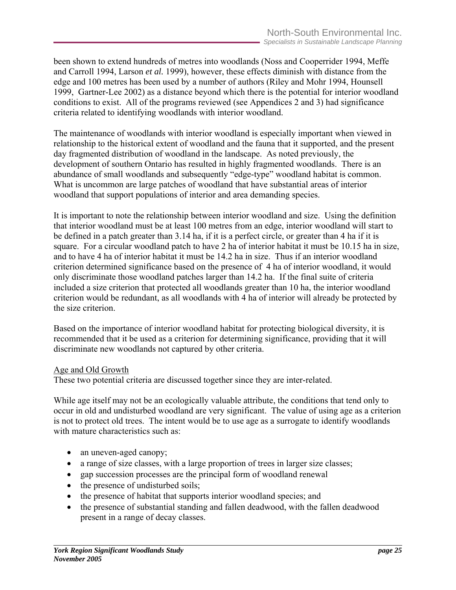been shown to extend hundreds of metres into woodlands (Noss and Cooperrider 1994, Meffe and Carroll 1994, Larson *et al.* 1999), however, these effects diminish with distance from the edge and 100 metres has been used by a number of authors (Riley and Mohr 1994, Hounsell 1999, Gartner-Lee 2002) as a distance beyond which there is the potential for interior woodland conditions to exist. All of the programs reviewed (see Appendices 2 and 3) had significance criteria related to identifying woodlands with interior woodland.

The maintenance of woodlands with interior woodland is especially important when viewed in relationship to the historical extent of woodland and the fauna that it supported, and the present day fragmented distribution of woodland in the landscape. As noted previously, the development of southern Ontario has resulted in highly fragmented woodlands. There is an abundance of small woodlands and subsequently "edge-type" woodland habitat is common. What is uncommon are large patches of woodland that have substantial areas of interior woodland that support populations of interior and area demanding species.

It is important to note the relationship between interior woodland and size. Using the definition that interior woodland must be at least 100 metres from an edge, interior woodland will start to be defined in a patch greater than 3.14 ha, if it is a perfect circle, or greater than 4 ha if it is square. For a circular woodland patch to have 2 ha of interior habitat it must be 10.15 ha in size, and to have 4 ha of interior habitat it must be 14.2 ha in size. Thus if an interior woodland criterion determined significance based on the presence of 4 ha of interior woodland, it would only discriminate those woodland patches larger than 14.2 ha. If the final suite of criteria included a size criterion that protected all woodlands greater than 10 ha, the interior woodland criterion would be redundant, as all woodlands with 4 ha of interior will already be protected by the size criterion.

Based on the importance of interior woodland habitat for protecting biological diversity, it is recommended that it be used as a criterion for determining significance, providing that it will discriminate new woodlands not captured by other criteria.

#### Age and Old Growth

These two potential criteria are discussed together since they are inter-related.

While age itself may not be an ecologically valuable attribute, the conditions that tend only to occur in old and undisturbed woodland are very significant. The value of using age as a criterion is not to protect old trees. The intent would be to use age as a surrogate to identify woodlands with mature characteristics such as:

- an uneven-aged canopy;
- a range of size classes, with a large proportion of trees in larger size classes;
- gap succession processes are the principal form of woodland renewal
- the presence of undisturbed soils;
- the presence of habitat that supports interior woodland species; and
- the presence of substantial standing and fallen deadwood, with the fallen deadwood present in a range of decay classes.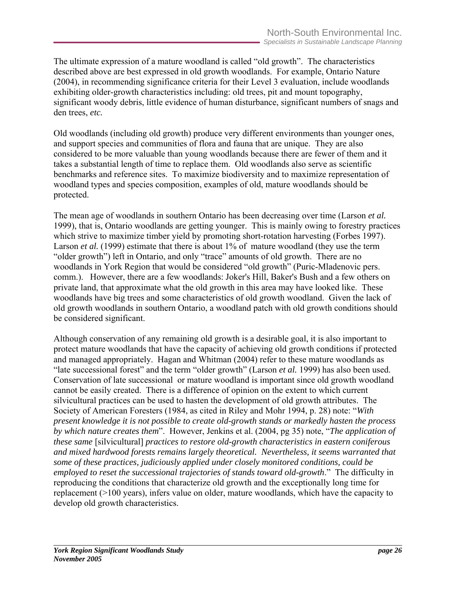The ultimate expression of a mature woodland is called "old growth". The characteristics described above are best expressed in old growth woodlands. For example, Ontario Nature (2004), in recommending significance criteria for their Level 3 evaluation, include woodlands exhibiting older-growth characteristics including: old trees, pit and mount topography, significant woody debris, little evidence of human disturbance, significant numbers of snags and den trees, *etc.*

Old woodlands (including old growth) produce very different environments than younger ones, and support species and communities of flora and fauna that are unique. They are also considered to be more valuable than young woodlands because there are fewer of them and it takes a substantial length of time to replace them. Old woodlands also serve as scientific benchmarks and reference sites. To maximize biodiversity and to maximize representation of woodland types and species composition, examples of old, mature woodlands should be protected.

The mean age of woodlands in southern Ontario has been decreasing over time (Larson *et al.* 1999), that is, Ontario woodlands are getting younger. This is mainly owing to forestry practices which strive to maximize timber yield by promoting short-rotation harvesting (Forbes 1997). Larson *et al.* (1999) estimate that there is about 1% of mature woodland (they use the term "older growth") left in Ontario, and only "trace" amounts of old growth. There are no woodlands in York Region that would be considered "old growth" (Puric-Mladenovic pers. comm.). However, there are a few woodlands: Joker's Hill, Baker's Bush and a few others on private land, that approximate what the old growth in this area may have looked like. These woodlands have big trees and some characteristics of old growth woodland. Given the lack of old growth woodlands in southern Ontario, a woodland patch with old growth conditions should be considered significant.

Although conservation of any remaining old growth is a desirable goal, it is also important to protect mature woodlands that have the capacity of achieving old growth conditions if protected and managed appropriately. Hagan and Whitman (2004) refer to these mature woodlands as "late successional forest" and the term "older growth" (Larson *et al.* 1999) has also been used. Conservation of late successional or mature woodland is important since old growth woodland cannot be easily created. There is a difference of opinion on the extent to which current silvicultural practices can be used to hasten the development of old growth attributes. The Society of American Foresters (1984, as cited in Riley and Mohr 1994, p. 28) note: "*With present knowledge it is not possible to create old-growth stands or markedly hasten the process by which nature creates them*". However, Jenkins et al. (2004, pg 35) note, "*The application of these same* [silvicultural] *practices to restore old-growth characteristics in eastern coniferous and mixed hardwood forests remains largely theoretical. Nevertheless, it seems warranted that some of these practices, judiciously applied under closely monitored conditions, could be employed to reset the successional trajectories of stands toward old-growth*." The difficulty in reproducing the conditions that characterize old growth and the exceptionally long time for replacement (>100 years), infers value on older, mature woodlands, which have the capacity to develop old growth characteristics.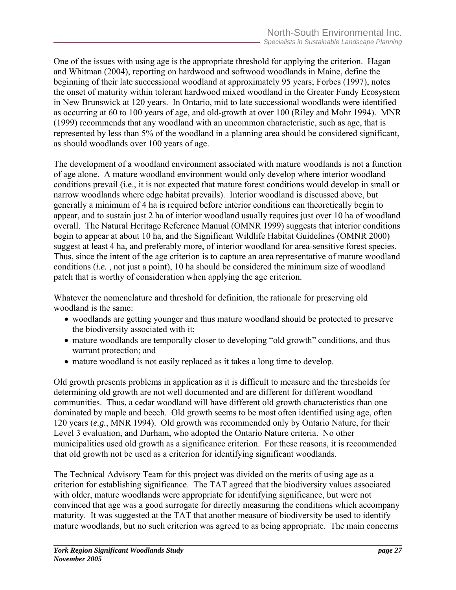One of the issues with using age is the appropriate threshold for applying the criterion. Hagan and Whitman (2004), reporting on hardwood and softwood woodlands in Maine, define the beginning of their late successional woodland at approximately 95 years; Forbes (1997), notes the onset of maturity within tolerant hardwood mixed woodland in the Greater Fundy Ecosystem in New Brunswick at 120 years. In Ontario, mid to late successional woodlands were identified as occurring at 60 to 100 years of age, and old-growth at over 100 (Riley and Mohr 1994). MNR (1999) recommends that any woodland with an uncommon characteristic, such as age, that is represented by less than 5% of the woodland in a planning area should be considered significant, as should woodlands over 100 years of age.

The development of a woodland environment associated with mature woodlands is not a function of age alone. A mature woodland environment would only develop where interior woodland conditions prevail (i.e., it is not expected that mature forest conditions would develop in small or narrow woodlands where edge habitat prevails). Interior woodland is discussed above, but generally a minimum of 4 ha is required before interior conditions can theoretically begin to appear, and to sustain just 2 ha of interior woodland usually requires just over 10 ha of woodland overall. The Natural Heritage Reference Manual (OMNR 1999) suggests that interior conditions begin to appear at about 10 ha, and the Significant Wildlife Habitat Guidelines (OMNR 2000) suggest at least 4 ha, and preferably more, of interior woodland for area-sensitive forest species. Thus, since the intent of the age criterion is to capture an area representative of mature woodland conditions (*i.e.* , not just a point), 10 ha should be considered the minimum size of woodland patch that is worthy of consideration when applying the age criterion.

Whatever the nomenclature and threshold for definition, the rationale for preserving old woodland is the same:

- woodlands are getting younger and thus mature woodland should be protected to preserve the biodiversity associated with it;
- mature woodlands are temporally closer to developing "old growth" conditions, and thus warrant protection; and
- mature woodland is not easily replaced as it takes a long time to develop.

Old growth presents problems in application as it is difficult to measure and the thresholds for determining old growth are not well documented and are different for different woodland communities. Thus, a cedar woodland will have different old growth characteristics than one dominated by maple and beech. Old growth seems to be most often identified using age, often 120 years (*e.g.*, MNR 1994). Old growth was recommended only by Ontario Nature, for their Level 3 evaluation, and Durham, who adopted the Ontario Nature criteria. No other municipalities used old growth as a significance criterion. For these reasons, it is recommended that old growth not be used as a criterion for identifying significant woodlands.

The Technical Advisory Team for this project was divided on the merits of using age as a criterion for establishing significance. The TAT agreed that the biodiversity values associated with older, mature woodlands were appropriate for identifying significance, but were not convinced that age was a good surrogate for directly measuring the conditions which accompany maturity. It was suggested at the TAT that another measure of biodiversity be used to identify mature woodlands, but no such criterion was agreed to as being appropriate. The main concerns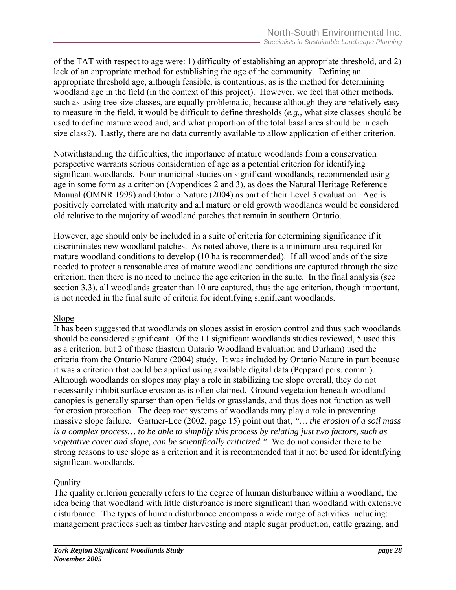of the TAT with respect to age were: 1) difficulty of establishing an appropriate threshold, and 2) lack of an appropriate method for establishing the age of the community. Defining an appropriate threshold age, although feasible, is contentious, as is the method for determining woodland age in the field (in the context of this project). However, we feel that other methods, such as using tree size classes, are equally problematic, because although they are relatively easy to measure in the field, it would be difficult to define thresholds (*e.g.*, what size classes should be used to define mature woodland, and what proportion of the total basal area should be in each size class?). Lastly, there are no data currently available to allow application of either criterion.

Notwithstanding the difficulties, the importance of mature woodlands from a conservation perspective warrants serious consideration of age as a potential criterion for identifying significant woodlands. Four municipal studies on significant woodlands, recommended using age in some form as a criterion (Appendices 2 and 3), as does the Natural Heritage Reference Manual (OMNR 1999) and Ontario Nature (2004) as part of their Level 3 evaluation. Age is positively correlated with maturity and all mature or old growth woodlands would be considered old relative to the majority of woodland patches that remain in southern Ontario.

However, age should only be included in a suite of criteria for determining significance if it discriminates new woodland patches. As noted above, there is a minimum area required for mature woodland conditions to develop (10 ha is recommended). If all woodlands of the size needed to protect a reasonable area of mature woodland conditions are captured through the size criterion, then there is no need to include the age criterion in the suite. In the final analysis (see section 3.3), all woodlands greater than 10 are captured, thus the age criterion, though important, is not needed in the final suite of criteria for identifying significant woodlands.

## Slope

It has been suggested that woodlands on slopes assist in erosion control and thus such woodlands should be considered significant. Of the 11 significant woodlands studies reviewed, 5 used this as a criterion, but 2 of those (Eastern Ontario Woodland Evaluation and Durham) used the criteria from the Ontario Nature (2004) study. It was included by Ontario Nature in part because it was a criterion that could be applied using available digital data (Peppard pers. comm.). Although woodlands on slopes may play a role in stabilizing the slope overall, they do not necessarily inhibit surface erosion as is often claimed. Ground vegetation beneath woodland canopies is generally sparser than open fields or grasslands, and thus does not function as well for erosion protection. The deep root systems of woodlands may play a role in preventing massive slope failure. Gartner-Lee (2002, page 15) point out that, *"… the erosion of a soil mass is a complex process… to be able to simplify this process by relating just two factors, such as vegetative cover and slope, can be scientifically criticized."* We do not consider there to be strong reasons to use slope as a criterion and it is recommended that it not be used for identifying significant woodlands.

## **Quality**

The quality criterion generally refers to the degree of human disturbance within a woodland, the idea being that woodland with little disturbance is more significant than woodland with extensive disturbance. The types of human disturbance encompass a wide range of activities including: management practices such as timber harvesting and maple sugar production, cattle grazing, and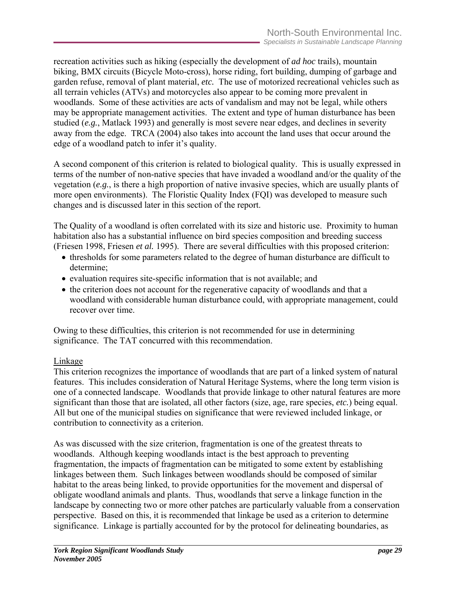recreation activities such as hiking (especially the development of *ad hoc* trails), mountain biking, BMX circuits (Bicycle Moto-cross), horse riding, fort building, dumping of garbage and garden refuse, removal of plant material, *etc.* The use of motorized recreational vehicles such as all terrain vehicles (ATVs) and motorcycles also appear to be coming more prevalent in woodlands. Some of these activities are acts of vandalism and may not be legal, while others may be appropriate management activities. The extent and type of human disturbance has been studied (*e.g.*, Matlack 1993) and generally is most severe near edges, and declines in severity away from the edge. TRCA (2004) also takes into account the land uses that occur around the edge of a woodland patch to infer it's quality.

A second component of this criterion is related to biological quality. This is usually expressed in terms of the number of non-native species that have invaded a woodland and/or the quality of the vegetation (*e.g.*, is there a high proportion of native invasive species, which are usually plants of more open environments). The Floristic Quality Index (FQI) was developed to measure such changes and is discussed later in this section of the report.

The Quality of a woodland is often correlated with its size and historic use. Proximity to human habitation also has a substantial influence on bird species composition and breeding success (Friesen 1998, Friesen *et al.* 1995). There are several difficulties with this proposed criterion:

- thresholds for some parameters related to the degree of human disturbance are difficult to determine;
- evaluation requires site-specific information that is not available; and
- the criterion does not account for the regenerative capacity of woodlands and that a woodland with considerable human disturbance could, with appropriate management, could recover over time.

Owing to these difficulties, this criterion is not recommended for use in determining significance. The TAT concurred with this recommendation.

## Linkage

This criterion recognizes the importance of woodlands that are part of a linked system of natural features. This includes consideration of Natural Heritage Systems, where the long term vision is one of a connected landscape. Woodlands that provide linkage to other natural features are more significant than those that are isolated, all other factors (size, age, rare species, *etc.*) being equal. All but one of the municipal studies on significance that were reviewed included linkage, or contribution to connectivity as a criterion.

As was discussed with the size criterion, fragmentation is one of the greatest threats to woodlands. Although keeping woodlands intact is the best approach to preventing fragmentation, the impacts of fragmentation can be mitigated to some extent by establishing linkages between them. Such linkages between woodlands should be composed of similar habitat to the areas being linked, to provide opportunities for the movement and dispersal of obligate woodland animals and plants. Thus, woodlands that serve a linkage function in the landscape by connecting two or more other patches are particularly valuable from a conservation perspective. Based on this, it is recommended that linkage be used as a criterion to determine significance. Linkage is partially accounted for by the protocol for delineating boundaries, as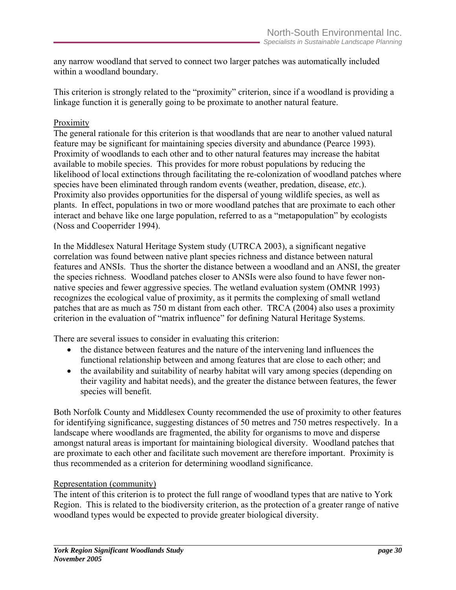any narrow woodland that served to connect two larger patches was automatically included within a woodland boundary.

This criterion is strongly related to the "proximity" criterion, since if a woodland is providing a linkage function it is generally going to be proximate to another natural feature.

#### Proximity

The general rationale for this criterion is that woodlands that are near to another valued natural feature may be significant for maintaining species diversity and abundance (Pearce 1993). Proximity of woodlands to each other and to other natural features may increase the habitat available to mobile species. This provides for more robust populations by reducing the likelihood of local extinctions through facilitating the re-colonization of woodland patches where species have been eliminated through random events (weather, predation, disease, *etc.*). Proximity also provides opportunities for the dispersal of young wildlife species, as well as plants. In effect, populations in two or more woodland patches that are proximate to each other interact and behave like one large population, referred to as a "metapopulation" by ecologists (Noss and Cooperrider 1994).

In the Middlesex Natural Heritage System study (UTRCA 2003), a significant negative correlation was found between native plant species richness and distance between natural features and ANSIs. Thus the shorter the distance between a woodland and an ANSI, the greater the species richness. Woodland patches closer to ANSIs were also found to have fewer nonnative species and fewer aggressive species. The wetland evaluation system (OMNR 1993) recognizes the ecological value of proximity, as it permits the complexing of small wetland patches that are as much as 750 m distant from each other. TRCA (2004) also uses a proximity criterion in the evaluation of "matrix influence" for defining Natural Heritage Systems.

There are several issues to consider in evaluating this criterion:

- the distance between features and the nature of the intervening land influences the functional relationship between and among features that are close to each other; and
- the availability and suitability of nearby habitat will vary among species (depending on their vagility and habitat needs), and the greater the distance between features, the fewer species will benefit.

Both Norfolk County and Middlesex County recommended the use of proximity to other features for identifying significance, suggesting distances of 50 metres and 750 metres respectively. In a landscape where woodlands are fragmented, the ability for organisms to move and disperse amongst natural areas is important for maintaining biological diversity. Woodland patches that are proximate to each other and facilitate such movement are therefore important. Proximity is thus recommended as a criterion for determining woodland significance.

## Representation (community)

The intent of this criterion is to protect the full range of woodland types that are native to York Region. This is related to the biodiversity criterion, as the protection of a greater range of native woodland types would be expected to provide greater biological diversity.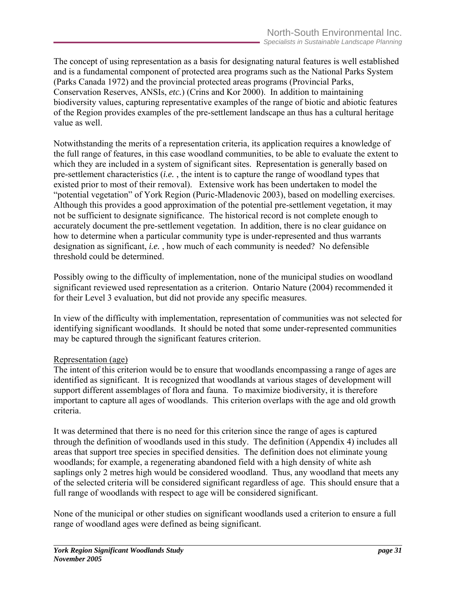The concept of using representation as a basis for designating natural features is well established and is a fundamental component of protected area programs such as the National Parks System (Parks Canada 1972) and the provincial protected areas programs (Provincial Parks, Conservation Reserves, ANSIs, *etc.*) (Crins and Kor 2000). In addition to maintaining biodiversity values, capturing representative examples of the range of biotic and abiotic features of the Region provides examples of the pre-settlement landscape an thus has a cultural heritage value as well.

Notwithstanding the merits of a representation criteria, its application requires a knowledge of the full range of features, in this case woodland communities, to be able to evaluate the extent to which they are included in a system of significant sites. Representation is generally based on pre-settlement characteristics (*i.e.* , the intent is to capture the range of woodland types that existed prior to most of their removal). Extensive work has been undertaken to model the "potential vegetation" of York Region (Puric-Mladenovic 2003), based on modelling exercises. Although this provides a good approximation of the potential pre-settlement vegetation, it may not be sufficient to designate significance. The historical record is not complete enough to accurately document the pre-settlement vegetation. In addition, there is no clear guidance on how to determine when a particular community type is under-represented and thus warrants designation as significant, *i.e.* , how much of each community is needed? No defensible threshold could be determined.

Possibly owing to the difficulty of implementation, none of the municipal studies on woodland significant reviewed used representation as a criterion. Ontario Nature (2004) recommended it for their Level 3 evaluation, but did not provide any specific measures.

In view of the difficulty with implementation, representation of communities was not selected for identifying significant woodlands. It should be noted that some under-represented communities may be captured through the significant features criterion.

#### Representation (age)

The intent of this criterion would be to ensure that woodlands encompassing a range of ages are identified as significant. It is recognized that woodlands at various stages of development will support different assemblages of flora and fauna. To maximize biodiversity, it is therefore important to capture all ages of woodlands. This criterion overlaps with the age and old growth criteria.

It was determined that there is no need for this criterion since the range of ages is captured through the definition of woodlands used in this study. The definition (Appendix 4) includes all areas that support tree species in specified densities. The definition does not eliminate young woodlands; for example, a regenerating abandoned field with a high density of white ash saplings only 2 metres high would be considered woodland. Thus, any woodland that meets any of the selected criteria will be considered significant regardless of age. This should ensure that a full range of woodlands with respect to age will be considered significant.

None of the municipal or other studies on significant woodlands used a criterion to ensure a full range of woodland ages were defined as being significant.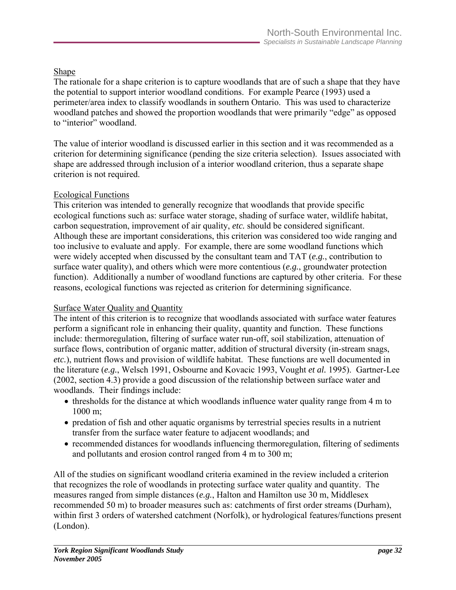# Shape

The rationale for a shape criterion is to capture woodlands that are of such a shape that they have the potential to support interior woodland conditions. For example Pearce (1993) used a perimeter/area index to classify woodlands in southern Ontario. This was used to characterize woodland patches and showed the proportion woodlands that were primarily "edge" as opposed to "interior" woodland.

The value of interior woodland is discussed earlier in this section and it was recommended as a criterion for determining significance (pending the size criteria selection). Issues associated with shape are addressed through inclusion of a interior woodland criterion, thus a separate shape criterion is not required.

## Ecological Functions

This criterion was intended to generally recognize that woodlands that provide specific ecological functions such as: surface water storage, shading of surface water, wildlife habitat, carbon sequestration, improvement of air quality, *etc.* should be considered significant. Although these are important considerations, this criterion was considered too wide ranging and too inclusive to evaluate and apply. For example, there are some woodland functions which were widely accepted when discussed by the consultant team and TAT (*e.g.*, contribution to surface water quality), and others which were more contentious (*e.g.*, groundwater protection function). Additionally a number of woodland functions are captured by other criteria. For these reasons, ecological functions was rejected as criterion for determining significance.

## Surface Water Quality and Quantity

The intent of this criterion is to recognize that woodlands associated with surface water features perform a significant role in enhancing their quality, quantity and function. These functions include: thermoregulation, filtering of surface water run-off, soil stabilization, attenuation of surface flows, contribution of organic matter, addition of structural diversity (in-stream snags, *etc.*), nutrient flows and provision of wildlife habitat. These functions are well documented in the literature (*e.g.*, Welsch 1991, Osbourne and Kovacic 1993, Vought *et al.* 1995). Gartner-Lee (2002, section 4.3) provide a good discussion of the relationship between surface water and woodlands. Their findings include:

- thresholds for the distance at which woodlands influence water quality range from 4 m to 1000 m;
- predation of fish and other aquatic organisms by terrestrial species results in a nutrient transfer from the surface water feature to adjacent woodlands; and
- recommended distances for woodlands influencing thermoregulation, filtering of sediments and pollutants and erosion control ranged from 4 m to 300 m;

All of the studies on significant woodland criteria examined in the review included a criterion that recognizes the role of woodlands in protecting surface water quality and quantity. The measures ranged from simple distances (*e.g.*, Halton and Hamilton use 30 m, Middlesex recommended 50 m) to broader measures such as: catchments of first order streams (Durham), within first 3 orders of watershed catchment (Norfolk), or hydrological features/functions present (London).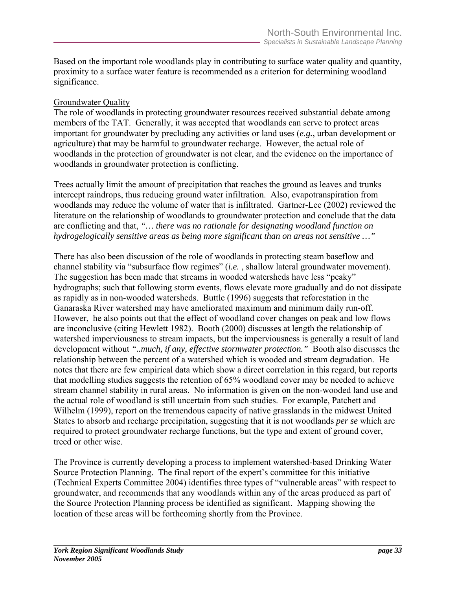Based on the important role woodlands play in contributing to surface water quality and quantity, proximity to a surface water feature is recommended as a criterion for determining woodland significance.

#### Groundwater Quality

The role of woodlands in protecting groundwater resources received substantial debate among members of the TAT. Generally, it was accepted that woodlands can serve to protect areas important for groundwater by precluding any activities or land uses (*e.g.*, urban development or agriculture) that may be harmful to groundwater recharge. However, the actual role of woodlands in the protection of groundwater is not clear, and the evidence on the importance of woodlands in groundwater protection is conflicting.

Trees actually limit the amount of precipitation that reaches the ground as leaves and trunks intercept raindrops, thus reducing ground water infiltration. Also, evapotranspiration from woodlands may reduce the volume of water that is infiltrated. Gartner-Lee (2002) reviewed the literature on the relationship of woodlands to groundwater protection and conclude that the data are conflicting and that, *"… there was no rationale for designating woodland function on hydrogelogically sensitive areas as being more significant than on areas not sensitive …"*

There has also been discussion of the role of woodlands in protecting steam baseflow and channel stability via "subsurface flow regimes" (*i.e.* , shallow lateral groundwater movement). The suggestion has been made that streams in wooded watersheds have less "peaky" hydrographs; such that following storm events, flows elevate more gradually and do not dissipate as rapidly as in non-wooded watersheds. Buttle (1996) suggests that reforestation in the Ganaraska River watershed may have ameliorated maximum and minimum daily run-off. However, he also points out that the effect of woodland cover changes on peak and low flows are inconclusive (citing Hewlett 1982). Booth (2000) discusses at length the relationship of watershed imperviousness to stream impacts, but the imperviousness is generally a result of land development without *"..much, if any, effective stormwater protection."* Booth also discusses the relationship between the percent of a watershed which is wooded and stream degradation. He notes that there are few empirical data which show a direct correlation in this regard, but reports that modelling studies suggests the retention of 65% woodland cover may be needed to achieve stream channel stability in rural areas. No information is given on the non-wooded land use and the actual role of woodland is still uncertain from such studies. For example, Patchett and Wilhelm (1999), report on the tremendous capacity of native grasslands in the midwest United States to absorb and recharge precipitation, suggesting that it is not woodlands *per se* which are required to protect groundwater recharge functions, but the type and extent of ground cover, treed or other wise.

The Province is currently developing a process to implement watershed-based Drinking Water Source Protection Planning. The final report of the expert's committee for this initiative (Technical Experts Committee 2004) identifies three types of "vulnerable areas" with respect to groundwater, and recommends that any woodlands within any of the areas produced as part of the Source Protection Planning process be identified as significant. Mapping showing the location of these areas will be forthcoming shortly from the Province.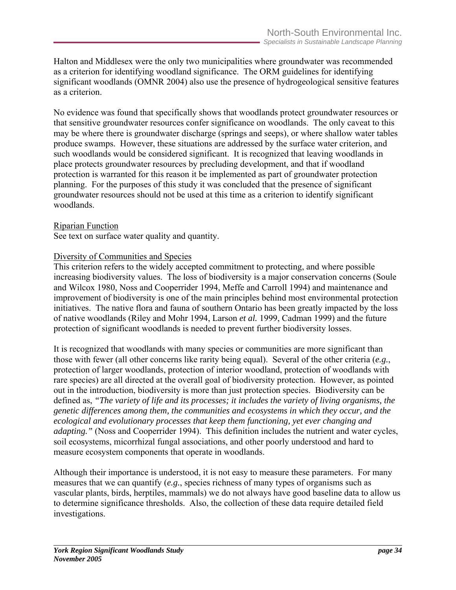Halton and Middlesex were the only two municipalities where groundwater was recommended as a criterion for identifying woodland significance. The ORM guidelines for identifying significant woodlands (OMNR 2004) also use the presence of hydrogeological sensitive features as a criterion.

No evidence was found that specifically shows that woodlands protect groundwater resources or that sensitive groundwater resources confer significance on woodlands. The only caveat to this may be where there is groundwater discharge (springs and seeps), or where shallow water tables produce swamps. However, these situations are addressed by the surface water criterion, and such woodlands would be considered significant. It is recognized that leaving woodlands in place protects groundwater resources by precluding development, and that if woodland protection is warranted for this reason it be implemented as part of groundwater protection planning. For the purposes of this study it was concluded that the presence of significant groundwater resources should not be used at this time as a criterion to identify significant woodlands.

#### Riparian Function

See text on surface water quality and quantity.

#### Diversity of Communities and Species

This criterion refers to the widely accepted commitment to protecting, and where possible increasing biodiversity values. The loss of biodiversity is a major conservation concerns (Soule and Wilcox 1980, Noss and Cooperrider 1994, Meffe and Carroll 1994) and maintenance and improvement of biodiversity is one of the main principles behind most environmental protection initiatives. The native flora and fauna of southern Ontario has been greatly impacted by the loss of native woodlands (Riley and Mohr 1994, Larson *et al.* 1999, Cadman 1999) and the future protection of significant woodlands is needed to prevent further biodiversity losses.

It is recognized that woodlands with many species or communities are more significant than those with fewer (all other concerns like rarity being equal). Several of the other criteria (*e.g.*, protection of larger woodlands, protection of interior woodland, protection of woodlands with rare species) are all directed at the overall goal of biodiversity protection. However, as pointed out in the introduction, biodiversity is more than just protection species. Biodiversity can be defined as, *"The variety of life and its processes; it includes the variety of living organisms, the genetic differences among them, the communities and ecosystems in which they occur, and the ecological and evolutionary processes that keep them functioning, yet ever changing and adapting."* (Noss and Cooperrider 1994). This definition includes the nutrient and water cycles, soil ecosystems, micorrhizal fungal associations, and other poorly understood and hard to measure ecosystem components that operate in woodlands.

Although their importance is understood, it is not easy to measure these parameters. For many measures that we can quantify (*e.g.*, species richness of many types of organisms such as vascular plants, birds, herptiles, mammals) we do not always have good baseline data to allow us to determine significance thresholds. Also, the collection of these data require detailed field investigations.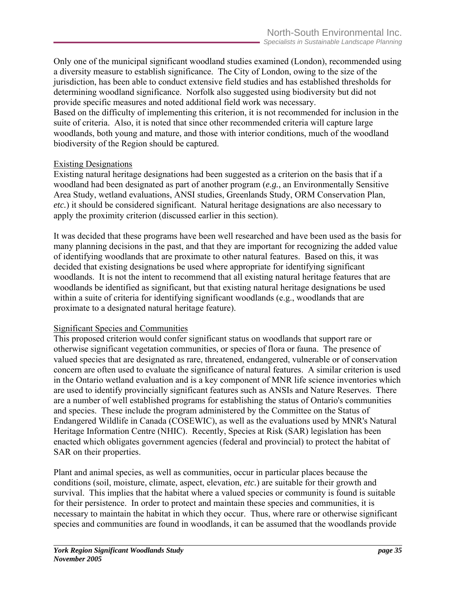Only one of the municipal significant woodland studies examined (London), recommended using a diversity measure to establish significance. The City of London, owing to the size of the jurisdiction, has been able to conduct extensive field studies and has established thresholds for determining woodland significance. Norfolk also suggested using biodiversity but did not provide specific measures and noted additional field work was necessary. Based on the difficulty of implementing this criterion, it is not recommended for inclusion in the suite of criteria. Also, it is noted that since other recommended criteria will capture large woodlands, both young and mature, and those with interior conditions, much of the woodland biodiversity of the Region should be captured.

#### Existing Designations

Existing natural heritage designations had been suggested as a criterion on the basis that if a woodland had been designated as part of another program (*e.g.*, an Environmentally Sensitive Area Study, wetland evaluations, ANSI studies, Greenlands Study, ORM Conservation Plan, *etc.*) it should be considered significant. Natural heritage designations are also necessary to apply the proximity criterion (discussed earlier in this section).

It was decided that these programs have been well researched and have been used as the basis for many planning decisions in the past, and that they are important for recognizing the added value of identifying woodlands that are proximate to other natural features. Based on this, it was decided that existing designations be used where appropriate for identifying significant woodlands. It is not the intent to recommend that all existing natural heritage features that are woodlands be identified as significant, but that existing natural heritage designations be used within a suite of criteria for identifying significant woodlands (e.g., woodlands that are proximate to a designated natural heritage feature).

#### Significant Species and Communities

This proposed criterion would confer significant status on woodlands that support rare or otherwise significant vegetation communities, or species of flora or fauna. The presence of valued species that are designated as rare, threatened, endangered, vulnerable or of conservation concern are often used to evaluate the significance of natural features. A similar criterion is used in the Ontario wetland evaluation and is a key component of MNR life science inventories which are used to identify provincially significant features such as ANSIs and Nature Reserves. There are a number of well established programs for establishing the status of Ontario's communities and species. These include the program administered by the Committee on the Status of Endangered Wildlife in Canada (COSEWIC), as well as the evaluations used by MNR's Natural Heritage Information Centre (NHIC). Recently, Species at Risk (SAR) legislation has been enacted which obligates government agencies (federal and provincial) to protect the habitat of SAR on their properties.

Plant and animal species, as well as communities, occur in particular places because the conditions (soil, moisture, climate, aspect, elevation, *etc.*) are suitable for their growth and survival. This implies that the habitat where a valued species or community is found is suitable for their persistence. In order to protect and maintain these species and communities, it is necessary to maintain the habitat in which they occur. Thus, where rare or otherwise significant species and communities are found in woodlands, it can be assumed that the woodlands provide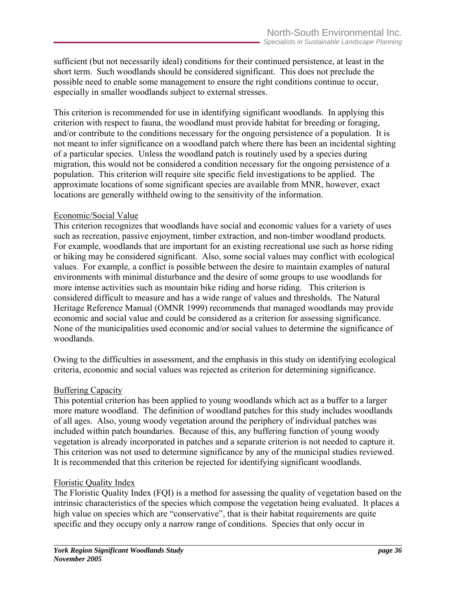sufficient (but not necessarily ideal) conditions for their continued persistence, at least in the short term. Such woodlands should be considered significant. This does not preclude the possible need to enable some management to ensure the right conditions continue to occur, especially in smaller woodlands subject to external stresses.

This criterion is recommended for use in identifying significant woodlands. In applying this criterion with respect to fauna, the woodland must provide habitat for breeding or foraging, and/or contribute to the conditions necessary for the ongoing persistence of a population. It is not meant to infer significance on a woodland patch where there has been an incidental sighting of a particular species. Unless the woodland patch is routinely used by a species during migration, this would not be considered a condition necessary for the ongoing persistence of a population. This criterion will require site specific field investigations to be applied. The approximate locations of some significant species are available from MNR, however, exact locations are generally withheld owing to the sensitivity of the information.

#### Economic/Social Value

This criterion recognizes that woodlands have social and economic values for a variety of uses such as recreation, passive enjoyment, timber extraction, and non-timber woodland products. For example, woodlands that are important for an existing recreational use such as horse riding or hiking may be considered significant. Also, some social values may conflict with ecological values. For example, a conflict is possible between the desire to maintain examples of natural environments with minimal disturbance and the desire of some groups to use woodlands for more intense activities such as mountain bike riding and horse riding. This criterion is considered difficult to measure and has a wide range of values and thresholds. The Natural Heritage Reference Manual (OMNR 1999) recommends that managed woodlands may provide economic and social value and could be considered as a criterion for assessing significance. None of the municipalities used economic and/or social values to determine the significance of woodlands.

Owing to the difficulties in assessment, and the emphasis in this study on identifying ecological criteria, economic and social values was rejected as criterion for determining significance.

#### Buffering Capacity

This potential criterion has been applied to young woodlands which act as a buffer to a larger more mature woodland. The definition of woodland patches for this study includes woodlands of all ages. Also, young woody vegetation around the periphery of individual patches was included within patch boundaries. Because of this, any buffering function of young woody vegetation is already incorporated in patches and a separate criterion is not needed to capture it. This criterion was not used to determine significance by any of the municipal studies reviewed. It is recommended that this criterion be rejected for identifying significant woodlands.

#### Floristic Quality Index

The Floristic Quality Index (FQI) is a method for assessing the quality of vegetation based on the intrinsic characteristics of the species which compose the vegetation being evaluated. It places a high value on species which are "conservative", that is their habitat requirements are quite specific and they occupy only a narrow range of conditions. Species that only occur in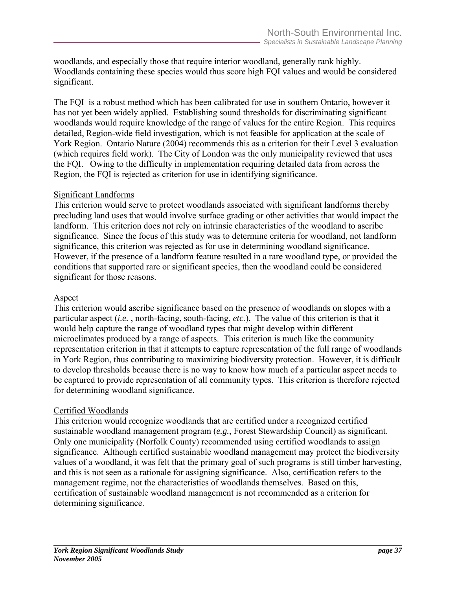woodlands, and especially those that require interior woodland, generally rank highly. Woodlands containing these species would thus score high FQI values and would be considered significant.

The FQI is a robust method which has been calibrated for use in southern Ontario, however it has not yet been widely applied. Establishing sound thresholds for discriminating significant woodlands would require knowledge of the range of values for the entire Region. This requires detailed, Region-wide field investigation, which is not feasible for application at the scale of York Region. Ontario Nature (2004) recommends this as a criterion for their Level 3 evaluation (which requires field work). The City of London was the only municipality reviewed that uses the FQI. Owing to the difficulty in implementation requiring detailed data from across the Region, the FQI is rejected as criterion for use in identifying significance.

#### Significant Landforms

This criterion would serve to protect woodlands associated with significant landforms thereby precluding land uses that would involve surface grading or other activities that would impact the landform. This criterion does not rely on intrinsic characteristics of the woodland to ascribe significance. Since the focus of this study was to determine criteria for woodland, not landform significance, this criterion was rejected as for use in determining woodland significance. However, if the presence of a landform feature resulted in a rare woodland type, or provided the conditions that supported rare or significant species, then the woodland could be considered significant for those reasons.

#### **Aspect**

This criterion would ascribe significance based on the presence of woodlands on slopes with a particular aspect (*i.e.* , north-facing, south-facing, *etc.*). The value of this criterion is that it would help capture the range of woodland types that might develop within different microclimates produced by a range of aspects. This criterion is much like the community representation criterion in that it attempts to capture representation of the full range of woodlands in York Region, thus contributing to maximizing biodiversity protection. However, it is difficult to develop thresholds because there is no way to know how much of a particular aspect needs to be captured to provide representation of all community types. This criterion is therefore rejected for determining woodland significance.

#### Certified Woodlands

This criterion would recognize woodlands that are certified under a recognized certified sustainable woodland management program (*e.g.*, Forest Stewardship Council) as significant. Only one municipality (Norfolk County) recommended using certified woodlands to assign significance. Although certified sustainable woodland management may protect the biodiversity values of a woodland, it was felt that the primary goal of such programs is still timber harvesting, and this is not seen as a rationale for assigning significance. Also, certification refers to the management regime, not the characteristics of woodlands themselves. Based on this, certification of sustainable woodland management is not recommended as a criterion for determining significance.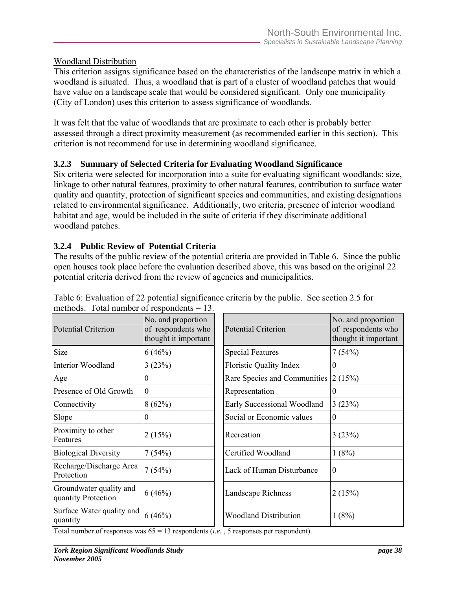## Woodland Distribution

This criterion assigns significance based on the characteristics of the landscape matrix in which a woodland is situated. Thus, a woodland that is part of a cluster of woodland patches that would have value on a landscape scale that would be considered significant. Only one municipality (City of London) uses this criterion to assess significance of woodlands.

It was felt that the value of woodlands that are proximate to each other is probably better assessed through a direct proximity measurement (as recommended earlier in this section). This criterion is not recommend for use in determining woodland significance.

## **3.2.3 Summary of Selected Criteria for Evaluating Woodland Significance**

Six criteria were selected for incorporation into a suite for evaluating significant woodlands: size, linkage to other natural features, proximity to other natural features, contribution to surface water quality and quantity, protection of significant species and communities, and existing designations related to environmental significance. Additionally, two criteria, presence of interior woodland habitat and age, would be included in the suite of criteria if they discriminate additional woodland patches.

## **3.2.4 Public Review of Potential Criteria**

The results of the public review of the potential criteria are provided in Table 6. Since the public open houses took place before the evaluation described above, this was based on the original 22 potential criteria derived from the review of agencies and municipalities.

| <b>Potential Criterion</b>                     | No. and proportion<br>of respondents who<br>thought it important | <b>Potential Criterion</b>     | No. and proportion<br>of respondents who<br>thought it important |  |
|------------------------------------------------|------------------------------------------------------------------|--------------------------------|------------------------------------------------------------------|--|
| Size                                           | 6(46%)                                                           | <b>Special Features</b>        | 7(54%)                                                           |  |
| Interior Woodland                              | 3(23%)                                                           | <b>Floristic Quality Index</b> | 0                                                                |  |
| Age                                            | 0                                                                | Rare Species and Communities   | 2(15%)                                                           |  |
| Presence of Old Growth                         | $\boldsymbol{0}$                                                 | Representation                 | $\overline{0}$                                                   |  |
| Connectivity                                   | 8(62%)                                                           | Early Successional Woodland    | 3(23%)                                                           |  |
| Slope                                          | $\theta$                                                         | Social or Economic values      | $\theta$                                                         |  |
| Proximity to other<br>Features                 | 2(15%)                                                           | Recreation                     | 3(23%)                                                           |  |
| <b>Biological Diversity</b>                    | 7(54%)                                                           | Certified Woodland             | 1(8%)                                                            |  |
| Recharge/Discharge Area<br>Protection          | 7(54%)                                                           | Lack of Human Disturbance      | $\theta$                                                         |  |
| Groundwater quality and<br>quantity Protection | 6(46%)                                                           | <b>Landscape Richness</b>      | 2(15%)                                                           |  |
| Surface Water quality and<br>quantity          | 6(46%)                                                           | <b>Woodland Distribution</b>   | 1(8%)                                                            |  |

Table 6: Evaluation of 22 potential significance criteria by the public. See section 2.5 for methods. Total number of respondents  $= 13$ .

Total number of responses was 65 = 13 respondents (*i.e.* , 5 responses per respondent).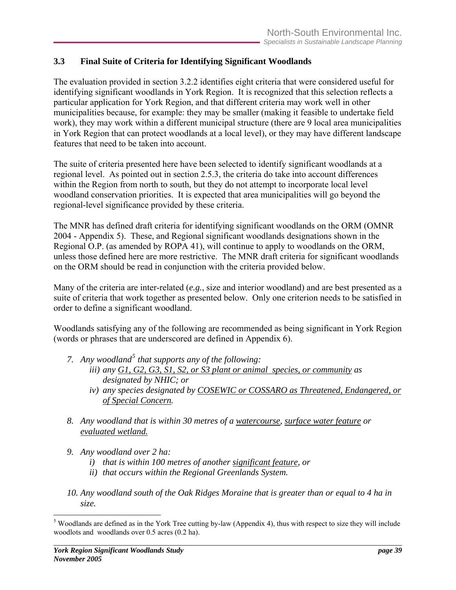## <span id="page-47-0"></span>**3.3 Final Suite of Criteria for Identifying Significant Woodlands**

The evaluation provided in section 3.2.2 identifies eight criteria that were considered useful for identifying significant woodlands in York Region. It is recognized that this selection reflects a particular application for York Region, and that different criteria may work well in other municipalities because, for example: they may be smaller (making it feasible to undertake field work), they may work within a different municipal structure (there are 9 local area municipalities in York Region that can protect woodlands at a local level), or they may have different landscape features that need to be taken into account.

The suite of criteria presented here have been selected to identify significant woodlands at a regional level. As pointed out in section 2.5.3, the criteria do take into account differences within the Region from north to south, but they do not attempt to incorporate local level woodland conservation priorities. It is expected that area municipalities will go beyond the regional-level significance provided by these criteria.

The MNR has defined draft criteria for identifying significant woodlands on the ORM (OMNR 2004 - Appendix 5). These, and Regional significant woodlands designations shown in the Regional O.P. (as amended by ROPA 41), will continue to apply to woodlands on the ORM, unless those defined here are more restrictive. The MNR draft criteria for significant woodlands on the ORM should be read in conjunction with the criteria provided below.

Many of the criteria are inter-related (*e.g.*, size and interior woodland) and are best presented as a suite of criteria that work together as presented below. Only one criterion needs to be satisfied in order to define a significant woodland.

Woodlands satisfying any of the following are recommended as being significant in York Region (words or phrases that are underscored are defined in Appendix 6).

- *7. Any woodland[5](#page-47-0) that supports any of the following: iii) any G1, G2, G3, S1, S2, or S3 plant or animal species, or community as designated by NHIC; or* 
	- *iv) any species designated by COSEWIC or COSSARO as Threatened, Endangered, or of Special Concern.*
- *8. Any woodland that is within 30 metres of a watercourse, surface water feature or evaluated wetland.*
- *9. Any woodland over 2 ha:* 
	- *i) that is within 100 metres of another significant feature, or*
	- *ii) that occurs within the Regional Greenlands System.*
- *10. Any woodland south of the Oak Ridges Moraine that is greater than or equal to 4 ha in size.*

 $\overline{a}$ 

 $<sup>5</sup>$  Woodlands are defined as in the York Tree cutting by-law (Appendix 4), thus with respect to size they will include</sup> woodlots and woodlands over 0.5 acres (0.2 ha).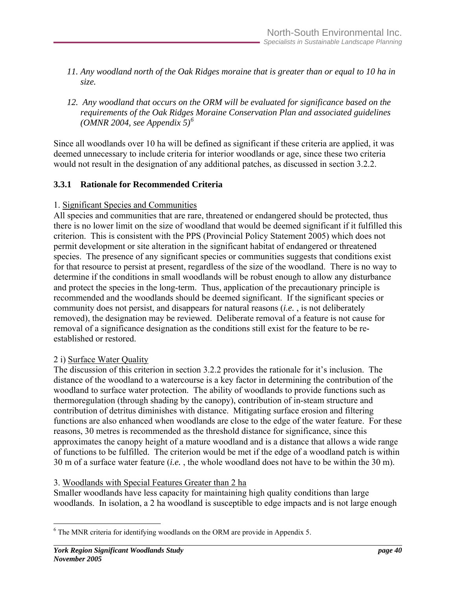- <span id="page-48-0"></span>*11. Any woodland north of the Oak Ridges moraine that is greater than or equal to 10 ha in size.*
- *12. Any woodland that occurs on the ORM will be evaluated for significance based on the requirements of the Oak Ridges Moraine Conservation Plan and associated guidelines (OMNR 2004, see Appendix 5)[6](#page-48-0)*

Since all woodlands over 10 ha will be defined as significant if these criteria are applied, it was deemed unnecessary to include criteria for interior woodlands or age, since these two criteria would not result in the designation of any additional patches, as discussed in section 3.2.2.

#### **3.3.1 Rationale for Recommended Criteria**

#### 1. Significant Species and Communities

All species and communities that are rare, threatened or endangered should be protected, thus there is no lower limit on the size of woodland that would be deemed significant if it fulfilled this criterion. This is consistent with the PPS (Provincial Policy Statement 2005) which does not permit development or site alteration in the significant habitat of endangered or threatened species. The presence of any significant species or communities suggests that conditions exist for that resource to persist at present, regardless of the size of the woodland. There is no way to determine if the conditions in small woodlands will be robust enough to allow any disturbance and protect the species in the long-term. Thus, application of the precautionary principle is recommended and the woodlands should be deemed significant. If the significant species or community does not persist, and disappears for natural reasons (*i.e.* , is not deliberately removed), the designation may be reviewed. Deliberate removal of a feature is not cause for removal of a significance designation as the conditions still exist for the feature to be reestablished or restored.

#### 2 i) Surface Water Quality

The discussion of this criterion in section 3.2.2 provides the rationale for it's inclusion. The distance of the woodland to a watercourse is a key factor in determining the contribution of the woodland to surface water protection. The ability of woodlands to provide functions such as thermoregulation (through shading by the canopy), contribution of in-steam structure and contribution of detritus diminishes with distance. Mitigating surface erosion and filtering functions are also enhanced when woodlands are close to the edge of the water feature. For these reasons, 30 metres is recommended as the threshold distance for significance, since this approximates the canopy height of a mature woodland and is a distance that allows a wide range of functions to be fulfilled. The criterion would be met if the edge of a woodland patch is within 30 m of a surface water feature (*i.e.* , the whole woodland does not have to be within the 30 m).

#### 3. Woodlands with Special Features Greater than 2 ha

Smaller woodlands have less capacity for maintaining high quality conditions than large woodlands. In isolation, a 2 ha woodland is susceptible to edge impacts and is not large enough

 $\overline{a}$ 

<sup>&</sup>lt;sup>6</sup> The MNR criteria for identifying woodlands on the ORM are provide in Appendix 5.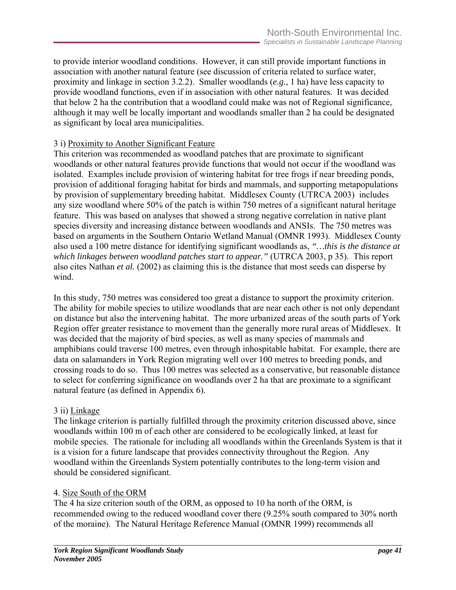to provide interior woodland conditions. However, it can still provide important functions in association with another natural feature (see discussion of criteria related to surface water, proximity and linkage in section 3.2.2). Smaller woodlands (*e.g.*, 1 ha) have less capacity to provide woodland functions, even if in association with other natural features. It was decided that below 2 ha the contribution that a woodland could make was not of Regional significance, although it may well be locally important and woodlands smaller than 2 ha could be designated as significant by local area municipalities.

## 3 i) Proximity to Another Significant Feature

This criterion was recommended as woodland patches that are proximate to significant woodlands or other natural features provide functions that would not occur if the woodland was isolated. Examples include provision of wintering habitat for tree frogs if near breeding ponds, provision of additional foraging habitat for birds and mammals, and supporting metapopulations by provision of supplementary breeding habitat. Middlesex County (UTRCA 2003) includes any size woodland where 50% of the patch is within 750 metres of a significant natural heritage feature. This was based on analyses that showed a strong negative correlation in native plant species diversity and increasing distance between woodlands and ANSIs. The 750 metres was based on arguments in the Southern Ontario Wetland Manual (OMNR 1993). Middlesex County also used a 100 metre distance for identifying significant woodlands as, *"…this is the distance at which linkages between woodland patches start to appear."* (UTRCA 2003, p 35). This report also cites Nathan *et al.* (2002) as claiming this is the distance that most seeds can disperse by wind.

In this study, 750 metres was considered too great a distance to support the proximity criterion. The ability for mobile species to utilize woodlands that are near each other is not only dependant on distance but also the intervening habitat. The more urbanized areas of the south parts of York Region offer greater resistance to movement than the generally more rural areas of Middlesex. It was decided that the majority of bird species, as well as many species of mammals and amphibians could traverse 100 metres, even through inhospitable habitat. For example, there are data on salamanders in York Region migrating well over 100 metres to breeding ponds, and crossing roads to do so. Thus 100 metres was selected as a conservative, but reasonable distance to select for conferring significance on woodlands over 2 ha that are proximate to a significant natural feature (as defined in Appendix 6).

## 3 ii) Linkage

The linkage criterion is partially fulfilled through the proximity criterion discussed above, since woodlands within 100 m of each other are considered to be ecologically linked, at least for mobile species. The rationale for including all woodlands within the Greenlands System is that it is a vision for a future landscape that provides connectivity throughout the Region. Any woodland within the Greenlands System potentially contributes to the long-term vision and should be considered significant.

## 4. Size South of the ORM

The 4 ha size criterion south of the ORM, as opposed to 10 ha north of the ORM, is recommended owing to the reduced woodland cover there (9.25% south compared to 30% north of the moraine). The Natural Heritage Reference Manual (OMNR 1999) recommends all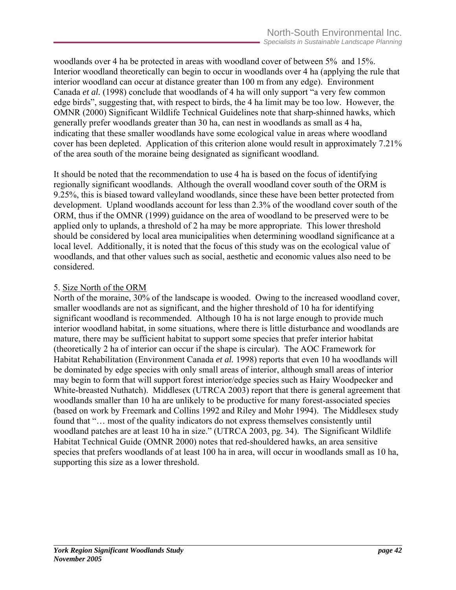woodlands over 4 ha be protected in areas with woodland cover of between 5% and 15%. Interior woodland theoretically can begin to occur in woodlands over 4 ha (applying the rule that interior woodland can occur at distance greater than 100 m from any edge). Environment Canada *et al.* (1998) conclude that woodlands of 4 ha will only support "a very few common edge birds", suggesting that, with respect to birds, the 4 ha limit may be too low. However, the OMNR (2000) Significant Wildlife Technical Guidelines note that sharp-shinned hawks, which generally prefer woodlands greater than 30 ha, can nest in woodlands as small as 4 ha, indicating that these smaller woodlands have some ecological value in areas where woodland cover has been depleted. Application of this criterion alone would result in approximately 7.21% of the area south of the moraine being designated as significant woodland.

It should be noted that the recommendation to use 4 ha is based on the focus of identifying regionally significant woodlands. Although the overall woodland cover south of the ORM is 9.25%, this is biased toward valleyland woodlands, since these have been better protected from development. Upland woodlands account for less than 2.3% of the woodland cover south of the ORM, thus if the OMNR (1999) guidance on the area of woodland to be preserved were to be applied only to uplands, a threshold of 2 ha may be more appropriate. This lower threshold should be considered by local area municipalities when determining woodland significance at a local level. Additionally, it is noted that the focus of this study was on the ecological value of woodlands, and that other values such as social, aesthetic and economic values also need to be considered.

#### 5. Size North of the ORM

North of the moraine, 30% of the landscape is wooded. Owing to the increased woodland cover, smaller woodlands are not as significant, and the higher threshold of 10 ha for identifying significant woodland is recommended. Although 10 ha is not large enough to provide much interior woodland habitat, in some situations, where there is little disturbance and woodlands are mature, there may be sufficient habitat to support some species that prefer interior habitat (theoretically 2 ha of interior can occur if the shape is circular). The AOC Framework for Habitat Rehabilitation (Environment Canada *et al.* 1998) reports that even 10 ha woodlands will be dominated by edge species with only small areas of interior, although small areas of interior may begin to form that will support forest interior/edge species such as Hairy Woodpecker and White-breasted Nuthatch). Middlesex (UTRCA 2003) report that there is general agreement that woodlands smaller than 10 ha are unlikely to be productive for many forest-associated species (based on work by Freemark and Collins 1992 and Riley and Mohr 1994). The Middlesex study found that "... most of the quality indicators do not express themselves consistently until woodland patches are at least 10 ha in size." (UTRCA 2003, pg. 34). The Significant Wildlife Habitat Technical Guide (OMNR 2000) notes that red-shouldered hawks, an area sensitive species that prefers woodlands of at least 100 ha in area, will occur in woodlands small as 10 ha, supporting this size as a lower threshold.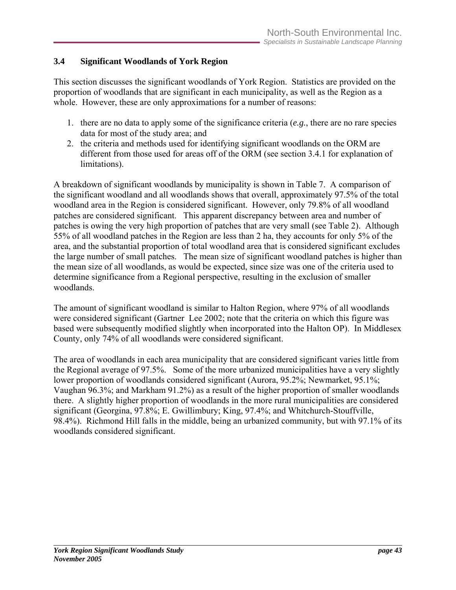## **3.4 Significant Woodlands of York Region**

This section discusses the significant woodlands of York Region. Statistics are provided on the proportion of woodlands that are significant in each municipality, as well as the Region as a whole. However, these are only approximations for a number of reasons:

- 1. there are no data to apply some of the significance criteria (*e.g.*, there are no rare species data for most of the study area; and
- 2. the criteria and methods used for identifying significant woodlands on the ORM are different from those used for areas off of the ORM (see section 3.4.1 for explanation of limitations).

A breakdown of significant woodlands by municipality is shown in Table 7. A comparison of the significant woodland and all woodlands shows that overall, approximately 97.5% of the total woodland area in the Region is considered significant. However, only 79.8% of all woodland patches are considered significant. This apparent discrepancy between area and number of patches is owing the very high proportion of patches that are very small (see Table 2). Although 55% of all woodland patches in the Region are less than 2 ha, they accounts for only 5% of the area, and the substantial proportion of total woodland area that is considered significant excludes the large number of small patches. The mean size of significant woodland patches is higher than the mean size of all woodlands, as would be expected, since size was one of the criteria used to determine significance from a Regional perspective, resulting in the exclusion of smaller woodlands.

The amount of significant woodland is similar to Halton Region, where 97% of all woodlands were considered significant (Gartner Lee 2002; note that the criteria on which this figure was based were subsequently modified slightly when incorporated into the Halton OP). In Middlesex County, only 74% of all woodlands were considered significant.

The area of woodlands in each area municipality that are considered significant varies little from the Regional average of 97.5%. Some of the more urbanized municipalities have a very slightly lower proportion of woodlands considered significant (Aurora, 95.2%; Newmarket, 95.1%; Vaughan 96.3%; and Markham 91.2%) as a result of the higher proportion of smaller woodlands there. A slightly higher proportion of woodlands in the more rural municipalities are considered significant (Georgina, 97.8%; E. Gwillimbury; King, 97.4%; and Whitchurch-Stouffville, 98.4%). Richmond Hill falls in the middle, being an urbanized community, but with 97.1% of its woodlands considered significant.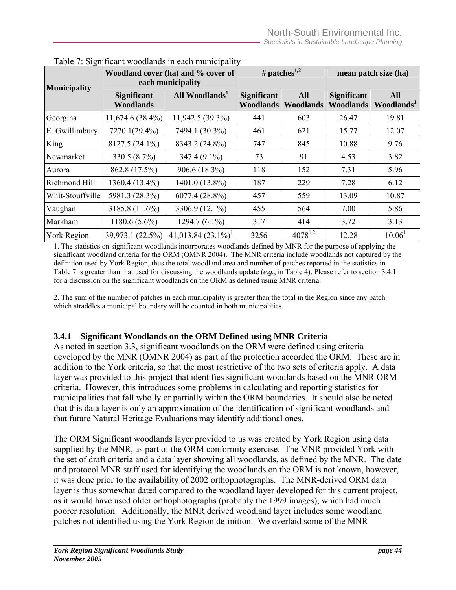| <b>Municipality</b> |                                        | Woodland cover (ha) and % cover of<br>each municipality | # patches <sup>1,2</sup>               |                                | mean patch size (ha)                   |                                      |  |
|---------------------|----------------------------------------|---------------------------------------------------------|----------------------------------------|--------------------------------|----------------------------------------|--------------------------------------|--|
|                     | <b>Significant</b><br><b>Woodlands</b> | All Woodlands <sup>1</sup>                              | <b>Significant</b><br><b>Woodlands</b> | <b>All</b><br><b>Woodlands</b> | <b>Significant</b><br><b>Woodlands</b> | <b>All</b><br>Woodlands <sup>1</sup> |  |
| Georgina            | $11,674.6(38.4\%)$                     | 11,942.5 (39.3%)                                        | 441                                    | 603                            | 26.47                                  | 19.81                                |  |
| E. Gwillimbury      | 7270.1(29.4%)                          | 7494.1 (30.3%)                                          | 461                                    | 621                            | 15.77                                  | 12.07                                |  |
| King                | 8127.5 (24.1%)                         | 8343.2 (24.8%)                                          | 747                                    | 845                            | 10.88                                  | 9.76                                 |  |
| Newmarket           | 330.5 (8.7%)                           | 347.4 (9.1%)                                            | 73                                     | 91                             | 4.53                                   | 3.82                                 |  |
| Aurora              | 862.8 (17.5%)                          | 906.6 (18.3%)                                           | 118                                    | 152                            | 7.31                                   | 5.96                                 |  |
| Richmond Hill       | 1360.4 (13.4%)                         | 1401.0 (13.8%)                                          | 187                                    | 229                            | 7.28                                   | 6.12                                 |  |
| Whit-Stouffville    | 5981.3 (28.3%)                         | $6077.4(28.8\%)$                                        | 457                                    | 559                            | 13.09                                  | 10.87                                |  |
| Vaughan             | 3185.8 (11.6%)                         | 3306.9 (12.1%)                                          | 455                                    | 564                            | 7.00                                   | 5.86                                 |  |
| Markham             | $1180.6(5.6\%)$                        | $1294.7(6.1\%)$                                         | 317                                    | 414                            | 3.72                                   | 3.13                                 |  |
| <b>York Region</b>  | 39,973.1 (22.5%)                       | $41,013.84$ $(23.1\%)$ <sup>1</sup>                     | 3256                                   | $4078^{1,2}$                   | 12.28                                  | 10.06 <sup>1</sup>                   |  |

|  |  | Table 7: Significant woodlands in each municipality |
|--|--|-----------------------------------------------------|
|  |  |                                                     |

1. The statistics on significant woodlands incorporates woodlands defined by MNR for the purpose of applying the significant woodland criteria for the ORM (OMNR 2004). The MNR criteria include woodlands not captured by the definition used by York Region, thus the total woodland area and number of patches reported in the statistics in Table 7 is greater than that used for discussing the woodlands update (*e.g.*, in Table 4). Please refer to section 3.4.1 for a discussion on the significant woodlands on the ORM as defined using MNR criteria.

2. The sum of the number of patches in each municipality is greater than the total in the Region since any patch which straddles a municipal boundary will be counted in both municipalities.

#### **3.4.1 Significant Woodlands on the ORM Defined using MNR Criteria**

As noted in section 3.3, significant woodlands on the ORM were defined using criteria developed by the MNR (OMNR 2004) as part of the protection accorded the ORM. These are in addition to the York criteria, so that the most restrictive of the two sets of criteria apply. A data layer was provided to this project that identifies significant woodlands based on the MNR ORM criteria. However, this introduces some problems in calculating and reporting statistics for municipalities that fall wholly or partially within the ORM boundaries. It should also be noted that this data layer is only an approximation of the identification of significant woodlands and that future Natural Heritage Evaluations may identify additional ones.

The ORM Significant woodlands layer provided to us was created by York Region using data supplied by the MNR, as part of the ORM conformity exercise. The MNR provided York with the set of draft criteria and a data layer showing all woodlands, as defined by the MNR. The date and protocol MNR staff used for identifying the woodlands on the ORM is not known, however, it was done prior to the availability of 2002 orthophotographs. The MNR-derived ORM data layer is thus somewhat dated compared to the woodland layer developed for this current project, as it would have used older orthophotographs (probably the 1999 images), which had much poorer resolution. Additionally, the MNR derived woodland layer includes some woodland patches not identified using the York Region definition. We overlaid some of the MNR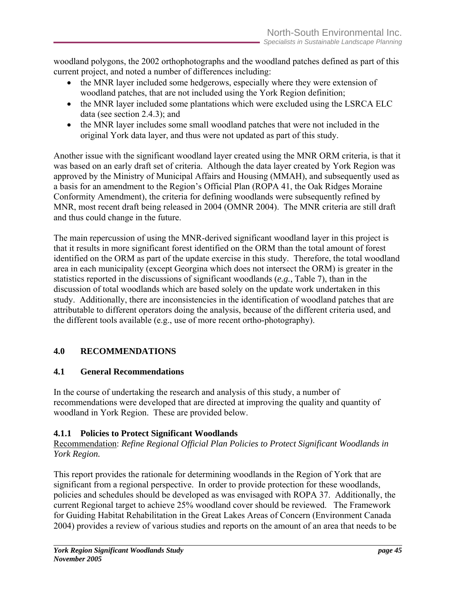woodland polygons, the 2002 orthophotographs and the woodland patches defined as part of this current project, and noted a number of differences including:

- the MNR layer included some hedgerows, especially where they were extension of woodland patches, that are not included using the York Region definition;
- the MNR layer included some plantations which were excluded using the LSRCA ELC data (see section 2.4.3); and
- the MNR layer includes some small woodland patches that were not included in the original York data layer, and thus were not updated as part of this study.

Another issue with the significant woodland layer created using the MNR ORM criteria, is that it was based on an early draft set of criteria. Although the data layer created by York Region was approved by the Ministry of Municipal Affairs and Housing (MMAH), and subsequently used as a basis for an amendment to the Region's Official Plan (ROPA 41, the Oak Ridges Moraine Conformity Amendment), the criteria for defining woodlands were subsequently refined by MNR, most recent draft being released in 2004 (OMNR 2004). The MNR criteria are still draft and thus could change in the future.

The main repercussion of using the MNR-derived significant woodland layer in this project is that it results in more significant forest identified on the ORM than the total amount of forest identified on the ORM as part of the update exercise in this study. Therefore, the total woodland area in each municipality (except Georgina which does not intersect the ORM) is greater in the statistics reported in the discussions of significant woodlands (*e.g.*, Table 7), than in the discussion of total woodlands which are based solely on the update work undertaken in this study. Additionally, there are inconsistencies in the identification of woodland patches that are attributable to different operators doing the analysis, because of the different criteria used, and the different tools available (e.g., use of more recent ortho-photography).

# **4.0 RECOMMENDATIONS**

## **4.1 General Recommendations**

In the course of undertaking the research and analysis of this study, a number of recommendations were developed that are directed at improving the quality and quantity of woodland in York Region. These are provided below.

# **4.1.1 Policies to Protect Significant Woodlands**

Recommendation: *Refine Regional Official Plan Policies to Protect Significant Woodlands in York Region.* 

This report provides the rationale for determining woodlands in the Region of York that are significant from a regional perspective. In order to provide protection for these woodlands, policies and schedules should be developed as was envisaged with ROPA 37. Additionally, the current Regional target to achieve 25% woodland cover should be reviewed. The Framework for Guiding Habitat Rehabilitation in the Great Lakes Areas of Concern (Environment Canada 2004) provides a review of various studies and reports on the amount of an area that needs to be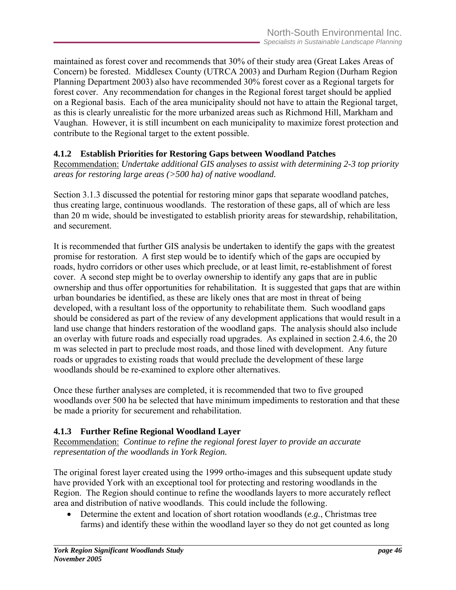maintained as forest cover and recommends that 30% of their study area (Great Lakes Areas of Concern) be forested. Middlesex County (UTRCA 2003) and Durham Region (Durham Region Planning Department 2003) also have recommended 30% forest cover as a Regional targets for forest cover. Any recommendation for changes in the Regional forest target should be applied on a Regional basis. Each of the area municipality should not have to attain the Regional target, as this is clearly unrealistic for the more urbanized areas such as Richmond Hill, Markham and Vaughan. However, it is still incumbent on each municipality to maximize forest protection and contribute to the Regional target to the extent possible.

## **4.1.2 Establish Priorities for Restoring Gaps between Woodland Patches**

Recommendation: *Undertake additional GIS analyses to assist with determining 2-3 top priority areas for restoring large areas (>500 ha) of native woodland.*

Section 3.1.3 discussed the potential for restoring minor gaps that separate woodland patches, thus creating large, continuous woodlands. The restoration of these gaps, all of which are less than 20 m wide, should be investigated to establish priority areas for stewardship, rehabilitation, and securement.

It is recommended that further GIS analysis be undertaken to identify the gaps with the greatest promise for restoration. A first step would be to identify which of the gaps are occupied by roads, hydro corridors or other uses which preclude, or at least limit, re-establishment of forest cover. A second step might be to overlay ownership to identify any gaps that are in public ownership and thus offer opportunities for rehabilitation. It is suggested that gaps that are within urban boundaries be identified, as these are likely ones that are most in threat of being developed, with a resultant loss of the opportunity to rehabilitate them. Such woodland gaps should be considered as part of the review of any development applications that would result in a land use change that hinders restoration of the woodland gaps. The analysis should also include an overlay with future roads and especially road upgrades. As explained in section 2.4.6, the 20 m was selected in part to preclude most roads, and those lined with development. Any future roads or upgrades to existing roads that would preclude the development of these large woodlands should be re-examined to explore other alternatives.

Once these further analyses are completed, it is recommended that two to five grouped woodlands over 500 ha be selected that have minimum impediments to restoration and that these be made a priority for securement and rehabilitation.

## **4.1.3 Further Refine Regional Woodland Layer**

Recommendation: *Continue to refine the regional forest layer to provide an accurate representation of the woodlands in York Region.*

The original forest layer created using the 1999 ortho-images and this subsequent update study have provided York with an exceptional tool for protecting and restoring woodlands in the Region. The Region should continue to refine the woodlands layers to more accurately reflect area and distribution of native woodlands. This could include the following.

• Determine the extent and location of short rotation woodlands (*e.g.*, Christmas tree farms) and identify these within the woodland layer so they do not get counted as long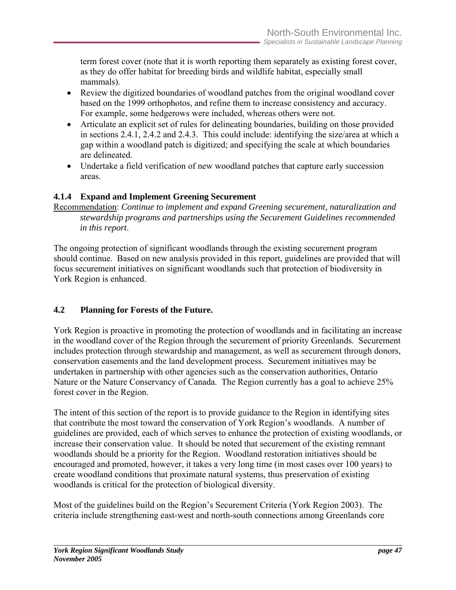term forest cover (note that it is worth reporting them separately as existing forest cover, as they do offer habitat for breeding birds and wildlife habitat, especially small mammals).

- Review the digitized boundaries of woodland patches from the original woodland cover based on the 1999 orthophotos, and refine them to increase consistency and accuracy. For example, some hedgerows were included, whereas others were not.
- Articulate an explicit set of rules for delineating boundaries, building on those provided in sections 2.4.1, 2.4.2 and 2.4.3. This could include: identifying the size/area at which a gap within a woodland patch is digitized; and specifying the scale at which boundaries are delineated.
- Undertake a field verification of new woodland patches that capture early succession areas.

## **4.1.4 Expand and Implement Greening Securement**

Recommendation: *Continue to implement and expand Greening securement, naturalization and stewardship programs and partnerships using the Securement Guidelines recommended in this report*.

The ongoing protection of significant woodlands through the existing securement program should continue. Based on new analysis provided in this report, guidelines are provided that will focus securement initiatives on significant woodlands such that protection of biodiversity in York Region is enhanced.

## **4.2 Planning for Forests of the Future.**

York Region is proactive in promoting the protection of woodlands and in facilitating an increase in the woodland cover of the Region through the securement of priority Greenlands. Securement includes protection through stewardship and management, as well as securement through donors, conservation easements and the land development process. Securement initiatives may be undertaken in partnership with other agencies such as the conservation authorities, Ontario Nature or the Nature Conservancy of Canada. The Region currently has a goal to achieve 25% forest cover in the Region.

The intent of this section of the report is to provide guidance to the Region in identifying sites that contribute the most toward the conservation of York Region's woodlands. A number of guidelines are provided, each of which serves to enhance the protection of existing woodlands, or increase their conservation value. It should be noted that securement of the existing remnant woodlands should be a priority for the Region. Woodland restoration initiatives should be encouraged and promoted, however, it takes a very long time (in most cases over 100 years) to create woodland conditions that proximate natural systems, thus preservation of existing woodlands is critical for the protection of biological diversity.

Most of the guidelines build on the Region's Securement Criteria (York Region 2003). The criteria include strengthening east-west and north-south connections among Greenlands core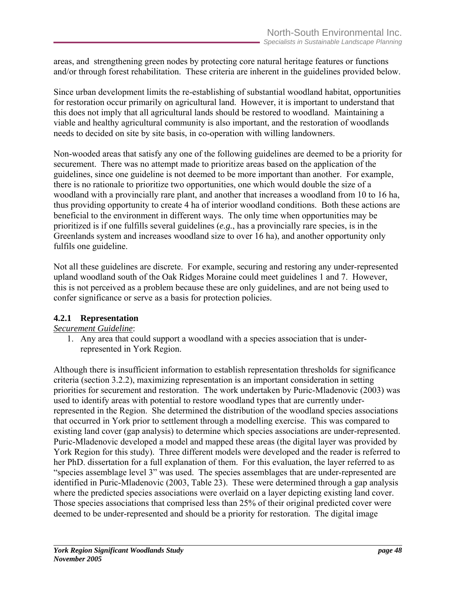areas, and strengthening green nodes by protecting core natural heritage features or functions and/or through forest rehabilitation. These criteria are inherent in the guidelines provided below.

Since urban development limits the re-establishing of substantial woodland habitat, opportunities for restoration occur primarily on agricultural land. However, it is important to understand that this does not imply that all agricultural lands should be restored to woodland. Maintaining a viable and healthy agricultural community is also important, and the restoration of woodlands needs to decided on site by site basis, in co-operation with willing landowners.

Non-wooded areas that satisfy any one of the following guidelines are deemed to be a priority for securement. There was no attempt made to prioritize areas based on the application of the guidelines, since one guideline is not deemed to be more important than another. For example, there is no rationale to prioritize two opportunities, one which would double the size of a woodland with a provincially rare plant, and another that increases a woodland from 10 to 16 ha, thus providing opportunity to create 4 ha of interior woodland conditions. Both these actions are beneficial to the environment in different ways. The only time when opportunities may be prioritized is if one fulfills several guidelines (*e.g.*, has a provincially rare species, is in the Greenlands system and increases woodland size to over 16 ha), and another opportunity only fulfils one guideline.

Not all these guidelines are discrete. For example, securing and restoring any under-represented upland woodland south of the Oak Ridges Moraine could meet guidelines 1 and 7. However, this is not perceived as a problem because these are only guidelines, and are not being used to confer significance or serve as a basis for protection policies.

## **4.2.1 Representation**

#### *Securement Guideline*:

1. Any area that could support a woodland with a species association that is underrepresented in York Region.

Although there is insufficient information to establish representation thresholds for significance criteria (section 3.2.2), maximizing representation is an important consideration in setting priorities for securement and restoration. The work undertaken by Puric-Mladenovic (2003) was used to identify areas with potential to restore woodland types that are currently underrepresented in the Region. She determined the distribution of the woodland species associations that occurred in York prior to settlement through a modelling exercise. This was compared to existing land cover (gap analysis) to determine which species associations are under-represented. Puric-Mladenovic developed a model and mapped these areas (the digital layer was provided by York Region for this study). Three different models were developed and the reader is referred to her PhD. dissertation for a full explanation of them. For this evaluation, the layer referred to as "species assemblage level 3" was used. The species assemblages that are under-represented are identified in Puric-Mladenovic (2003, Table 23). These were determined through a gap analysis where the predicted species associations were overlaid on a layer depicting existing land cover. Those species associations that comprised less than 25% of their original predicted cover were deemed to be under-represented and should be a priority for restoration. The digital image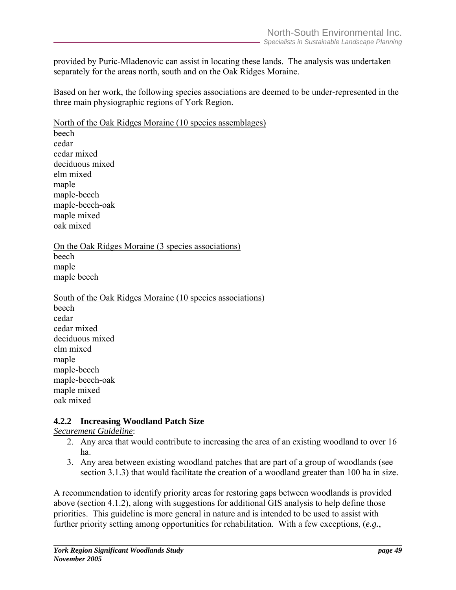provided by Puric-Mladenovic can assist in locating these lands. The analysis was undertaken separately for the areas north, south and on the Oak Ridges Moraine.

Based on her work, the following species associations are deemed to be under-represented in the three main physiographic regions of York Region.

North of the Oak Ridges Moraine (10 species assemblages) beech cedar cedar mixed deciduous mixed elm mixed maple maple-beech maple-beech-oak maple mixed oak mixed

On the Oak Ridges Moraine (3 species associations) beech maple maple beech

South of the Oak Ridges Moraine (10 species associations) beech cedar cedar mixed deciduous mixed elm mixed maple maple-beech maple-beech-oak maple mixed oak mixed

#### **4.2.2 Increasing Woodland Patch Size**

*Securement Guideline*:

- 2. Any area that would contribute to increasing the area of an existing woodland to over 16 ha.
- 3. Any area between existing woodland patches that are part of a group of woodlands (see section 3.1.3) that would facilitate the creation of a woodland greater than 100 ha in size.

A recommendation to identify priority areas for restoring gaps between woodlands is provided above (section 4.1.2), along with suggestions for additional GIS analysis to help define those priorities. This guideline is more general in nature and is intended to be used to assist with further priority setting among opportunities for rehabilitation. With a few exceptions, (*e.g.*,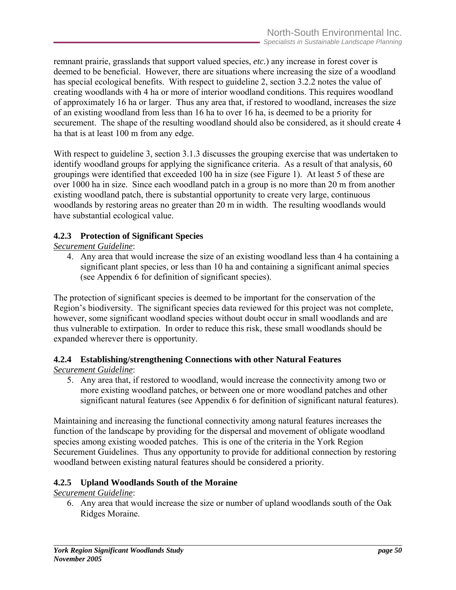remnant prairie, grasslands that support valued species, *etc.*) any increase in forest cover is deemed to be beneficial. However, there are situations where increasing the size of a woodland has special ecological benefits. With respect to guideline 2, section 3.2.2 notes the value of creating woodlands with 4 ha or more of interior woodland conditions. This requires woodland of approximately 16 ha or larger. Thus any area that, if restored to woodland, increases the size of an existing woodland from less than 16 ha to over 16 ha, is deemed to be a priority for securement. The shape of the resulting woodland should also be considered, as it should create 4 ha that is at least 100 m from any edge.

With respect to guideline 3, section 3.1.3 discusses the grouping exercise that was undertaken to identify woodland groups for applying the significance criteria. As a result of that analysis, 60 groupings were identified that exceeded 100 ha in size (see Figure 1). At least 5 of these are over 1000 ha in size. Since each woodland patch in a group is no more than 20 m from another existing woodland patch, there is substantial opportunity to create very large, continuous woodlands by restoring areas no greater than 20 m in width. The resulting woodlands would have substantial ecological value.

#### **4.2.3 Protection of Significant Species**

*Securement Guideline*:

4. Any area that would increase the size of an existing woodland less than 4 ha containing a significant plant species, or less than 10 ha and containing a significant animal species (see Appendix 6 for definition of significant species).

The protection of significant species is deemed to be important for the conservation of the Region's biodiversity. The significant species data reviewed for this project was not complete, however, some significant woodland species without doubt occur in small woodlands and are thus vulnerable to extirpation. In order to reduce this risk, these small woodlands should be expanded wherever there is opportunity.

# **4.2.4 Establishing/strengthening Connections with other Natural Features**

*Securement Guideline*:

5. Any area that, if restored to woodland, would increase the connectivity among two or more existing woodland patches, or between one or more woodland patches and other significant natural features (see Appendix 6 for definition of significant natural features).

Maintaining and increasing the functional connectivity among natural features increases the function of the landscape by providing for the dispersal and movement of obligate woodland species among existing wooded patches. This is one of the criteria in the York Region Securement Guidelines. Thus any opportunity to provide for additional connection by restoring woodland between existing natural features should be considered a priority.

## **4.2.5 Upland Woodlands South of the Moraine**

*Securement Guideline*:

6. Any area that would increase the size or number of upland woodlands south of the Oak Ridges Moraine.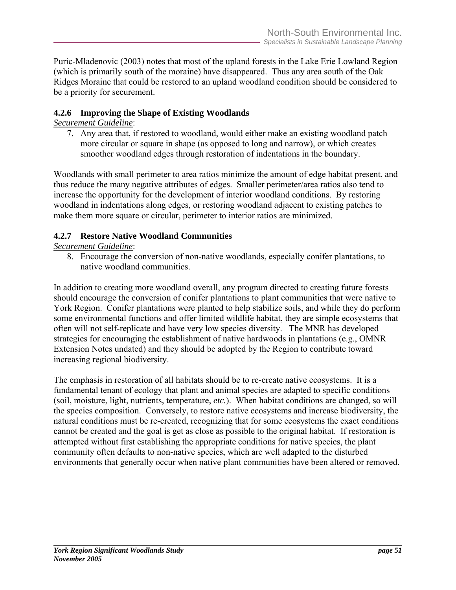Puric-Mladenovic (2003) notes that most of the upland forests in the Lake Erie Lowland Region (which is primarily south of the moraine) have disappeared. Thus any area south of the Oak Ridges Moraine that could be restored to an upland woodland condition should be considered to be a priority for securement.

#### **4.2.6 Improving the Shape of Existing Woodlands**

## *Securement Guideline*:

7. Any area that, if restored to woodland, would either make an existing woodland patch more circular or square in shape (as opposed to long and narrow), or which creates smoother woodland edges through restoration of indentations in the boundary.

Woodlands with small perimeter to area ratios minimize the amount of edge habitat present, and thus reduce the many negative attributes of edges. Smaller perimeter/area ratios also tend to increase the opportunity for the development of interior woodland conditions. By restoring woodland in indentations along edges, or restoring woodland adjacent to existing patches to make them more square or circular, perimeter to interior ratios are minimized.

#### **4.2.7 Restore Native Woodland Communities**

#### *Securement Guideline*:

8. Encourage the conversion of non-native woodlands, especially conifer plantations, to native woodland communities.

In addition to creating more woodland overall, any program directed to creating future forests should encourage the conversion of conifer plantations to plant communities that were native to York Region. Conifer plantations were planted to help stabilize soils, and while they do perform some environmental functions and offer limited wildlife habitat, they are simple ecosystems that often will not self-replicate and have very low species diversity. The MNR has developed strategies for encouraging the establishment of native hardwoods in plantations (e.g., OMNR Extension Notes undated) and they should be adopted by the Region to contribute toward increasing regional biodiversity.

The emphasis in restoration of all habitats should be to re-create native ecosystems. It is a fundamental tenant of ecology that plant and animal species are adapted to specific conditions (soil, moisture, light, nutrients, temperature, *etc.*). When habitat conditions are changed, so will the species composition. Conversely, to restore native ecosystems and increase biodiversity, the natural conditions must be re-created, recognizing that for some ecosystems the exact conditions cannot be created and the goal is get as close as possible to the original habitat. If restoration is attempted without first establishing the appropriate conditions for native species, the plant community often defaults to non-native species, which are well adapted to the disturbed environments that generally occur when native plant communities have been altered or removed.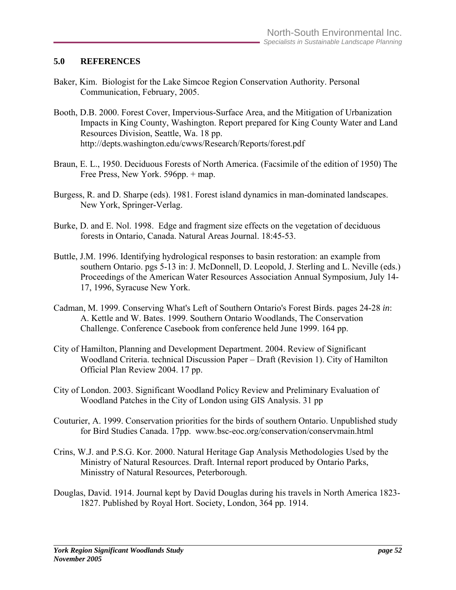#### **5.0 REFERENCES**

- Baker, Kim. Biologist for the Lake Simcoe Region Conservation Authority. Personal Communication, February, 2005.
- Booth, D.B. 2000. Forest Cover, Impervious-Surface Area, and the Mitigation of Urbanization Impacts in King County, Washington. Report prepared for King County Water and Land Resources Division, Seattle, Wa. 18 pp. http://depts.washington.edu/cwws/Research/Reports/forest.pdf
- Braun, E. L., 1950. Deciduous Forests of North America. (Facsimile of the edition of 1950) The Free Press, New York. 596pp. + map.
- Burgess, R. and D. Sharpe (eds). 1981. Forest island dynamics in man-dominated landscapes. New York, Springer-Verlag.
- Burke, D. and E. Nol. 1998. Edge and fragment size effects on the vegetation of deciduous forests in Ontario, Canada. Natural Areas Journal. 18:45-53.
- Buttle, J.M. 1996. Identifying hydrological responses to basin restoration: an example from southern Ontario. pgs 5-13 in: J. McDonnell, D. Leopold, J. Sterling and L. Neville (eds.) Proceedings of the American Water Resources Association Annual Symposium, July 14- 17, 1996, Syracuse New York.
- Cadman, M. 1999. Conserving What's Left of Southern Ontario's Forest Birds. pages 24-28 *in*: A. Kettle and W. Bates. 1999. Southern Ontario Woodlands, The Conservation Challenge. Conference Casebook from conference held June 1999. 164 pp.
- City of Hamilton, Planning and Development Department. 2004. Review of Significant Woodland Criteria. technical Discussion Paper – Draft (Revision 1). City of Hamilton Official Plan Review 2004. 17 pp.
- City of London. 2003. Significant Woodland Policy Review and Preliminary Evaluation of Woodland Patches in the City of London using GIS Analysis. 31 pp
- Couturier, A. 1999. Conservation priorities for the birds of southern Ontario. Unpublished study for Bird Studies Canada. 17pp. www.bsc-eoc.org/conservation/conservmain.html
- Crins, W.J. and P.S.G. Kor. 2000. Natural Heritage Gap Analysis Methodologies Used by the Ministry of Natural Resources. Draft. Internal report produced by Ontario Parks, Minisstry of Natural Resources, Peterborough.
- Douglas, David. 1914. Journal kept by David Douglas during his travels in North America 1823- 1827. Published by Royal Hort. Society, London, 364 pp. 1914.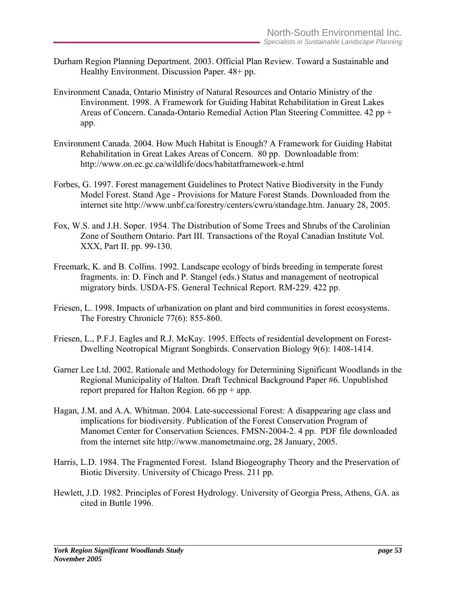- Durham Region Planning Department. 2003. Official Plan Review. Toward a Sustainable and Healthy Environment. Discussion Paper. 48+ pp.
- Environment Canada, Ontario Ministry of Natural Resources and Ontario Ministry of the Environment. 1998. A Framework for Guiding Habitat Rehabilitation in Great Lakes Areas of Concern. Canada-Ontario Remedial Action Plan Steering Committee. 42 pp + app.
- Environment Canada. 2004. How Much Habitat is Enough? A Framework for Guiding Habitat Rehabilitation in Great Lakes Areas of Concern. 80 pp. Downloadable from: http://www.on.ec.gc.ca/wildlife/docs/habitatframework-e.html
- Forbes, G. 1997. Forest management Guidelines to Protect Native Biodiversity in the Fundy Model Forest. Stand Age - Provisions for Mature Forest Stands. Downloaded from the internet site http://www.unbf.ca/forestry/centers/cwru/standage.htm. January 28, 2005.
- Fox, W.S. and J.H. Soper. 1954. The Distribution of Some Trees and Shrubs of the Carolinian Zone of Southern Ontario. Part III. Transactions of the Royal Canadian Institute Vol. XXX, Part II. pp. 99-130.
- Freemark, K. and B. Collins. 1992. Landscape ecology of birds breeding in temperate forest fragments. in: D. Finch and P. Stangel (eds.) Status and management of neotropical migratory birds. USDA-FS. General Technical Report. RM-229. 422 pp.
- Friesen, L. 1998. Impacts of urbanization on plant and bird communities in forest ecosystems. The Forestry Chronicle 77(6): 855-860.
- Friesen, L., P.F.J. Eagles and R.J. McKay. 1995. Effects of residential development on Forest-Dwelling Neotropical Migrant Songbirds. Conservation Biology 9(6): 1408-1414.
- Garner Lee Ltd. 2002. Rationale and Methodology for Determining Significant Woodlands in the Regional Municipality of Halton. Draft Technical Background Paper #6. Unpublished report prepared for Halton Region.  $66$  pp + app.
- Hagan, J.M. and A.A. Whitman. 2004. Late-successional Forest: A disappearing age class and implications for biodiversity. Publication of the Forest Conservation Program of Manomet Center for Conservation Sciences. FMSN-2004-2. 4 pp. PDF file downloaded from the internet site http://www.manometmaine.org, 28 January, 2005.
- Harris, L.D. 1984. The Fragmented Forest. Island Biogeography Theory and the Preservation of Biotic Diversity. University of Chicago Press. 211 pp.
- Hewlett, J.D. 1982. Principles of Forest Hydrology. University of Georgia Press, Athens, GA. as cited in Buttle 1996.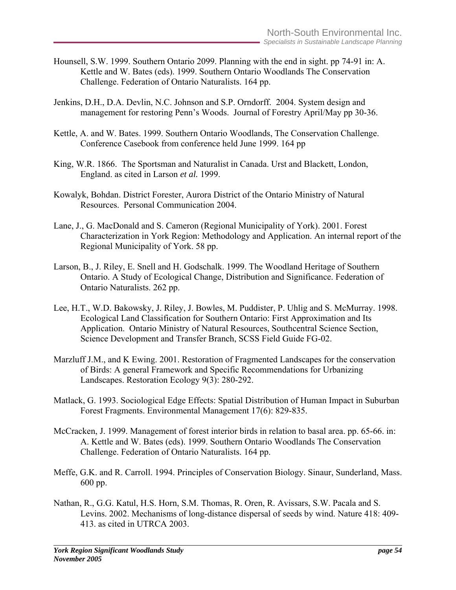- Hounsell, S.W. 1999. Southern Ontario 2099. Planning with the end in sight. pp 74-91 in: A. Kettle and W. Bates (eds). 1999. Southern Ontario Woodlands The Conservation Challenge. Federation of Ontario Naturalists. 164 pp.
- Jenkins, D.H., D.A. Devlin, N.C. Johnson and S.P. Orndorff. 2004. System design and management for restoring Penn's Woods. Journal of Forestry April/May pp 30-36.
- Kettle, A. and W. Bates. 1999. Southern Ontario Woodlands, The Conservation Challenge. Conference Casebook from conference held June 1999. 164 pp
- King, W.R. 1866. The Sportsman and Naturalist in Canada. Urst and Blackett, London, England. as cited in Larson *et al.* 1999.
- Kowalyk, Bohdan. District Forester, Aurora District of the Ontario Ministry of Natural Resources. Personal Communication 2004.
- Lane, J., G. MacDonald and S. Cameron (Regional Municipality of York). 2001. Forest Characterization in York Region: Methodology and Application. An internal report of the Regional Municipality of York. 58 pp.
- Larson, B., J. Riley, E. Snell and H. Godschalk. 1999. The Woodland Heritage of Southern Ontario. A Study of Ecological Change, Distribution and Significance. Federation of Ontario Naturalists. 262 pp.
- Lee, H.T., W.D. Bakowsky, J. Riley, J. Bowles, M. Puddister, P. Uhlig and S. McMurray. 1998. Ecological Land Classification for Southern Ontario: First Approximation and Its Application. Ontario Ministry of Natural Resources, Southcentral Science Section, Science Development and Transfer Branch, SCSS Field Guide FG-02.
- Marzluff J.M., and K Ewing. 2001. Restoration of Fragmented Landscapes for the conservation of Birds: A general Framework and Specific Recommendations for Urbanizing Landscapes. Restoration Ecology 9(3): 280-292.
- Matlack, G. 1993. Sociological Edge Effects: Spatial Distribution of Human Impact in Suburban Forest Fragments. Environmental Management 17(6): 829-835.
- McCracken, J. 1999. Management of forest interior birds in relation to basal area. pp. 65-66. in: A. Kettle and W. Bates (eds). 1999. Southern Ontario Woodlands The Conservation Challenge. Federation of Ontario Naturalists. 164 pp.
- Meffe, G.K. and R. Carroll. 1994. Principles of Conservation Biology. Sinaur, Sunderland, Mass. 600 pp.
- Nathan, R., G.G. Katul, H.S. Horn, S.M. Thomas, R. Oren, R. Avissars, S.W. Pacala and S. Levins. 2002. Mechanisms of long-distance dispersal of seeds by wind. Nature 418: 409- 413. as cited in UTRCA 2003.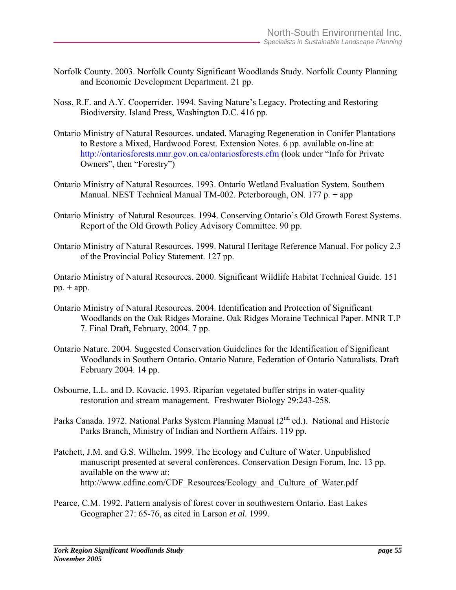- Norfolk County. 2003. Norfolk County Significant Woodlands Study. Norfolk County Planning and Economic Development Department. 21 pp.
- Noss, R.F. and A.Y. Cooperrider. 1994. Saving Nature's Legacy. Protecting and Restoring Biodiversity. Island Press, Washington D.C. 416 pp.
- Ontario Ministry of Natural Resources. undated. Managing Regeneration in Conifer Plantations to Restore a Mixed, Hardwood Forest. Extension Notes. 6 pp. available on-line at: <http://ontariosforests.mnr.gov.on.ca/ontariosforests.cfm>(look under "Info for Private Owners", then "Forestry")
- Ontario Ministry of Natural Resources. 1993. Ontario Wetland Evaluation System. Southern Manual. NEST Technical Manual TM-002. Peterborough, ON. 177 p. + app
- Ontario Ministry of Natural Resources. 1994. Conserving Ontario's Old Growth Forest Systems. Report of the Old Growth Policy Advisory Committee. 90 pp.
- Ontario Ministry of Natural Resources. 1999. Natural Heritage Reference Manual. For policy 2.3 of the Provincial Policy Statement. 127 pp.

Ontario Ministry of Natural Resources. 2000. Significant Wildlife Habitat Technical Guide. 151  $pp. + app.$ 

- Ontario Ministry of Natural Resources. 2004. Identification and Protection of Significant Woodlands on the Oak Ridges Moraine. Oak Ridges Moraine Technical Paper. MNR T.P 7. Final Draft, February, 2004. 7 pp.
- Ontario Nature. 2004. Suggested Conservation Guidelines for the Identification of Significant Woodlands in Southern Ontario. Ontario Nature, Federation of Ontario Naturalists. Draft February 2004. 14 pp.
- Osbourne, L.L. and D. Kovacic. 1993. Riparian vegetated buffer strips in water-quality restoration and stream management. Freshwater Biology 29:243-258.
- Parks Canada. 1972. National Parks System Planning Manual (2<sup>nd</sup> ed.). National and Historic Parks Branch, Ministry of Indian and Northern Affairs. 119 pp.
- Patchett, J.M. and G.S. Wilhelm. 1999. The Ecology and Culture of Water. Unpublished manuscript presented at several conferences. Conservation Design Forum, Inc. 13 pp. available on the www at: http://www.cdfinc.com/CDF\_Resources/Ecology\_and\_Culture\_of\_Water.pdf
- Pearce, C.M. 1992. Pattern analysis of forest cover in southwestern Ontario. East Lakes Geographer 27: 65-76, as cited in Larson *et al.* 1999.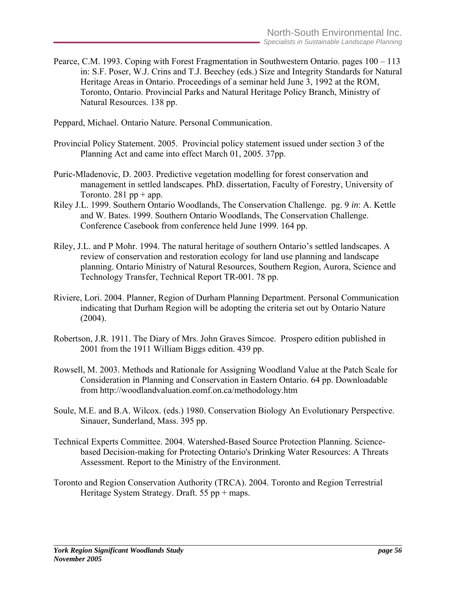Pearce, C.M. 1993. Coping with Forest Fragmentation in Southwestern Ontario. pages 100 – 113 in: S.F. Poser, W.J. Crins and T.J. Beechey (eds.) Size and Integrity Standards for Natural Heritage Areas in Ontario. Proceedings of a seminar held June 3, 1992 at the ROM, Toronto, Ontario. Provincial Parks and Natural Heritage Policy Branch, Ministry of Natural Resources. 138 pp.

Peppard, Michael. Ontario Nature. Personal Communication.

- Provincial Policy Statement. 2005. Provincial policy statement issued under section 3 of the Planning Act and came into effect March 01, 2005. 37pp.
- Puric-Mladenovic, D. 2003. Predictive vegetation modelling for forest conservation and management in settled landscapes. PhD. dissertation, Faculty of Forestry, University of Toronto. 281 pp + app.
- Riley J.L. 1999. Southern Ontario Woodlands, The Conservation Challenge. pg. 9 *in*: A. Kettle and W. Bates. 1999. Southern Ontario Woodlands, The Conservation Challenge. Conference Casebook from conference held June 1999. 164 pp.
- Riley, J.L. and P Mohr. 1994. The natural heritage of southern Ontario's settled landscapes. A review of conservation and restoration ecology for land use planning and landscape planning. Ontario Ministry of Natural Resources, Southern Region, Aurora, Science and Technology Transfer, Technical Report TR-001. 78 pp.
- Riviere, Lori. 2004. Planner, Region of Durham Planning Department. Personal Communication indicating that Durham Region will be adopting the criteria set out by Ontario Nature  $(2004)$ .
- Robertson, J.R. 1911. The Diary of Mrs. John Graves Simcoe. Prospero edition published in 2001 from the 1911 William Biggs edition. 439 pp.
- Rowsell, M. 2003. Methods and Rationale for Assigning Woodland Value at the Patch Scale for Consideration in Planning and Conservation in Eastern Ontario. 64 pp. Downloadable from http://woodlandvaluation.eomf.on.ca/methodology.htm
- Soule, M.E. and B.A. Wilcox. (eds.) 1980. Conservation Biology An Evolutionary Perspective. Sinauer, Sunderland, Mass. 395 pp.
- Technical Experts Committee. 2004. Watershed-Based Source Protection Planning. Sciencebased Decision-making for Protecting Ontario's Drinking Water Resources: A Threats Assessment. Report to the Ministry of the Environment.
- Toronto and Region Conservation Authority (TRCA). 2004. Toronto and Region Terrestrial Heritage System Strategy. Draft. 55 pp + maps.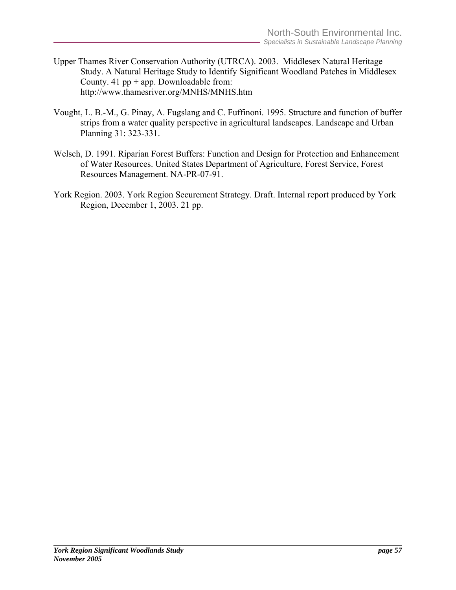- Upper Thames River Conservation Authority (UTRCA). 2003. Middlesex Natural Heritage Study. A Natural Heritage Study to Identify Significant Woodland Patches in Middlesex County. 41  $pp + app$ . Downloadable from: http://www.thamesriver.org/MNHS/MNHS.htm
- Vought, L. B.-M., G. Pinay, A. Fugslang and C. Fuffinoni. 1995. Structure and function of buffer strips from a water quality perspective in agricultural landscapes. Landscape and Urban Planning 31: 323-331.
- Welsch, D. 1991. Riparian Forest Buffers: Function and Design for Protection and Enhancement of Water Resources. United States Department of Agriculture, Forest Service, Forest Resources Management. NA-PR-07-91.
- York Region. 2003. York Region Securement Strategy. Draft. Internal report produced by York Region, December 1, 2003. 21 pp.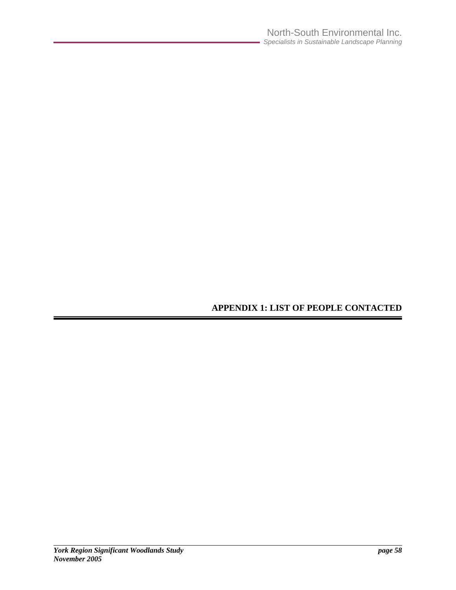# **APPENDIX 1: LIST OF PEOPLE CONTACTED**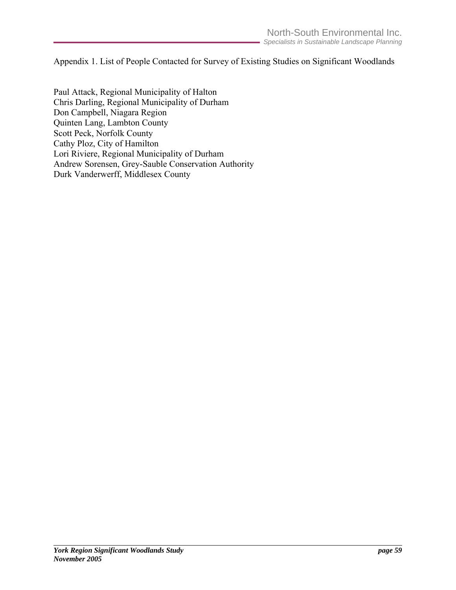Appendix 1. List of People Contacted for Survey of Existing Studies on Significant Woodlands

Paul Attack, Regional Municipality of Halton Chris Darling, Regional Municipality of Durham Don Campbell, Niagara Region Quinten Lang, Lambton County Scott Peck, Norfolk County Cathy Ploz, City of Hamilton Lori Riviere, Regional Municipality of Durham Andrew Sorensen, Grey-Sauble Conservation Authority Durk Vanderwerff, Middlesex County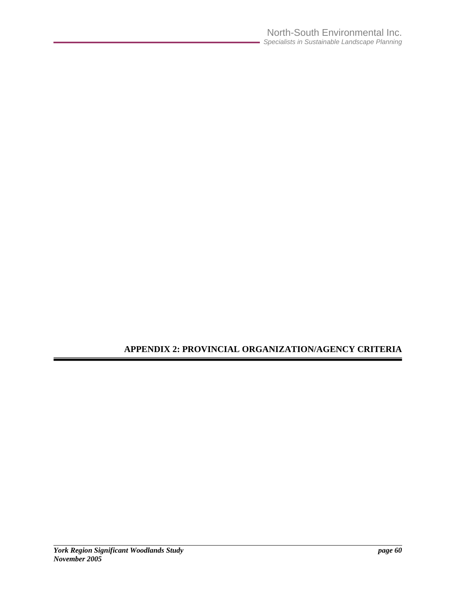# **APPENDIX 2: PROVINCIAL ORGANIZATION/AGENCY CRITERIA**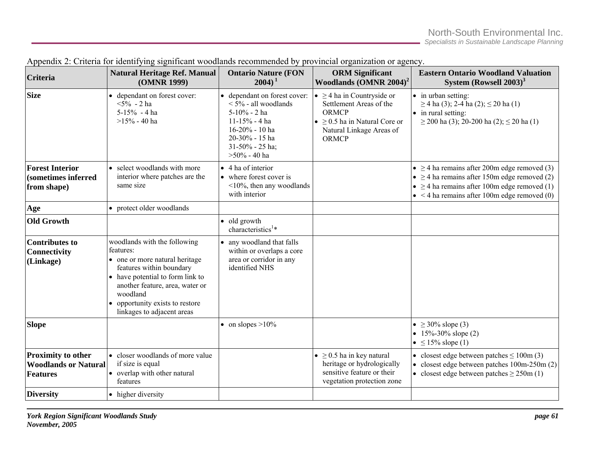| <b>Criteria</b>                                                             | <b>Natural Heritage Ref. Manual</b><br>(OMNR 1999)                                                                                                                                                                                                          | <b>Ontario Nature (FON</b><br>$2004$ <sup>1</sup>                                                                                                                   | <b>ORM</b> Significant<br>Woodlands $(OMNR 2004)^2$                                                                                                                      | <b>Eastern Ontario Woodland Valuation</b><br>System (Rowsell $2003$ ) <sup>3</sup>                                                                                                                                  |
|-----------------------------------------------------------------------------|-------------------------------------------------------------------------------------------------------------------------------------------------------------------------------------------------------------------------------------------------------------|---------------------------------------------------------------------------------------------------------------------------------------------------------------------|--------------------------------------------------------------------------------------------------------------------------------------------------------------------------|---------------------------------------------------------------------------------------------------------------------------------------------------------------------------------------------------------------------|
| <b>Size</b>                                                                 | • dependant on forest cover:<br>$5\%$ - 2 ha<br>$5-15% - 4$ ha<br>$>15\%$ - 40 ha                                                                                                                                                                           | dependant on forest cover:<br>$<$ 5% - all woodlands<br>$5-10% - 2$ ha<br>$11-15% - 4$ ha<br>16-20% - 10 ha<br>20-30% - 15 ha<br>31-50% - 25 ha;<br>$>50\%$ - 40 ha | $\bullet \geq 4$ ha in Countryside or<br>Settlement Areas of the<br><b>ORMCP</b><br>$\bullet \geq 0.5$ ha in Natural Core or<br>Natural Linkage Areas of<br><b>ORMCP</b> | • in urban setting:<br>$\geq$ 4 ha (3); 2-4 ha (2); $\leq$ 20 ha (1)<br>• in rural setting:<br>$\geq$ 200 ha (3); 20-200 ha (2); $\leq$ 20 ha (1)                                                                   |
| <b>Forest Interior</b><br>(sometimes inferred<br>from shape)                | • select woodlands with more<br>interior where patches are the<br>same size                                                                                                                                                                                 | $\bullet$ 4 ha of interior<br>• where forest cover is<br>$\leq$ 10%, then any woodlands<br>with interior                                                            |                                                                                                                                                                          | • $\geq$ 4 ha remains after 200m edge removed (3)<br>• $\geq$ 4 ha remains after 150m edge removed (2)<br>• $\geq$ 4 ha remains after 100m edge removed (1)<br>$\bullet$ < 4 ha remains after 100m edge removed (0) |
| Age                                                                         | • protect older woodlands                                                                                                                                                                                                                                   |                                                                                                                                                                     |                                                                                                                                                                          |                                                                                                                                                                                                                     |
| <b>Old Growth</b>                                                           |                                                                                                                                                                                                                                                             | • old growth<br>characteristics <sup>1*</sup>                                                                                                                       |                                                                                                                                                                          |                                                                                                                                                                                                                     |
| <b>Contributes to</b><br><b>Connectivity</b><br>(Linkage)                   | woodlands with the following<br>features:<br>• one or more natural heritage<br>features within boundary<br>• have potential to form link to<br>another feature, area, water or<br>woodland<br>• opportunity exists to restore<br>linkages to adjacent areas | any woodland that falls<br>within or overlaps a core<br>area or corridor in any<br>identified NHS                                                                   |                                                                                                                                                                          |                                                                                                                                                                                                                     |
| <b>Slope</b>                                                                |                                                                                                                                                                                                                                                             | • on slopes $>10\%$                                                                                                                                                 |                                                                                                                                                                          | • $\geq 30\%$ slope (3)<br>• $15\% - 30\%$ slope (2)<br>$\bullet \leq 15\%$ slope (1)                                                                                                                               |
| <b>Proximity to other</b><br><b>Woodlands or Natural</b><br><b>Features</b> | • closer woodlands of more value<br>if size is equal<br>• overlap with other natural<br>features                                                                                                                                                            |                                                                                                                                                                     | $\bullet \geq 0.5$ ha in key natural<br>heritage or hydrologically<br>sensitive feature or their<br>vegetation protection zone                                           | • closest edge between patches $\leq 100$ m (3)<br>• closest edge between patches $100m-250m(2)$<br>• closest edge between patches $\geq$ 250m (1)                                                                  |
| <b>Diversity</b>                                                            | • higher diversity                                                                                                                                                                                                                                          |                                                                                                                                                                     |                                                                                                                                                                          |                                                                                                                                                                                                                     |

|  |  |  |  |  | Appendix 2: Criteria for identifying significant woodlands recommended by provincial organization or agency. |  |  |
|--|--|--|--|--|--------------------------------------------------------------------------------------------------------------|--|--|
|  |  |  |  |  |                                                                                                              |  |  |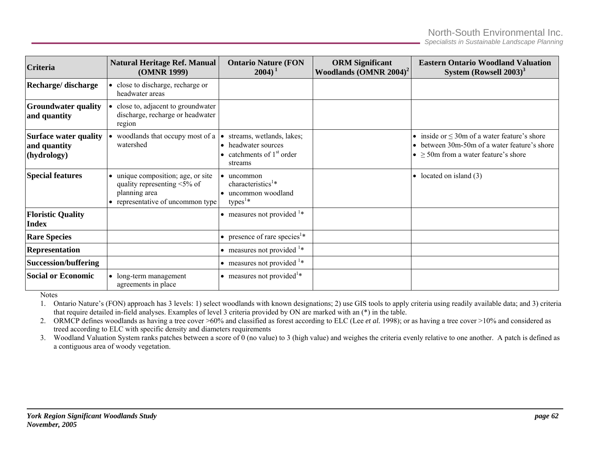*Specialists in Sustainable Landscape Planning* 

| <b>Criteria</b>                                             | <b>Natural Heritage Ref. Manual</b><br>(OMNR 1999)                                                                             | <b>Ontario Nature (FON</b><br>$2004$ <sup>1</sup>                                                       | <b>ORM</b> Significant<br>Woodlands $(OMNR 2004)^2$ | <b>Eastern Ontario Woodland Valuation</b><br>System (Rowsell $2003$ ) <sup>3</sup>                                                                     |
|-------------------------------------------------------------|--------------------------------------------------------------------------------------------------------------------------------|---------------------------------------------------------------------------------------------------------|-----------------------------------------------------|--------------------------------------------------------------------------------------------------------------------------------------------------------|
| Recharge/discharge                                          | • close to discharge, recharge or<br>headwater areas                                                                           |                                                                                                         |                                                     |                                                                                                                                                        |
| <b>Groundwater quality</b><br>and quantity                  | close to, adjacent to groundwater<br>discharge, recharge or headwater<br>region                                                |                                                                                                         |                                                     |                                                                                                                                                        |
| <b>Surface water quality</b><br>and quantity<br>(hydrology) | woodlands that occupy most of a<br>watershed                                                                                   | streams, wetlands, lakes;<br>$\bullet$<br>• headwater sources<br>• catchments of $1st$ order<br>streams |                                                     | • inside or $\leq$ 30m of a water feature's shore<br>• between 30m-50m of a water feature's shore<br>$\bullet$ $\geq$ 50m from a water feature's shore |
| <b>Special features</b>                                     | • unique composition; age, or site<br>quality representing $\leq 5\%$ of<br>planning area<br>• representative of uncommon type | uncommon<br>characteristics <sup>1*</sup><br>uncommon woodland<br>types <sup><math>1*</math></sup>      |                                                     | • located on island $(3)$                                                                                                                              |
| <b>Floristic Quality</b><br><b>Index</b>                    |                                                                                                                                | • measures not provided $\frac{1*}{1*}$                                                                 |                                                     |                                                                                                                                                        |
| <b>Rare Species</b>                                         |                                                                                                                                | • presence of rare species <sup>1*</sup>                                                                |                                                     |                                                                                                                                                        |
| <b>Representation</b>                                       |                                                                                                                                | $\bullet$ measures not provided $\frac{1*}{1*}$                                                         |                                                     |                                                                                                                                                        |
| <b>Succession/buffering</b>                                 |                                                                                                                                | $\bullet$ measures not provided $\frac{1*}{1*}$                                                         |                                                     |                                                                                                                                                        |
| <b>Social or Economic</b>                                   | • long-term management<br>agreements in place                                                                                  | $\bullet$ measures not provided <sup>1*</sup>                                                           |                                                     |                                                                                                                                                        |

Notes

1. Ontario Nature's (FON) approach has 3 levels: 1) select woodlands with known designations; 2) use GIS tools to apply criteria using readily available data; and 3) criteria that require detailed in-field analyses. Examples of level 3 criteria provided by ON are marked with an (\*) in the table.

2. ORMCP defines woodlands as having a tree cover >60% and classified as forest according to ELC (Lee *et al.* 1998); or as having a tree cover >10% and considered as treed according to ELC with specific density and diameters requirements

3. Woodland Valuation System ranks patches between a score of 0 (no value) to 3 (high value) and weighes the criteria evenly relative to one another. A patch is defined as a contiguous area of woody vegetation.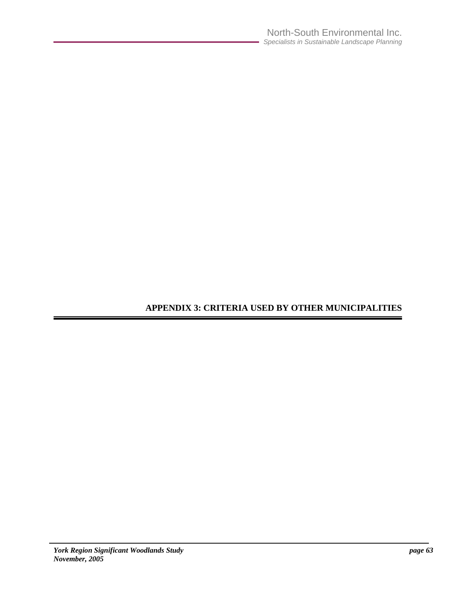# **APPENDIX 3: CRITERIA USED BY OTHER MUNICIPALITIES**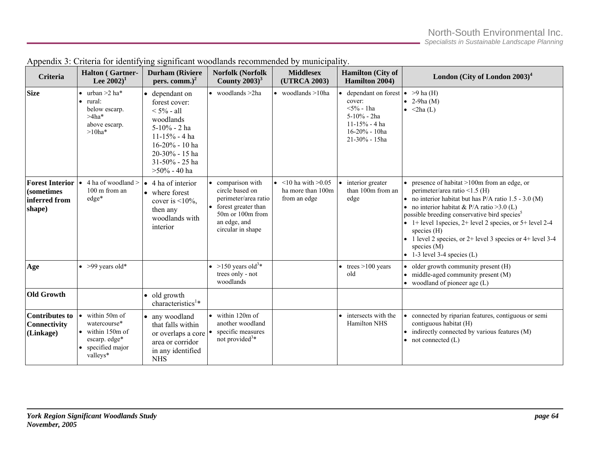| Criteria                                                               | <b>Halton</b> (Gartner-<br>Lee $2002)^1$                                                                    | <b>Durham</b> (Riviere<br>pers. comm.) $2$                                                                                                                              | Norfolk (Norfolk<br>County $2003$ <sup>3</sup>                                                                                             | <b>Middlesex</b><br>(UTRCA 2003)                               | Hamilton (City of<br>Hamilton 2004)                                                                              | London (City of London $2003$ ) <sup>4</sup>                                                                                                                                                                                                                                                                                                                                                                                                                           |
|------------------------------------------------------------------------|-------------------------------------------------------------------------------------------------------------|-------------------------------------------------------------------------------------------------------------------------------------------------------------------------|--------------------------------------------------------------------------------------------------------------------------------------------|----------------------------------------------------------------|------------------------------------------------------------------------------------------------------------------|------------------------------------------------------------------------------------------------------------------------------------------------------------------------------------------------------------------------------------------------------------------------------------------------------------------------------------------------------------------------------------------------------------------------------------------------------------------------|
| <b>Size</b>                                                            | $\bullet$ urban >2 ha*<br>$\bullet$ rural:<br>below escarp.<br>$>4ha*$<br>above escarp.<br>$>10$ ha*        | dependant on<br>forest cover:<br>$< 5\%$ - all<br>woodlands<br>5-10% - 2 ha<br>$11-15% - 4 ha$<br>16-20% - 10 ha<br>20-30% - 15 ha<br>31-50% - 25 ha<br>$>50\%$ - 40 ha | $\bullet$ woodlands $>2$ ha                                                                                                                | $\bullet$ woodlands $>10$ ha                                   | dependant on forest<br>cover:<br>$5\%$ - 1ha<br>5-10% - 2ha<br>$11-15% - 4$ ha<br>16-20% - 10ha<br>21-30% - 15ha | $\bullet$ >9 ha (H)<br>$\bullet$ 2-9ha (M)<br>$\bullet$ <2ha(L)                                                                                                                                                                                                                                                                                                                                                                                                        |
| <b>Forest Interior</b><br><i>(sometimes</i><br>inferred from<br>shape) | 4 ha of woodland ><br>$\bullet$<br>100 m from an<br>$edge*$                                                 | 4 ha of interior<br>$\bullet$<br>• where forest<br>cover is $\leq 10\%$ ,<br>then any<br>woodlands with<br>interior                                                     | comparison with<br>circle based on<br>perimeter/area ratio<br>forest greater than<br>50m or 100m from<br>an edge, and<br>circular in shape | • $<$ 10 ha with $>$ 0.05<br>ha more than 100m<br>from an edge | interior greater<br>than 100m from an<br>edge                                                                    | • presence of habitat $>100$ m from an edge, or<br>perimeter/area ratio <1.5 (H)<br>• no interior habitat but has $P/A$ ratio 1.5 - 3.0 (M)<br>• no interior habitat & P/A ratio > 3.0 (L)<br>possible breeding conservative bird species <sup>5</sup><br>$\bullet$ 1+ level 1 species, 2+ level 2 species, or 5+ level 2-4<br>species $(H)$<br>• 1 level 2 species, or $2+$ level 3 species or $4+$ level 3-4<br>species $(M)$<br>$\bullet$ 1-3 level 3-4 species (L) |
| Age                                                                    | $\bullet$ >99 years old*                                                                                    |                                                                                                                                                                         | $>150$ years old <sup>3*</sup><br>trees only - not<br>woodlands                                                                            |                                                                | $\bullet$ trees >100 years<br>old                                                                                | $\bullet$ older growth community present (H)<br>middle-aged community present (M)<br>• woodland of pioneer age $(L)$                                                                                                                                                                                                                                                                                                                                                   |
| <b>Old Growth</b>                                                      |                                                                                                             | $\bullet$ old growth<br>characteristics <sup>1*</sup>                                                                                                                   |                                                                                                                                            |                                                                |                                                                                                                  |                                                                                                                                                                                                                                                                                                                                                                                                                                                                        |
| <b>Contributes to</b><br><b>Connectivity</b><br>(Linkage)              | within 50m of<br>watercourse*<br>$\bullet$ within 150m of<br>escarp. edge*<br>• specified major<br>valleys* | any woodland<br>that falls within<br>or overlaps a core<br>area or corridor<br>in any identified<br><b>NHS</b>                                                          | within 120m of<br>another woodland<br>specific measures<br>not provided <sup>3*</sup>                                                      |                                                                | • intersects with the<br>Hamilton NHS                                                                            | • connected by riparian features, contiguous or semi<br>contiguous habitat (H)<br>indirectly connected by various features (M)<br>$\bullet$ not connected (L)                                                                                                                                                                                                                                                                                                          |

|  |  | Appendix 3: Criteria for identifying significant woodlands recommended by municipality. |  |
|--|--|-----------------------------------------------------------------------------------------|--|
|  |  |                                                                                         |  |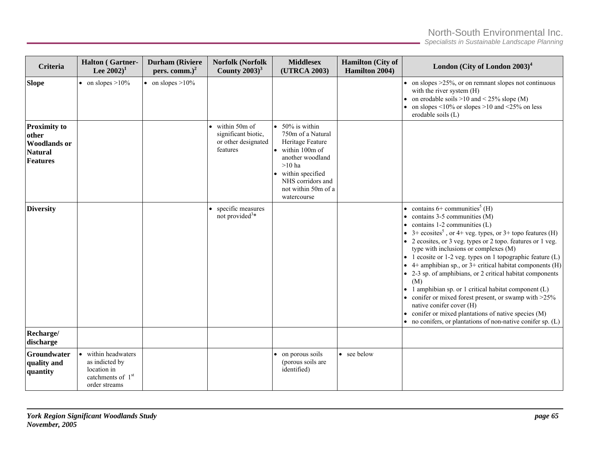*Specialists in Sustainable Landscape Planning* 

| <b>Criteria</b>                                                                          | <b>Halton</b> (Gartner-<br>Lee $2002$ <sup>1</sup>                                                                | <b>Durham</b> (Riviere<br>pers. comm.) $2$ | <b>Norfolk (Norfolk</b><br>County $2003$ <sup>3</sup>                             | <b>Middlesex</b><br>(UTRCA 2003)                                                                                                                                                                  | <b>Hamilton</b> (City of<br>Hamilton 2004) | London (City of London $2003)^4$                                                                                                                                                                                                                                                                                                                                                                                                                                                                                                                                                                                                                                                                                                                                                                              |
|------------------------------------------------------------------------------------------|-------------------------------------------------------------------------------------------------------------------|--------------------------------------------|-----------------------------------------------------------------------------------|---------------------------------------------------------------------------------------------------------------------------------------------------------------------------------------------------|--------------------------------------------|---------------------------------------------------------------------------------------------------------------------------------------------------------------------------------------------------------------------------------------------------------------------------------------------------------------------------------------------------------------------------------------------------------------------------------------------------------------------------------------------------------------------------------------------------------------------------------------------------------------------------------------------------------------------------------------------------------------------------------------------------------------------------------------------------------------|
| <b>Slope</b>                                                                             | • on slopes $>10\%$                                                                                               | • on slopes $>10\%$                        |                                                                                   |                                                                                                                                                                                                   |                                            | • on slopes $>25\%$ , or on remnant slopes not continuous<br>with the river system (H)<br>• on erodable soils >10 and < $25\%$ slope (M)<br>• on slopes $\leq 10\%$ or slopes $\geq 10$ and $\leq 25\%$ on less<br>erodable soils (L)                                                                                                                                                                                                                                                                                                                                                                                                                                                                                                                                                                         |
| <b>Proximity to</b><br>other<br><b>Woodlands or</b><br><b>Natural</b><br><b>Features</b> |                                                                                                                   |                                            | $\bullet$ within 50m of<br>significant biotic,<br>or other designated<br>features | $\bullet$ 50% is within<br>750m of a Natural<br>Heritage Feature<br>within 100m of<br>another woodland<br>$>10$ ha<br>within specified<br>NHS corridors and<br>not within 50m of a<br>watercourse |                                            |                                                                                                                                                                                                                                                                                                                                                                                                                                                                                                                                                                                                                                                                                                                                                                                                               |
| <b>Diversity</b>                                                                         |                                                                                                                   |                                            | specific measures<br>not provided <sup>3*</sup>                                   |                                                                                                                                                                                                   |                                            | • contains $6+$ communities <sup>5</sup> (H)<br>$\bullet$ contains 3-5 communities (M)<br>$\bullet$ contains 1-2 communities (L)<br>• $3+$ ecosites <sup>5</sup> , or 4+ veg. types, or 3+ topo features (H)<br>• 2 ecosites, or 3 veg. types or 2 topo. features or 1 veg.<br>type with inclusions or complexes (M)<br>$\bullet$ 1 ecosite or 1-2 veg. types on 1 topographic feature (L)<br>• 4+ amphibian sp., or $3+$ critical habitat components (H)<br>• 2-3 sp. of amphibians, or 2 critical habitat components<br>(M)<br>• 1 amphibian sp. or 1 critical habitat component (L)<br>• conifer or mixed forest present, or swamp with $>25\%$<br>native conifer cover (H)<br>• conifer or mixed plantations of native species (M)<br>$\bullet$ no conifers, or plantations of non-native conifer sp. (L) |
| Recharge/<br>discharge                                                                   |                                                                                                                   |                                            |                                                                                   |                                                                                                                                                                                                   |                                            |                                                                                                                                                                                                                                                                                                                                                                                                                                                                                                                                                                                                                                                                                                                                                                                                               |
| Groundwater<br>quality and<br>quantity                                                   | within headwaters<br>$\bullet$<br>as indicted by<br>location in<br>catchments of 1 <sup>st</sup><br>order streams |                                            |                                                                                   | • on porous soils<br>(porous soils are<br>identified)                                                                                                                                             | • see below                                |                                                                                                                                                                                                                                                                                                                                                                                                                                                                                                                                                                                                                                                                                                                                                                                                               |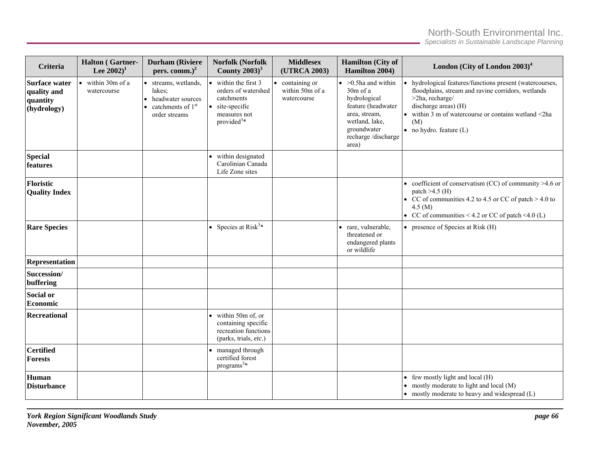*Specialists in Sustainable Landscape Planning* 

| <b>Criteria</b>                                                | <b>Halton</b> (Gartner-<br>Lee $2002$ <sup>1</sup> | <b>Durham</b> (Riviere<br>pers. comm.) $2$                                                            | <b>Norfolk (Norfolk</b><br>County $2003$ <sup>3</sup>                                                                           | <b>Middlesex</b><br>(UTRCA 2003)                | <b>Hamilton</b> (City of<br>Hamilton 2004)                                                                                                                      | London (City of London $2003)^4$                                                                                                                                                                                                                                       |
|----------------------------------------------------------------|----------------------------------------------------|-------------------------------------------------------------------------------------------------------|---------------------------------------------------------------------------------------------------------------------------------|-------------------------------------------------|-----------------------------------------------------------------------------------------------------------------------------------------------------------------|------------------------------------------------------------------------------------------------------------------------------------------------------------------------------------------------------------------------------------------------------------------------|
| <b>Surface water</b><br>quality and<br>quantity<br>(hydrology) | within 30m of a<br>$\bullet$<br>watercourse        | • streams, wetlands,<br>lakes:<br>headwater sources<br>catchments of 1 <sup>st</sup><br>order streams | within the first 3<br>orders of watershed<br>catchments<br>site-specific<br>$\bullet$<br>measures not<br>provided <sup>3*</sup> | containing or<br>within 50m of a<br>watercourse | $\bullet$ >0.5ha and within<br>30m of a<br>hydrological<br>feature (headwater<br>area, stream,<br>wetland, lake,<br>groundwater<br>recharge /discharge<br>area) | • hydrological features/functions present (watercourses,<br>floodplains, stream and ravine corridors, wetlands<br>$>2$ ha, recharge/<br>discharge areas) (H)<br>$\bullet$ within 3 m of watercourse or contains wetland <2ha<br>(M)<br>$\bullet$ no hydro. feature (L) |
| <b>Special</b><br>features                                     |                                                    |                                                                                                       | within designated<br>Carolinian Canada<br>Life Zone sites                                                                       |                                                 |                                                                                                                                                                 |                                                                                                                                                                                                                                                                        |
| Floristic<br><b>Quality Index</b>                              |                                                    |                                                                                                       |                                                                                                                                 |                                                 |                                                                                                                                                                 | • coefficient of conservatism (CC) of community $>4.6$ or<br>patch $>4.5$ (H)<br>• CC of communities 4.2 to 4.5 or CC of patch $>$ 4.0 to<br>4.5 (M)<br>• CC of communities < 4.2 or CC of patch <4.0 (L)                                                              |
| <b>Rare Species</b>                                            |                                                    |                                                                                                       | • Species at Risk <sup>3*</sup>                                                                                                 |                                                 | · rare, vulnerable,<br>threatened or<br>endangered plants<br>or wildlife                                                                                        | • presence of Species at Risk $(H)$                                                                                                                                                                                                                                    |
| Representation                                                 |                                                    |                                                                                                       |                                                                                                                                 |                                                 |                                                                                                                                                                 |                                                                                                                                                                                                                                                                        |
| Succession/<br>buffering                                       |                                                    |                                                                                                       |                                                                                                                                 |                                                 |                                                                                                                                                                 |                                                                                                                                                                                                                                                                        |
| <b>Social or</b><br>Economic                                   |                                                    |                                                                                                       |                                                                                                                                 |                                                 |                                                                                                                                                                 |                                                                                                                                                                                                                                                                        |
| <b>Recreational</b>                                            |                                                    |                                                                                                       | • within 50m of, or<br>containing specific<br>recreation functions<br>(parks, trials, etc.)                                     |                                                 |                                                                                                                                                                 |                                                                                                                                                                                                                                                                        |
| <b>Certified</b><br><b>Forests</b>                             |                                                    |                                                                                                       | managed through<br>certified forest<br>programs <sup>3*</sup>                                                                   |                                                 |                                                                                                                                                                 |                                                                                                                                                                                                                                                                        |
| Human<br><b>Disturbance</b>                                    |                                                    |                                                                                                       |                                                                                                                                 |                                                 |                                                                                                                                                                 | • few mostly light and local (H)<br>• mostly moderate to light and local (M)<br>$\bullet$ mostly moderate to heavy and widespread (L)                                                                                                                                  |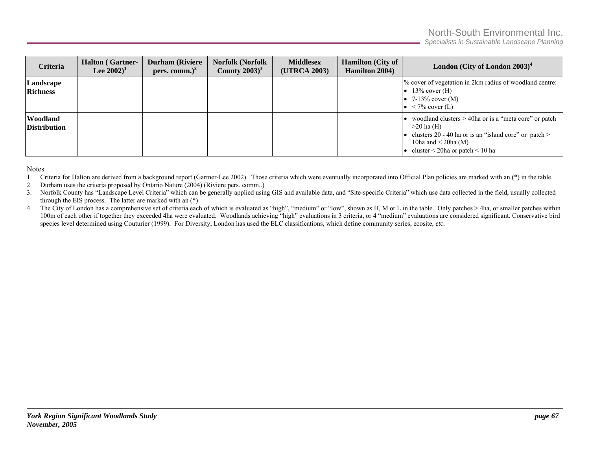*Specialists in Sustainable Landscape Planning* 

| Criteria                        | <b>Halton</b> (Gartner-<br>Lee $2002)^1$ | <b>Durham</b> (Riviere<br>pers. comm.) $2$ | <b>Norfolk (Norfolk</b><br>County $2003$ <sup>3</sup> | <b>Middlesex</b><br>(UTRCA 2003) | <b>Hamilton</b> (City of<br><b>Hamilton 2004)</b> | London (City of London $2003)^4$                                                                                                                                                                            |
|---------------------------------|------------------------------------------|--------------------------------------------|-------------------------------------------------------|----------------------------------|---------------------------------------------------|-------------------------------------------------------------------------------------------------------------------------------------------------------------------------------------------------------------|
| Landscape<br><b>Richness</b>    |                                          |                                            |                                                       |                                  |                                                   | % cover of vegetation in 2km radius of woodland centre:<br>$\bullet$ 13% cover (H)<br>• 7-13% cover $(M)$<br>$\bullet$ < 7% cover (L)                                                                       |
| Woodland<br><b>Distribution</b> |                                          |                                            |                                                       |                                  |                                                   | woodland clusters > 40ha or is a "meta core" or patch<br>$>20$ ha (H)<br>• clusters 20 - 40 ha or is an "island core" or patch $>$<br>10ha and $\leq$ 20ha (M)<br>cluster $\leq$ 20ha or patch $\leq$ 10 ha |

Notes

- 1. Criteria for Halton are derived from a background report (Gartner-Lee 2002). Those criteria which were eventually incorporated into Official Plan policies are marked with an (\*) in the table.
- 2.Durham uses the criteria proposed by Ontario Nature (2004) (Riviere pers. comm..)
- 3.Norfolk County has "Landscape Level Criteria" which can be generally applied using GIS and available data, and "Site-specific Criteria" which use data collected in the field, usually collected through the EIS process. The latter are marked with an (\*)
- 4. The City of London has a comprehensive set of criteria each of which is evaluated as "high", "medium" or "low", shown as H, M or L in the table. Only patches > 4ha, or smaller patches within 100m of each other if together they exceeded 4ha were evaluated. Woodlands achieving "high" evaluations in 3 criteria, or 4 "medium" evaluations are considered significant. Conservative bird species level determined using Couturier (1999). For Diversity, London has used the ELC classifications, which define community series, ecosite, *etc.*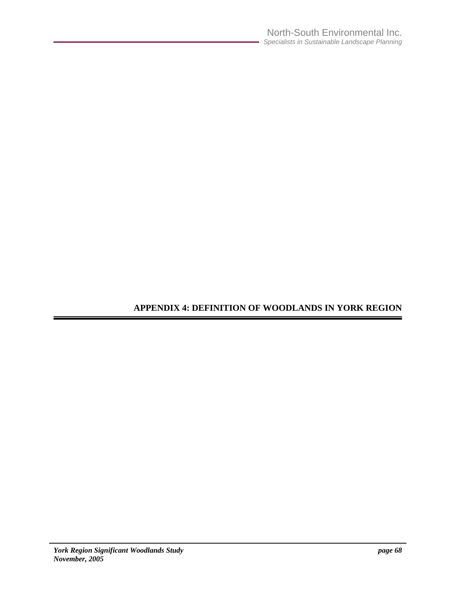**APPENDIX 4: DEFINITION OF WOODLANDS IN YORK REGION**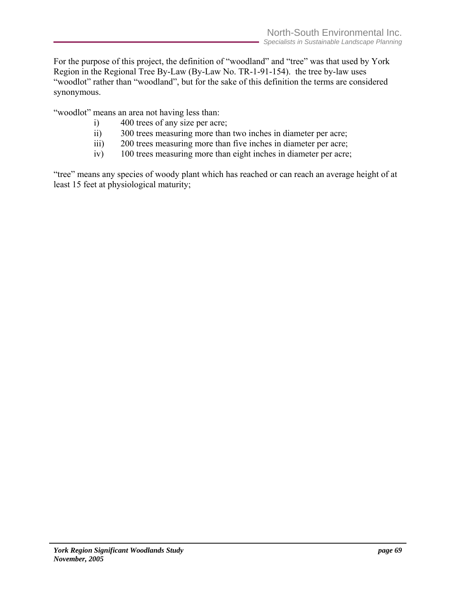For the purpose of this project, the definition of "woodland" and "tree" was that used by York Region in the Regional Tree By-Law (By-Law No. TR-1-91-154). the tree by-law uses "woodlot" rather than "woodland", but for the sake of this definition the terms are considered synonymous.

"woodlot" means an area not having less than:

- i) 400 trees of any size per acre;
- ii) 300 trees measuring more than two inches in diameter per acre;
- iii) 200 trees measuring more than five inches in diameter per acre;
- iv) 100 trees measuring more than eight inches in diameter per acre;

"tree" means any species of woody plant which has reached or can reach an average height of at least 15 feet at physiological maturity;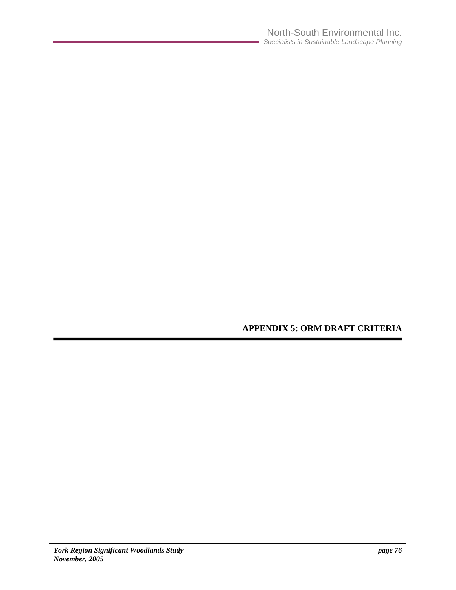# **APPENDIX 5: ORM DRAFT CRITERIA**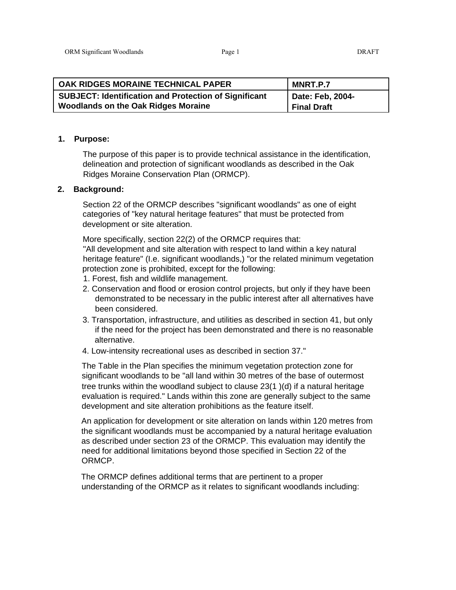| OAK RIDGES MORAINE TECHNICAL PAPER                           | MNRT.P.7           |
|--------------------------------------------------------------|--------------------|
| <b>SUBJECT: Identification and Protection of Significant</b> | Date: Feb, 2004-   |
| <b>Woodlands on the Oak Ridges Moraine</b>                   | <b>Final Draft</b> |

#### **1. Purpose:**

The purpose of this paper is to provide technical assistance in the identification, delineation and protection of significant woodlands as described in the Oak Ridges Moraine Conservation Plan (ORMCP).

#### **2. Background:**

Section 22 of the ORMCP describes "significant woodlands" as one of eight categories of "key natural heritage features" that must be protected from development or site alteration.

More specifically, section 22(2) of the ORMCP requires that:

"All development and site alteration with respect to land within a key natural heritage feature" (I.e. significant woodlands,) "or the related minimum vegetation protection zone is prohibited, except for the following:

- 1. Forest, fish and wildlife management.
- 2. Conservation and flood or erosion control projects, but only if they have been demonstrated to be necessary in the public interest after all alternatives have been considered.
- 3. Transportation, infrastructure, and utilities as described in section 41, but only if the need for the project has been demonstrated and there is no reasonable alternative.
- 4. Low-intensity recreational uses as described in section 37."

The Table in the Plan specifies the minimum vegetation protection zone for significant woodlands to be "all land within 30 metres of the base of outermost tree trunks within the woodland subject to clause 23(1 )(d) if a natural heritage evaluation is required." Lands within this zone are generally subject to the same development and site alteration prohibitions as the feature itself.

An application for development or site alteration on lands within 120 metres from the significant woodlands must be accompanied by a natural heritage evaluation as described under section 23 of the ORMCP. This evaluation may identify the need for additional limitations beyond those specified in Section 22 of the ORMCP.

The ORMCP defines additional terms that are pertinent to a proper understanding of the ORMCP as it relates to significant woodlands including: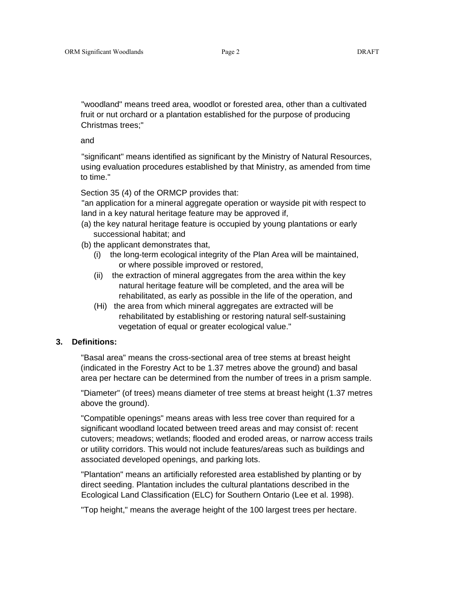"woodland" means treed area, woodlot or forested area, other than a cultivated fruit or nut orchard or a plantation established for the purpose of producing Christmas trees;"

and

"significant" means identified as significant by the Ministry of Natural Resources, using evaluation procedures established by that Ministry, as amended from time to time."

Section 35 (4) of the ORMCP provides that:

"an application for a mineral aggregate operation or wayside pit with respect to land in a key natural heritage feature may be approved if,

- (a) the key natural heritage feature is occupied by young plantations or early successional habitat; and
- (b) the applicant demonstrates that,
	- (i) the long-term ecological integrity of the Plan Area will be maintained, or where possible improved or restored,
	- (ii) the extraction of mineral aggregates from the area within the key natural heritage feature will be completed, and the area will be rehabilitated, as early as possible in the life of the operation, and
	- (Hi) the area from which mineral aggregates are extracted will be rehabilitated by establishing or restoring natural self-sustaining vegetation of equal or greater ecological value."

#### **3. Definitions:**

"Basal area" means the cross-sectional area of tree stems at breast height (indicated in the Forestry Act to be 1.37 metres above the ground) and basal area per hectare can be determined from the number of trees in a prism sample.

"Diameter" (of trees) means diameter of tree stems at breast height (1.37 metres above the ground).

"Compatible openings" means areas with less tree cover than required for a significant woodland located between treed areas and may consist of: recent cutovers; meadows; wetlands; flooded and eroded areas, or narrow access trails or utility corridors. This would not include features/areas such as buildings and associated developed openings, and parking lots.

"Plantation" means an artificially reforested area established by planting or by direct seeding. Plantation includes the cultural plantations described in the Ecological Land Classification (ELC) for Southern Ontario (Lee et al. 1998).

"Top height," means the average height of the 100 largest trees per hectare.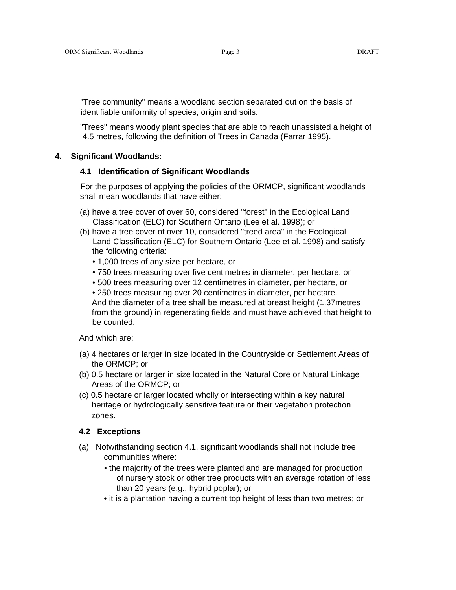"Tree community" means a woodland section separated out on the basis of identifiable uniformity of species, origin and soils.

"Trees" means woody plant species that are able to reach unassisted a height of 4.5 metres, following the definition of Trees in Canada (Farrar 1995).

#### **4. Significant Woodlands:**

#### **4.1 Identification of Significant Woodlands**

For the purposes of applying the policies of the ORMCP, significant woodlands shall mean woodlands that have either:

- (a) have a tree cover of over 60, considered "forest" in the Ecological Land Classification (ELC) for Southern Ontario (Lee et al. 1998); or
- (b) have a tree cover of over 10, considered "treed area" in the Ecological Land Classification (ELC) for Southern Ontario (Lee et al. 1998) and satisfy the following criteria:
	- 1,000 trees of any size per hectare, or
	- 750 trees measuring over five centimetres in diameter, per hectare, or
	- 500 trees measuring over 12 centimetres in diameter, per hectare, or

• 250 trees measuring over 20 centimetres in diameter, per hectare. And the diameter of a tree shall be measured at breast height (1.37metres from the ground) in regenerating fields and must have achieved that height to be counted.

And which are:

- (a) 4 hectares or larger in size located in the Countryside or Settlement Areas of the ORMCP; or
- (b) 0.5 hectare or larger in size located in the Natural Core or Natural Linkage Areas of the ORMCP; or
- (c) 0.5 hectare or larger located wholly or intersecting within a key natural heritage or hydrologically sensitive feature or their vegetation protection zones.

### **4.2 Exceptions**

- (a) Notwithstanding section 4.1, significant woodlands shall not include tree communities where:
	- the majority of the trees were planted and are managed for production of nursery stock or other tree products with an average rotation of less than 20 years (e.g., hybrid poplar); or
	- it is a plantation having a current top height of less than two metres; or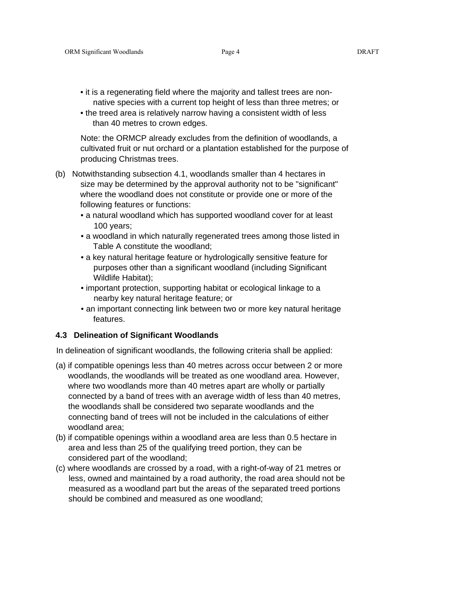- it is a regenerating field where the majority and tallest trees are nonnative species with a current top height of less than three metres; or
- the treed area is relatively narrow having a consistent width of less than 40 metres to crown edges.

Note: the ORMCP already excludes from the definition of woodlands, a cultivated fruit or nut orchard or a plantation established for the purpose of producing Christmas trees.

- (b) Notwithstanding subsection 4.1, woodlands smaller than 4 hectares in size may be determined by the approval authority not to be "significant" where the woodland does not constitute or provide one or more of the following features or functions:
	- a natural woodland which has supported woodland cover for at least 100 years;
	- a woodland in which naturally regenerated trees among those listed in Table A constitute the woodland;
	- a key natural heritage feature or hydrologically sensitive feature for purposes other than a significant woodland (including Significant Wildlife Habitat);
	- important protection, supporting habitat or ecological linkage to a nearby key natural heritage feature; or
	- an important connecting link between two or more key natural heritage features.

#### **4.3 Delineation of Significant Woodlands**

In delineation of significant woodlands, the following criteria shall be applied:

- (a) if compatible openings less than 40 metres across occur between 2 or more woodlands, the woodlands will be treated as one woodland area. However, where two woodlands more than 40 metres apart are wholly or partially connected by a band of trees with an average width of less than 40 metres, the woodlands shall be considered two separate woodlands and the connecting band of trees will not be included in the calculations of either woodland area;
- (b) if compatible openings within a woodland area are less than 0.5 hectare in area and less than 25 of the qualifying treed portion, they can be considered part of the woodland;
- (c) where woodlands are crossed by a road, with a right-of-way of 21 metres or less, owned and maintained by a road authority, the road area should not be measured as a woodland part but the areas of the separated treed portions should be combined and measured as one woodland;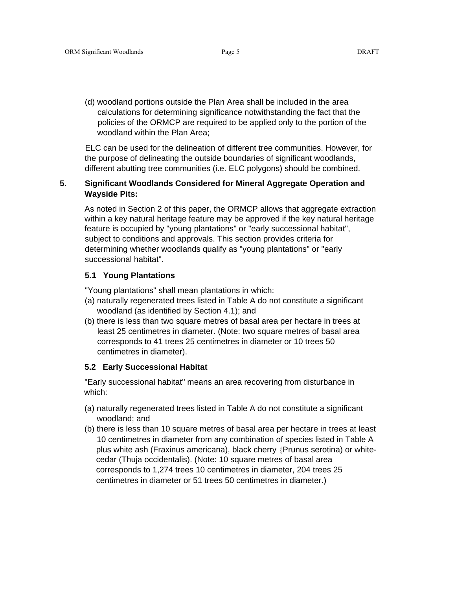(d) woodland portions outside the Plan Area shall be included in the area calculations for determining significance notwithstanding the fact that the policies of the ORMCP are required to be applied only to the portion of the woodland within the Plan Area;

ELC can be used for the delineation of different tree communities. However, for the purpose of delineating the outside boundaries of significant woodlands, different abutting tree communities (i.e. ELC polygons) should be combined.

### **5. Significant Woodlands Considered for Mineral Aggregate Operation and Wayside Pits:**

As noted in Section 2 of this paper, the ORMCP allows that aggregate extraction within a key natural heritage feature may be approved if the key natural heritage feature is occupied by "young plantations" or "early successional habitat", subject to conditions and approvals. This section provides criteria for determining whether woodlands qualify as "young plantations" or "early successional habitat".

### **5.1 Young Plantations**

"Young plantations" shall mean plantations in which:

- (a) naturally regenerated trees listed in Table A do not constitute a significant woodland (as identified by Section 4.1); and
- (b) there is less than two square metres of basal area per hectare in trees at least 25 centimetres in diameter. (Note: two square metres of basal area corresponds to 41 trees 25 centimetres in diameter or 10 trees 50 centimetres in diameter).

### **5.2 Early Successional Habitat**

"Early successional habitat" means an area recovering from disturbance in which:

- (a) naturally regenerated trees listed in Table A do not constitute a significant woodland; and
- (b) there is less than 10 square metres of basal area per hectare in trees at least 10 centimetres in diameter from any combination of species listed in Table A plus white ash (Fraxinus americana), black cherry {Prunus serotina) or whitecedar (Thuja occidentalis). (Note: 10 square metres of basal area corresponds to 1,274 trees 10 centimetres in diameter, 204 trees 25 centimetres in diameter or 51 trees 50 centimetres in diameter.)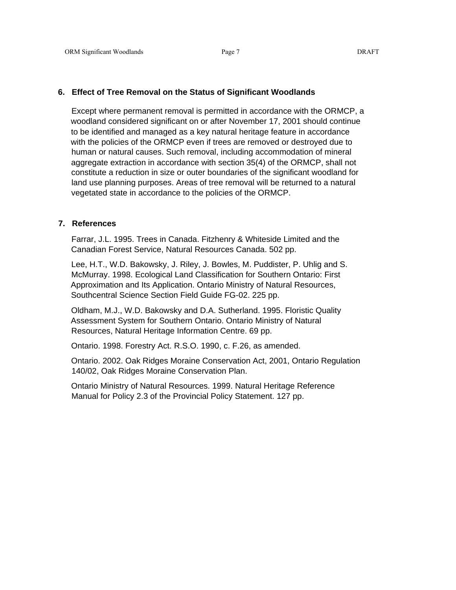#### **6. Effect of Tree Removal on the Status of Significant Woodlands**

Except where permanent removal is permitted in accordance with the ORMCP, a woodland considered significant on or after November 17, 2001 should continue to be identified and managed as a key natural heritage feature in accordance with the policies of the ORMCP even if trees are removed or destroyed due to human or natural causes. Such removal, including accommodation of mineral aggregate extraction in accordance with section 35(4) of the ORMCP, shall not constitute a reduction in size or outer boundaries of the significant woodland for land use planning purposes. Areas of tree removal will be returned to a natural vegetated state in accordance to the policies of the ORMCP.

#### **7. References**

Farrar, J.L. 1995. Trees in Canada. Fitzhenry & Whiteside Limited and the Canadian Forest Service, Natural Resources Canada. 502 pp.

Lee, H.T., W.D. Bakowsky, J. Riley, J. Bowles, M. Puddister, P. Uhlig and S. McMurray. 1998. Ecological Land Classification for Southern Ontario: First Approximation and Its Application. Ontario Ministry of Natural Resources, Southcentral Science Section Field Guide FG-02. 225 pp.

Oldham, M.J., W.D. Bakowsky and D.A. Sutherland. 1995. Floristic Quality Assessment System for Southern Ontario. Ontario Ministry of Natural Resources, Natural Heritage Information Centre. 69 pp.

Ontario. 1998. Forestry Act. R.S.O. 1990, c. F.26, as amended.

Ontario. 2002. Oak Ridges Moraine Conservation Act, 2001, Ontario Regulation 140/02, Oak Ridges Moraine Conservation Plan.

Ontario Ministry of Natural Resources. 1999. Natural Heritage Reference Manual for Policy 2.3 of the Provincial Policy Statement. 127 pp.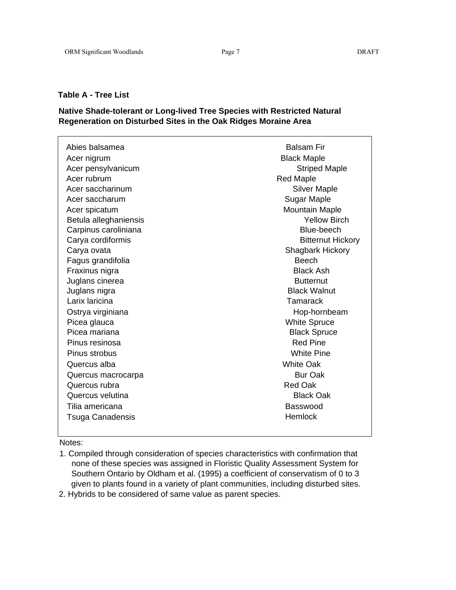### **Table A - Tree List**

### **Native Shade-tolerant or Long-lived Tree Species with Restricted Natural Regeneration on Disturbed Sites in the Oak Ridges Moraine Area**

| Abies balsamea<br>Acer nigrum | <b>Balsam Fir</b><br><b>Black Maple</b> |
|-------------------------------|-----------------------------------------|
| Acer pensylvanicum            | <b>Striped Maple</b>                    |
| Acer rubrum                   | <b>Red Maple</b>                        |
| Acer saccharinum              | <b>Silver Maple</b>                     |
| Acer saccharum                | Sugar Maple                             |
| Acer spicatum                 | <b>Mountain Maple</b>                   |
| Betula alleghaniensis         | <b>Yellow Birch</b>                     |
| Carpinus caroliniana          | Blue-beech                              |
| Carya cordiformis             | <b>Bitternut Hickory</b>                |
| Carya ovata                   | Shagbark Hickory                        |
| Fagus grandifolia             | <b>Beech</b>                            |
| Fraxinus nigra                | <b>Black Ash</b>                        |
| Juglans cinerea               | <b>Butternut</b>                        |
| Juglans nigra                 | <b>Black Walnut</b>                     |
| Larix laricina                | Tamarack                                |
| Ostrya virginiana             | Hop-hornbeam                            |
| Picea glauca                  | <b>White Spruce</b>                     |
| Picea mariana                 | <b>Black Spruce</b>                     |
| Pinus resinosa                | <b>Red Pine</b>                         |
| Pinus strobus                 | <b>White Pine</b>                       |
| Quercus alba                  | <b>White Oak</b>                        |
| Quercus macrocarpa            | <b>Bur Oak</b>                          |
| Quercus rubra                 | Red Oak                                 |
| Quercus velutina              | <b>Black Oak</b>                        |
| Tilia americana               | Basswood                                |
| <b>Tsuga Canadensis</b>       | Hemlock                                 |

#### Notes:

- 1. Compiled through consideration of species characteristics with confirmation that none of these species was assigned in Floristic Quality Assessment System for Southern Ontario by Oldham et al. (1995) a coefficient of conservatism of 0 to 3 given to plants found in a variety of plant communities, including disturbed sites.
- 2. Hybrids to be considered of same value as parent species.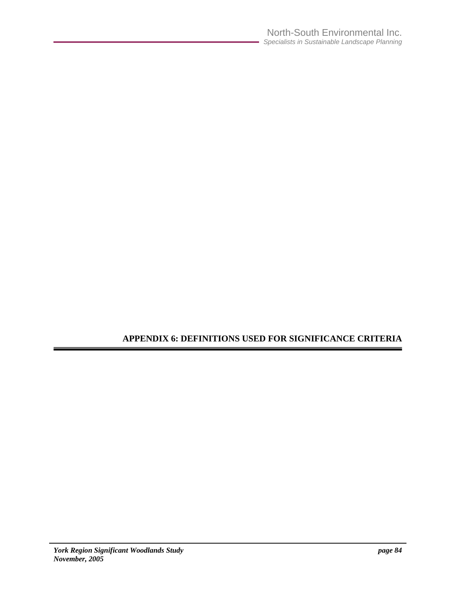# **APPENDIX 6: DEFINITIONS USED FOR SIGNIFICANCE CRITERIA**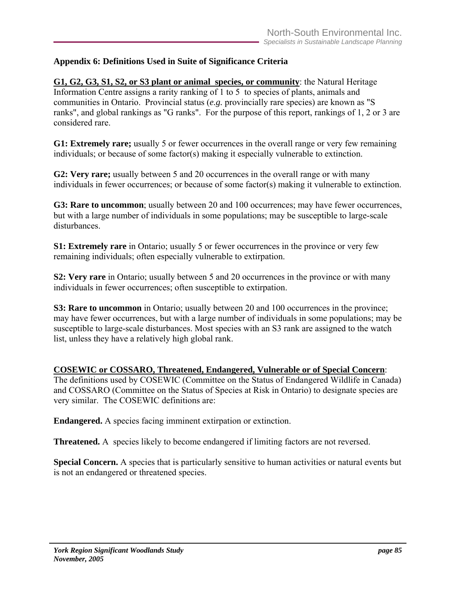# **Appendix 6: Definitions Used in Suite of Significance Criteria**

**G1, G2, G3, S1, S2, or S3 plant or animal species, or community**: the Natural Heritage Information Centre assigns a rarity ranking of 1 to 5 to species of plants, animals and communities in Ontario. Provincial status (*e.g.* provincially rare species) are known as "S ranks", and global rankings as "G ranks". For the purpose of this report, rankings of 1, 2 or 3 are considered rare.

**G1: Extremely rare;** usually 5 or fewer occurrences in the overall range or very few remaining individuals; or because of some factor(s) making it especially vulnerable to extinction.

**G2: Very rare;** usually between 5 and 20 occurrences in the overall range or with many individuals in fewer occurrences; or because of some factor(s) making it vulnerable to extinction.

**G3: Rare to uncommon**; usually between 20 and 100 occurrences; may have fewer occurrences, but with a large number of individuals in some populations; may be susceptible to large-scale disturbances.

**S1: Extremely rare** in Ontario; usually 5 or fewer occurrences in the province or very few remaining individuals; often especially vulnerable to extirpation.

**S2: Very rare** in Ontario; usually between 5 and 20 occurrences in the province or with many individuals in fewer occurrences; often susceptible to extirpation.

**S3: Rare to uncommon** in Ontario; usually between 20 and 100 occurrences in the province; may have fewer occurrences, but with a large number of individuals in some populations; may be susceptible to large-scale disturbances. Most species with an S3 rank are assigned to the watch list, unless they have a relatively high global rank.

**COSEWIC or COSSARO, Threatened, Endangered, Vulnerable or of Special Concern**:

The definitions used by COSEWIC (Committee on the Status of Endangered Wildlife in Canada) and COSSARO (Committee on the Status of Species at Risk in Ontario) to designate species are very similar. The COSEWIC definitions are:

**Endangered.** A species facing imminent extirpation or extinction.

**Threatened.** A species likely to become endangered if limiting factors are not reversed.

**Special Concern.** A species that is particularly sensitive to human activities or natural events but is not an endangered or threatened species.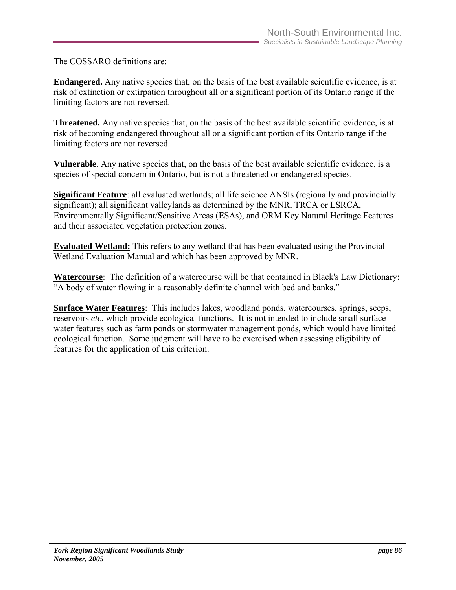The COSSARO definitions are:

**Endangered.** Any native species that, on the basis of the best available scientific evidence, is at risk of extinction or extirpation throughout all or a significant portion of its Ontario range if the limiting factors are not reversed.

**Threatened.** Any native species that, on the basis of the best available scientific evidence, is at risk of becoming endangered throughout all or a significant portion of its Ontario range if the limiting factors are not reversed.

**Vulnerable**. Any native species that, on the basis of the best available scientific evidence, is a species of special concern in Ontario, but is not a threatened or endangered species.

**Significant Feature**: all evaluated wetlands; all life science ANSIs (regionally and provincially significant); all significant valleylands as determined by the MNR, TRCA or LSRCA, Environmentally Significant/Sensitive Areas (ESAs), and ORM Key Natural Heritage Features and their associated vegetation protection zones.

**Evaluated Wetland:** This refers to any wetland that has been evaluated using the Provincial Wetland Evaluation Manual and which has been approved by MNR.

**Watercourse**: The definition of a watercourse will be that contained in Black's Law Dictionary: "A body of water flowing in a reasonably definite channel with bed and banks."

**Surface Water Features**: This includes lakes, woodland ponds, watercourses, springs, seeps, reservoirs *etc.* which provide ecological functions. It is not intended to include small surface water features such as farm ponds or stormwater management ponds, which would have limited ecological function. Some judgment will have to be exercised when assessing eligibility of features for the application of this criterion.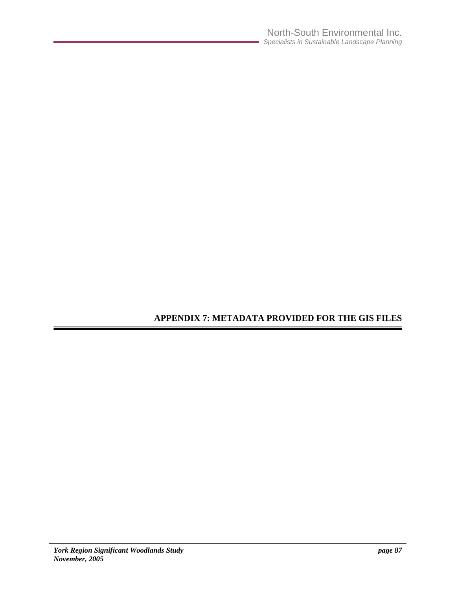# **APPENDIX 7: METADATA PROVIDED FOR THE GIS FILES**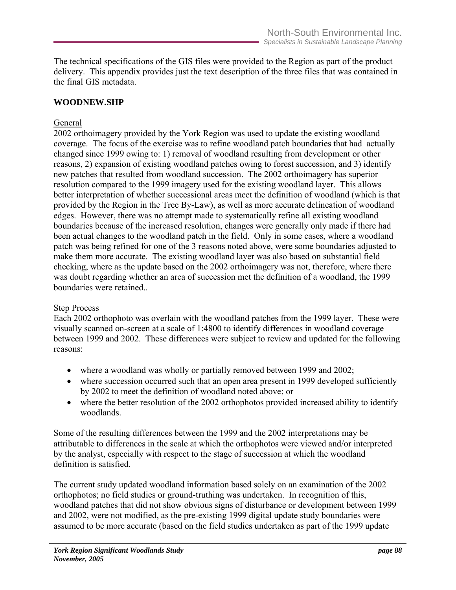The technical specifications of the GIS files were provided to the Region as part of the product delivery. This appendix provides just the text description of the three files that was contained in the final GIS metadata.

## **WOODNEW.SHP**

# General

2002 orthoimagery provided by the York Region was used to update the existing woodland coverage. The focus of the exercise was to refine woodland patch boundaries that had actually changed since 1999 owing to: 1) removal of woodland resulting from development or other reasons, 2) expansion of existing woodland patches owing to forest succession, and 3) identify new patches that resulted from woodland succession. The 2002 orthoimagery has superior resolution compared to the 1999 imagery used for the existing woodland layer. This allows better interpretation of whether successional areas meet the definition of woodland (which is that provided by the Region in the Tree By-Law), as well as more accurate delineation of woodland edges. However, there was no attempt made to systematically refine all existing woodland boundaries because of the increased resolution, changes were generally only made if there had been actual changes to the woodland patch in the field. Only in some cases, where a woodland patch was being refined for one of the 3 reasons noted above, were some boundaries adjusted to make them more accurate. The existing woodland layer was also based on substantial field checking, where as the update based on the 2002 orthoimagery was not, therefore, where there was doubt regarding whether an area of succession met the definition of a woodland, the 1999 boundaries were retained..

## Step Process

Each 2002 orthophoto was overlain with the woodland patches from the 1999 layer. These were visually scanned on-screen at a scale of 1:4800 to identify differences in woodland coverage between 1999 and 2002. These differences were subject to review and updated for the following reasons:

- where a woodland was wholly or partially removed between 1999 and 2002;
- where succession occurred such that an open area present in 1999 developed sufficiently by 2002 to meet the definition of woodland noted above; or
- where the better resolution of the 2002 orthophotos provided increased ability to identify woodlands.

Some of the resulting differences between the 1999 and the 2002 interpretations may be attributable to differences in the scale at which the orthophotos were viewed and/or interpreted by the analyst, especially with respect to the stage of succession at which the woodland definition is satisfied.

The current study updated woodland information based solely on an examination of the 2002 orthophotos; no field studies or ground-truthing was undertaken. In recognition of this, woodland patches that did not show obvious signs of disturbance or development between 1999 and 2002, were not modified, as the pre-existing 1999 digital update study boundaries were assumed to be more accurate (based on the field studies undertaken as part of the 1999 update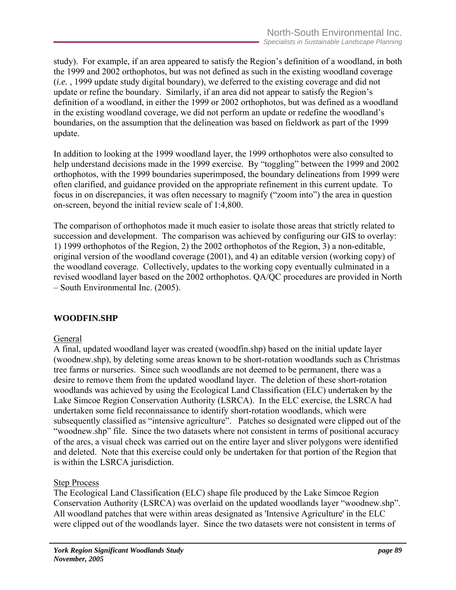study). For example, if an area appeared to satisfy the Region's definition of a woodland, in both the 1999 and 2002 orthophotos, but was not defined as such in the existing woodland coverage (*i.e.* , 1999 update study digital boundary), we deferred to the existing coverage and did not update or refine the boundary. Similarly, if an area did not appear to satisfy the Region's definition of a woodland, in either the 1999 or 2002 orthophotos, but was defined as a woodland in the existing woodland coverage, we did not perform an update or redefine the woodland's boundaries, on the assumption that the delineation was based on fieldwork as part of the 1999 update.

In addition to looking at the 1999 woodland layer, the 1999 orthophotos were also consulted to help understand decisions made in the 1999 exercise. By "toggling" between the 1999 and 2002 orthophotos, with the 1999 boundaries superimposed, the boundary delineations from 1999 were often clarified, and guidance provided on the appropriate refinement in this current update. To focus in on discrepancies, it was often necessary to magnify ("zoom into") the area in question on-screen, beyond the initial review scale of 1:4,800.

The comparison of orthophotos made it much easier to isolate those areas that strictly related to succession and development. The comparison was achieved by configuring our GIS to overlay: 1) 1999 orthophotos of the Region, 2) the 2002 orthophotos of the Region, 3) a non-editable, original version of the woodland coverage (2001), and 4) an editable version (working copy) of the woodland coverage. Collectively, updates to the working copy eventually culminated in a revised woodland layer based on the 2002 orthophotos. QA/QC procedures are provided in North – South Environmental Inc. (2005).

# **WOODFIN.SHP**

## General

A final, updated woodland layer was created (woodfin.shp) based on the initial update layer (woodnew.shp), by deleting some areas known to be short-rotation woodlands such as Christmas tree farms or nurseries. Since such woodlands are not deemed to be permanent, there was a desire to remove them from the updated woodland layer. The deletion of these short-rotation woodlands was achieved by using the Ecological Land Classification (ELC) undertaken by the Lake Simcoe Region Conservation Authority (LSRCA). In the ELC exercise, the LSRCA had undertaken some field reconnaissance to identify short-rotation woodlands, which were subsequently classified as "intensive agriculture". Patches so designated were clipped out of the "woodnew.shp" file. Since the two datasets where not consistent in terms of positional accuracy of the arcs, a visual check was carried out on the entire layer and sliver polygons were identified and deleted. Note that this exercise could only be undertaken for that portion of the Region that is within the LSRCA jurisdiction.

## Step Process

The Ecological Land Classification (ELC) shape file produced by the Lake Simcoe Region Conservation Authority (LSRCA) was overlaid on the updated woodlands layer "woodnew.shp". All woodland patches that were within areas designated as 'Intensive Agriculture' in the ELC were clipped out of the woodlands layer. Since the two datasets were not consistent in terms of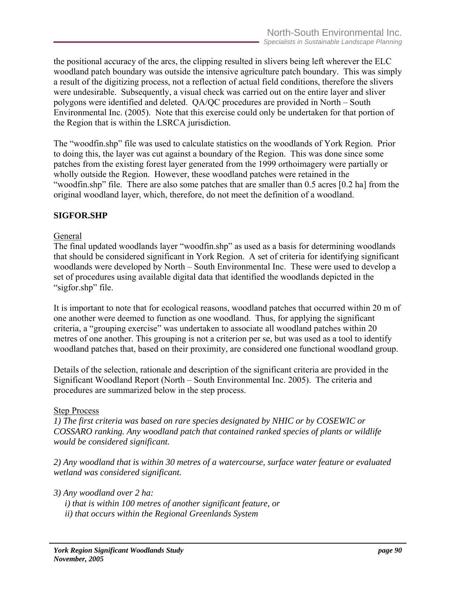the positional accuracy of the arcs, the clipping resulted in slivers being left wherever the ELC woodland patch boundary was outside the intensive agriculture patch boundary. This was simply a result of the digitizing process, not a reflection of actual field conditions, therefore the slivers were undesirable. Subsequently, a visual check was carried out on the entire layer and sliver polygons were identified and deleted. QA/QC procedures are provided in North – South Environmental Inc. (2005). Note that this exercise could only be undertaken for that portion of the Region that is within the LSRCA jurisdiction.

The "woodfin.shp" file was used to calculate statistics on the woodlands of York Region. Prior to doing this, the layer was cut against a boundary of the Region. This was done since some patches from the existing forest layer generated from the 1999 orthoimagery were partially or wholly outside the Region. However, these woodland patches were retained in the "woodfin.shp" file. There are also some patches that are smaller than 0.5 acres [0.2 ha] from the original woodland layer, which, therefore, do not meet the definition of a woodland.

# **SIGFOR.SHP**

### General

The final updated woodlands layer "woodfin.shp" as used as a basis for determining woodlands that should be considered significant in York Region. A set of criteria for identifying significant woodlands were developed by North – South Environmental Inc. These were used to develop a set of procedures using available digital data that identified the woodlands depicted in the "sigfor.shp" file.

It is important to note that for ecological reasons, woodland patches that occurred within 20 m of one another were deemed to function as one woodland. Thus, for applying the significant criteria, a "grouping exercise" was undertaken to associate all woodland patches within 20 metres of one another. This grouping is not a criterion per se, but was used as a tool to identify woodland patches that, based on their proximity, are considered one functional woodland group.

Details of the selection, rationale and description of the significant criteria are provided in the Significant Woodland Report (North – South Environmental Inc. 2005). The criteria and procedures are summarized below in the step process.

### Step Process

*1) The first criteria was based on rare species designated by NHIC or by COSEWIC or COSSARO ranking. Any woodland patch that contained ranked species of plants or wildlife would be considered significant.* 

*2) Any woodland that is within 30 metres of a watercourse, surface water feature or evaluated wetland was considered significant.* 

*3) Any woodland over 2 ha:* 

- *i) that is within 100 metres of another significant feature, or*
- *ii) that occurs within the Regional Greenlands System*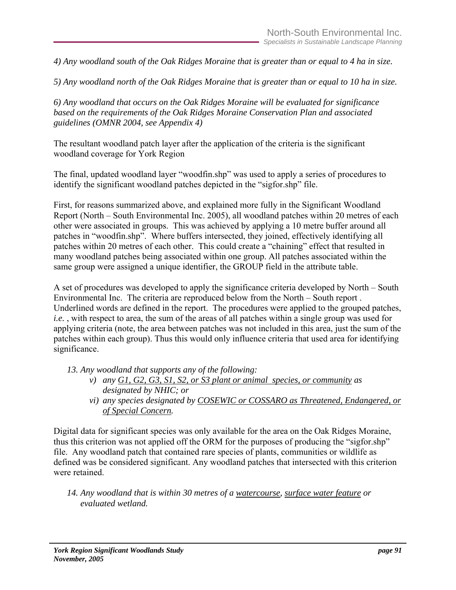*4) Any woodland south of the Oak Ridges Moraine that is greater than or equal to 4 ha in size.* 

*5) Any woodland north of the Oak Ridges Moraine that is greater than or equal to 10 ha in size.* 

*6) Any woodland that occurs on the Oak Ridges Moraine will be evaluated for significance based on the requirements of the Oak Ridges Moraine Conservation Plan and associated guidelines (OMNR 2004, see Appendix 4)* 

The resultant woodland patch layer after the application of the criteria is the significant woodland coverage for York Region

The final, updated woodland layer "woodfin.shp" was used to apply a series of procedures to identify the significant woodland patches depicted in the "sigfor.shp" file.

First, for reasons summarized above, and explained more fully in the Significant Woodland Report (North – South Environmental Inc. 2005), all woodland patches within 20 metres of each other were associated in groups. This was achieved by applying a 10 metre buffer around all patches in "woodfin.shp". Where buffers intersected, they joined, effectively identifying all patches within 20 metres of each other. This could create a "chaining" effect that resulted in many woodland patches being associated within one group. All patches associated within the same group were assigned a unique identifier, the GROUP field in the attribute table.

A set of procedures was developed to apply the significance criteria developed by North – South Environmental Inc. The criteria are reproduced below from the North – South report . Underlined words are defined in the report. The procedures were applied to the grouped patches, *i.e.*, with respect to area, the sum of the areas of all patches within a single group was used for applying criteria (note, the area between patches was not included in this area, just the sum of the patches within each group). Thus this would only influence criteria that used area for identifying significance.

*13. Any woodland that supports any of the following:* 

- *v) any G1, G2, G3, S1, S2, or S3 plant or animal species, or community as designated by NHIC; or*
- *vi) any species designated by COSEWIC or COSSARO as Threatened, Endangered, or of Special Concern.*

Digital data for significant species was only available for the area on the Oak Ridges Moraine, thus this criterion was not applied off the ORM for the purposes of producing the "sigfor.shp" file. Any woodland patch that contained rare species of plants, communities or wildlife as defined was be considered significant. Any woodland patches that intersected with this criterion were retained.

*14. Any woodland that is within 30 metres of a watercourse, surface water feature or evaluated wetland.*